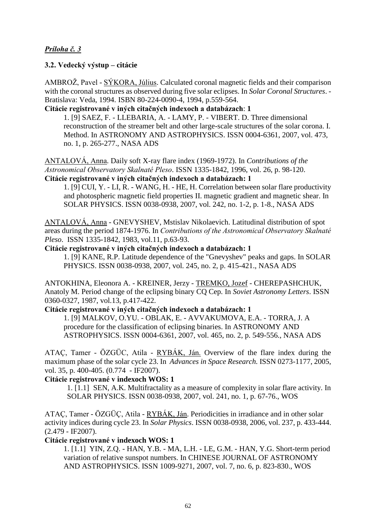# *Príloha č. 3*

### **3.2. Vedecký výstup – citácie**

AMBROŽ, Pavel - SÝKORA, Július. Calculated coronal magnetic fields and their comparison with the coronal structures as observed during five solar eclipses. In *Solar Coronal Structures*. - Bratislava: Veda, 1994. ISBN 80-224-0090-4, 1994, p.559-564.

### **Citácie registrované v iných citačných indexoch a databázach**: **1**

1. [9] SAEZ, F. - LLEBARIA, A. - LAMY, P. - VIBERT. D. Three dimensional reconstruction of the streamer belt and other large-scale structures of the solar corona. I. Method. In ASTRONOMY AND ASTROPHYSICS. ISSN 0004-6361, 2007, vol. 473, no. 1, p. 265-277., NASA ADS

ANTALOVÁ, Anna. Daily soft X-ray flare index (1969-1972). In *Contributions of the Astronomical Observatory Skalnaté Pleso*. ISSN 1335-1842, 1996, vol. 26, p. 98-120. **Citácie registrované v iných citačných indexoch a databázach: 1**

1. [9] CUI, Y. - LI, R. - WANG, H. - HE, H. Correlation between solar flare productivity and photospheric magnetic field properties II. magnetic gradient and magnetic shear. In SOLAR PHYSICS. ISSN 0038-0938, 2007, vol. 242, no. 1-2, p. 1-8., NASA ADS

ANTALOVÁ, Anna - GNEVYSHEV, Mstislav Nikolaevich. Latitudinal distribution of spot areas during the period 1874-1976. In *Contributions of the Astronomical Observatory Skalnaté Pleso*. ISSN 1335-1842, 1983, vol.11, p.63-93.

#### **Citácie registrované v iných citačných indexoch a databázach: 1**

1. [9] KANE, R.P. Latitude dependence of the "Gnevyshev" peaks and gaps. In SOLAR PHYSICS. ISSN 0038-0938, 2007, vol. 245, no. 2, p. 415-421., NASA ADS

ANTOKHINA, Eleonora A. - KREINER, Jerzy - TREMKO, Jozef - CHEREPASHCHUK, Anatoly M. Period change of the eclipsing binary CQ Cep. In *Soviet Astronomy Letters*. ISSN 0360-0327, 1987, vol.13, p.417-422.

### **Citácie registrované v iných citačných indexoch a databázach: 1**

1. [9] MALKOV, O.YU. - OBLAK, E. - AVVAKUMOVA, E.A. - TORRA, J. A procedure for the classification of eclipsing binaries. In ASTRONOMY AND ASTROPHYSICS. ISSN 0004-6361, 2007, vol. 465, no. 2, p. 549-556., NASA ADS

ATAÇ, Tamer - ÖZGÜC, Atila - RYBÁK, Ján. Overview of the flare index during the maximum phase of the solar cycle 23. In *Advances in Space Research.* ISSN 0273-1177, 2005, vol. 35, p. 400-405. (0.774 - IF2007).

### **Citácie registrované v indexoch WOS: 1**

1. [1.1] SEN, A.K. Multifractality as a measure of complexity in solar flare activity. In SOLAR PHYSICS. ISSN 0038-0938, 2007, vol. 241, no. 1, p. 67-76., WOS

ATAÇ, Tamer - ÖZGÜÇ, Atila - RYBÁK, Ján. Periodicities in irradiance and in other solar activity indices during cycle 23. In *Solar Physics*. ISSN 0038-0938, 2006, vol. 237, p. 433-444. (2.479 - IF2007).

### **Citácie registrované v indexoch WOS: 1**

 1. [1.1] YIN, Z.Q. - HAN, Y.B. - MA, L.H. - LE, G.M. - HAN, Y.G. Short-term period variation of relative sunspot numbers. In CHINESE JOURNAL OF ASTRONOMY AND ASTROPHYSICS. ISSN 1009-9271, 2007, vol. 7, no. 6, p. 823-830., WOS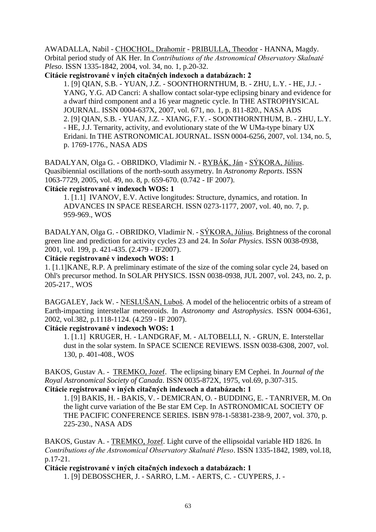AWADALLA, Nabil - CHOCHOL, Drahomír - PRIBULLA, Theodor - HANNA, Magdy. Orbital period study of AK Her. In *Contributions of the Astronomical Observatory Skalnaté Pleso*. ISSN 1335-1842, 2004, vol. 34, no. 1, p.20-32.

**Citácie registrované v iných citačných indexoch a databázach: 2**

 1. [9] QIAN, S.B. - YUAN, J.Z. - SOONTHORNTHUM, B. - ZHU, L.Y. - HE, J.J. - YANG, Y.G. AD Cancri: A shallow contact solar-type eclipsing binary and evidence for a dwarf third component and a 16 year magnetic cycle. In THE ASTROPHYSICAL JOURNAL. ISSN 0004-637X, 2007, vol. 671, no. 1, p. 811-820., NASA ADS 2. [9] QIAN, S.B. - YUAN, J.Z. - XIANG, F.Y. - SOONTHORNTHUM, B. - ZHU, L.Y. - HE, J.J. Ternarity, activity, and evolutionary state of the W UMa-type binary UX Eridani. In THE ASTRONOMICAL JOURNAL. ISSN 0004-6256, 2007, vol. 134, no. 5, p. 1769-1776., NASA ADS

BADALYAN, Olga G. - OBRIDKO, Vladimir N. - RYBÁK, Ján - SÝKORA, Július. Quasibiennial oscillations of the north-south assymetry. In *Astronomy Reports*. ISSN 1063-7729, 2005, vol. 49, no. 8, p. 659-670. (0.742 - IF 2007).

#### **Citácie registrované v indexoch WOS: 1**

1. [1.1] IVANOV, E.V. Active longitudes: Structure, dynamics, and rotation. In ADVANCES IN SPACE RESEARCH. ISSN 0273-1177, 2007, vol. 40, no. 7, p. 959-969., WOS

BADALYAN, Olga G. - OBRIDKO, Vladimir N. - SÝKORA, Július. Brightness of the coronal green line and prediction for activity cycles 23 and 24. In *Solar Physics*. ISSN 0038-0938, 2001, vol. 199, p. 421-435. (2.479 - IF2007).

### **Citácie registrované v indexoch WOS: 1**

1. [1.1]KANE, R.P. A preliminary estimate of the size of the coming solar cycle 24, based on Ohl's precursor method. In SOLAR PHYSICS. ISSN 0038-0938, JUL 2007, vol. 243, no. 2, p. 205-217., WOS

BAGGALEY, Jack W. - NESLUŠAN, Luboš. A model of the heliocentric orbits of a stream of Earth-impacting interstellar meteoroids. In *Astronomy and Astrophysics*. ISSN 0004-6361, 2002, vol.382, p.1118-1124. (4.259 - IF 2007).

### **Citácie registrované v indexoch WOS: 1**

1. [1.1] KRUGER, H. - LANDGRAF, M. - ALTOBELLI, N. - GRUN, E. Interstellar dust in the solar system. In SPACE SCIENCE REVIEWS. ISSN 0038-6308, 2007, vol. 130, p. 401-408., WOS

BAKOS, Gustav A. - TREMKO, Jozef. The eclipsing binary EM Cephei. In *Journal of the Royal Astronomical Society of Canada*. ISSN 0035-872X, 1975, vol.69, p.307-315.

#### **Citácie registrované v iných citačných indexoch a databázach: 1**

1. [9] BAKIS, H. - BAKIS, V. - DEMICRAN, O. - BUDDING, E. - TANRIVER, M. On the light curve variation of the Be star EM Cep. In ASTRONOMICAL SOCIETY OF THE PACIFIC CONFERENCE SERIES. ISBN 978-1-58381-238-9, 2007, vol. 370, p. 225-230., NASA ADS

BAKOS, Gustav A. - TREMKO, Jozef. Light curve of the ellipsoidal variable HD 1826. In *Contributions of the Astronomical Observatory Skalnaté Pleso*. ISSN 1335-1842, 1989, vol.18, p.17-21.

**Citácie registrované v iných citačných indexoch a databázach: 1** 1. [9] DEBOSSCHER, J. - SARRO, L.M. - AERTS, C. - CUYPERS, J. -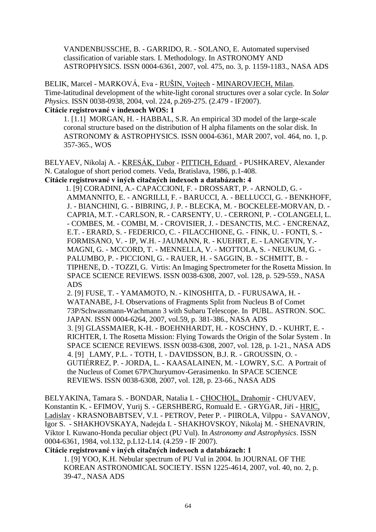VANDENBUSSCHE, B. - GARRIDO, R. - SOLANO, E. Automated supervised classification of variable stars. I. Methodology. In ASTRONOMY AND ASTROPHYSICS. ISSN 0004-6361, 2007, vol. 475, no. 3, p. 1159-1183., NASA ADS

BELIK, Marcel - MARKOVÁ, Eva - RUŠIN, Vojtech - MINAROVJECH, Milan. Time-latitudinal development of the white-light coronal structures over a solar cycle. In *Solar Physics*. ISSN 0038-0938, 2004, vol. 224, p.269-275. (2.479 - IF2007). **Citácie registrované v indexoch WOS: 1**

1. [1.1] MORGAN, H. - HABBAL, S.R. An empirical 3D model of the large-scale coronal structure based on the distribution of H alpha filaments on the solar disk. In

ASTRONOMY & ASTROPHYSICS. ISSN 0004-6361, MAR 2007, vol. 464, no. 1, p. 357-365., WOS

BELYAEV, Nikolaj A. - KRESÁK, Ľubor - PITTICH, Eduard - PUSHKAREV, Alexander N. Catalogue of short period comets. Veda, Bratislava, 1986, p.1-408. **Citácie registrované v iných citačných indexoch a databázach: 4** 

 1. [9] CORADINI, A.- CAPACCIONI, F. - DROSSART, P. - ARNOLD, G. - AMMANNITO, E. - ANGRILLI, F. - BARUCCI, A. - BELLUCCI, G. - BENKHOFF, J. - BIANCHINI, G. - BIBRING, J. P. - BLECKA, M. - BOCKELEE-MORVAN, D. - CAPRIA, M.T. - CARLSON, R. - CARSENTY, U. - CERRONI, P. - COLANGELI, L. - COMBES, M. - COMBI, M. - CROVISIER, J. - DESANCTIS, M.C. - ENCRENAZ, E.T. - ERARD, S. - FEDERICO, C. - FILACCHIONE, G. - FINK, U. - FONTI, S. - FORMISANO, V. - IP, W.H. - JAUMANN, R. - KUEHRT, E. - LANGEVIN, Y.- MAGNI, G. - MCCORD, T. - MENNELLA, V. - MOTTOLA, S. - NEUKUM, G. - PALUMBO, P. - PICCIONI, G. - RAUER, H. - SAGGIN, B. - SCHMITT, B. - TIPHENE, D. - TOZZI, G. Virtis: An Imaging Spectrometer for the Rosetta Mission. In SPACE SCIENCE REVIEWS. ISSN 0038-6308, 2007, vol. 128, p. 529-559., NASA ADS

2. [9] FUSE, T. - YAMAMOTO, N. - KINOSHITA, D. - FURUSAWA, H. - WATANABE, J-I. Observations of Fragments Split from Nucleus B of Comet 73P/Schwassmann-Wachmann 3 with Subaru Telescope. In PUBL. ASTRON. SOC. JAPAN. ISSN 0004-6264*,* 2007, vol.59, p. 381-386., NASA ADS 3. [9] GLASSMAIER, K-H. - BOEHNHARDT, H. - KOSCHNY, D. - KUHRT, E. - RICHTER, I. The Rosetta Mission: Flying Towards the Origin of the Solar System . In SPACE SCIENCE REVIEWS. ISSN 0038-6308, 2007, vol. 128, p. 1-21., NASA ADS 4. [9] LAMY, P.L. - TOTH, I. - DAVIDSSON, B.J. R. - GROUSSIN, O. - GUTIÉRREZ, P. - JORDA, L. - KAASALAINEN, M. - LOWRY, S.C. A Portrait of the Nucleus of Comet 67P/Churyumov-Gerasimenko. In SPACE SCIENCE REVIEWS. ISSN 0038-6308, 2007, vol. 128, p. 23-66., NASA ADS

BELYAKINA, Tamara S. - BONDAR, Natalia I. - CHOCHOL, Drahomír - CHUVAEV, Konstantin K. - EFIMOV, Yurij S. - GERSHBERG, Romuald E. - GRYGAR, Jiří - HRIC, Ladislav - KRASNOBABTSEV, V.I. - PETROV, Peter P. - PIIROLA, Vilppu - SAVANOV, Igor S. - SHAKHOVSKAYA, Nadejda I. - SHAKHOVSKOY, Nikolaj M. - SHENAVRIN, Viktor I. Kuwano-Honda peculiar object (PU Vul). In *Astronomy and Astrophysics*. ISSN 0004-6361, 1984, vol.132, p.L12-L14. (4.259 - IF 2007).

**Citácie registrované v iných citačných indexoch a databázach: 1**

1. [9] YOO, K.H. Nebular spectrum of PU Vul in 2004. In JOURNAL OF THE KOREAN ASTRONOMICAL SOCIETY. ISSN 1225-4614, 2007, vol. 40, no. 2, p. 39-47., NASA ADS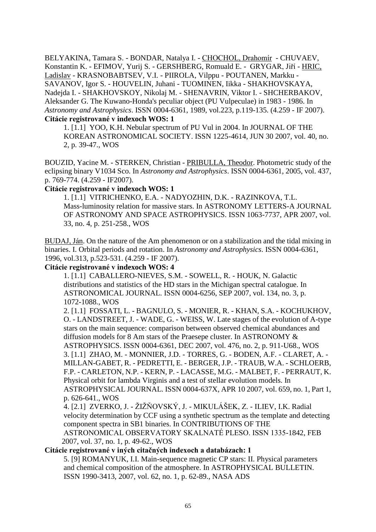BELYAKINA, Tamara S. - BONDAR, Natalya I. - CHOCHOL, Drahomír - CHUVAEV, Konstantin K. - EFIMOV, Yurij S. - GERSHBERG, Romuald E. - GRYGAR, Jiří - HRIC, Ladislav - KRASNOBABTSEV, V.I. - PIIROLA, Vilppu - POUTANEN, Markku - SAVANOV, Igor S. - HOUVELIN, Juhani - TUOMINEN, Iikka - SHAKHOVSKAYA, Nadejda I. - SHAKHOVSKOY, Nikolaj M. - SHENAVRIN, Viktor I. - SHCHERBAKOV, Aleksander G. The Kuwano-Honda's peculiar object (PU Vulpeculae) in 1983 - 1986. In *Astronomy and Astrophysics*. ISSN 0004-6361, 1989, vol.223, p.119-135. (4.259 - IF 2007). **Citácie registrované v indexoch WOS: 1**

1. [1.1] YOO, K.H. Nebular spectrum of PU Vul in 2004. In JOURNAL OF THE KOREAN ASTRONOMICAL SOCIETY. ISSN 1225-4614, JUN 30 2007, vol. 40, no. 2, p. 39-47., WOS

BOUZID, Yacine M. - STERKEN, Christian - PRIBULLA, Theodor. Photometric study of the eclipsing binary V1034 Sco. In *Astronomy and Astrophysics*. ISSN 0004-6361, 2005, vol. 437, p. 769-774. (4.259 - IF2007).

#### **Citácie registrované v indexoch WOS: 1**

1. [1.1] VITRICHENKO, E.A. - NADYOZHIN, D.K. - RAZINKOVA, T.L. Mass-luminosity relation for massive stars. In ASTRONOMY LETTERS-A JOURNAL OF ASTRONOMY AND SPACE ASTROPHYSICS. ISSN 1063-7737, APR 2007, vol. 33, no. 4, p. 251-258., WOS

BUDAJ, Ján. On the nature of the Am phenomenon or on a stabilization and the tidal mixing in binaries. I. Orbital periods and rotation. In *Astronomy and Astrophysics*. ISSN 0004-6361, 1996, vol.313, p.523-531. (4.259 - IF 2007).

#### **Citácie registrované v indexoch WOS: 4**

1. [1.1] CABALLERO-NIEVES, S.M. - SOWELL, R. - HOUK, N. Galactic distributions and statistics of the HD stars in the Michigan spectral catalogue. In ASTRONOMICAL JOURNAL. ISSN 0004-6256, SEP 2007, vol. 134, no. 3, p. 1072-1088., WOS

2. [1.1] FOSSATI, L. - BAGNULO, S. - MONIER, R. - KHAN, S.A. - KOCHUKHOV, O. - LANDSTREET, J. - WADE, G. - WEISS, W. Late stages of the evolution of A-type stars on the main sequence: comparison between observed chemical abundances and diffusion models for 8 Am stars of the Praesepe cluster. In ASTRONOMY & ASTROPHYSICS. ISSN 0004-6361, DEC 2007, vol. 476, no. 2, p. 911-U68., WOS 3. [1.1] ZHAO, M. - MONNIER, J.D. - TORRES, G. - BODEN, A.F. - CLARET, A. - MILLAN-GABET, R. - PEDRETTI, E. - BERGER, J.P. - TRAUB, W.A. - SCHLOERB, F.P. - CARLETON, N.P. - KERN, P. - LACASSE, M.G. - MALBET, F. - PERRAUT, K. Physical orbit for lambda Virginis and a test of stellar evolution models. In ASTROPHYSICAL JOURNAL. ISSN 0004-637X, APR 10 2007, vol. 659, no. 1, Part 1, p. 626-641., WOS

4. [2.1] ZVERKO, J. - ŽIŽŇOVSKÝ, J. - MIKULÁŠEK, Z. - ILIEV, I.K. Radial velocity determination by CCF using a synthetic spectrum as the template and detecting component spectra in SB1 binaries. In CONTRIBUTIONS OF THE

 ASTRONOMICAL OBSERVATORY SKALNATÉ PLESO. ISSN 1335-1842, FEB 2007, vol. 37, no. 1, p. 49-62., WOS

#### **Citácie registrované v iných citačných indexoch a databázach: 1**

 5. [9] ROMANYUK, I.I. Main-sequence magnetic CP stars: II. Physical parameters and chemical composition of the atmosphere. In ASTROPHYSICAL BULLETIN. ISSN 1990-3413, 2007, vol. 62, no. 1, p. 62-89., NASA ADS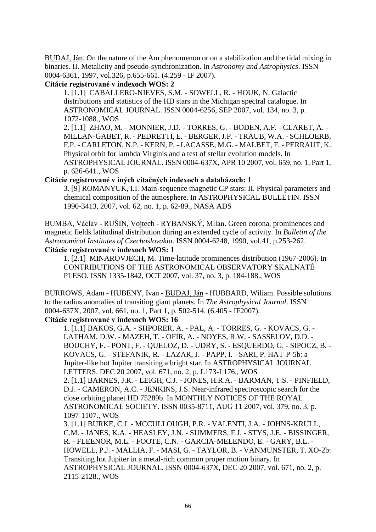BUDAJ, Ján. On the nature of the Am phenomenon or on a stabilization and the tidal mixing in binaries. II. Metalicity and pseudo-synchronization. In *Astronomy and Astrophysics*. ISSN 0004-6361, 1997, vol.326, p.655-661. (4.259 - IF 2007).

#### **Citácie registrované v indexoch WOS: 2**

1. [1.1] CABALLERO-NIEVES, S.M. - SOWELL, R. - HOUK, N. Galactic distributions and statistics of the HD stars in the Michigan spectral catalogue. In ASTRONOMICAL JOURNAL. ISSN 0004-6256, SEP 2007, vol. 134, no. 3, p. 1072-1088., WOS

2. [1.1] ZHAO, M. - MONNIER, J.D. - TORRES, G. - BODEN, A.F. - CLARET, A. - MILLAN-GABET, R. - PEDRETTI, E. - BERGER, J.P. - TRAUB, W.A. - SCHLOERB, F.P. - CARLETON, N.P. - KERN, P. - LACASSE, M.G. - MALBET, F. - PERRAUT, K. Physical orbit for lambda Virginis and a test of stellar evolution models. In ASTROPHYSICAL JOURNAL. ISSN 0004-637X, APR 10 2007, vol. 659, no. 1, Part 1, p. 626-641., WOS

### **Citácie registrované v iných citačných indexoch a databázach: 1**

3. [9] ROMANYUK, I.I. Main-sequence magnetic CP stars: II. Physical parameters and chemical composition of the atmosphere. In ASTROPHYSICAL BULLETIN. ISSN 1990-3413, 2007, vol. 62, no. 1, p. 62-89., NASA ADS

BUMBA, Václav - RUŠIN, Vojtech - RYBANSKÝ, Milan. Green corona, prominences and magnetic fields latitudinal distribution during an extended cycle of activity. In *Bulletin of the Astronomical Institutes of Czechoslovakia*. ISSN 0004-6248, 1990, vol.41, p.253-262. **Citácie registrované v indexoch WOS: 1**

1. [2.1] MINAROVJECH, M. Time-latitude prominences distribution (1967-2006). In CONTRIBUTIONS OF THE ASTRONOMICAL OBSERVATORY SKALNATÉ PLESO. ISSN 1335-1842, OCT 2007, vol. 37, no. 3, p. 184-188., WOS

BURROWS, Adam - HUBENY, Ivan - BUDAJ, Ján - HUBBARD, Wiliam. Possible solutions to the radius anomalies of transiting giant planets. In *The Astrophysical Journal*. ISSN 0004-637X, 2007, vol. 661, no. 1, Part 1, p. 502-514. (6.405 - IF2007).

# **Citácie registrované v indexoch WOS: 16**

1. [1.1] BAKOS, G.A. - SHPORER, A. - PAL, A. - TORRES, G. - KOVACS, G. - LATHAM, D.W. - MAZEH, T. - OFIR, A. - NOYES, R.W. - SASSELOV, D.D. - BOUCHY, F. - PONT, F. - QUELOZ, D. - UDRY, S. - ESQUERDO, G. - SIPOCZ, B. - KOVACS, G. - STEFANIK, R. - LAZAR, J. - PAPP, I. - SARI, P. HAT-P-5b: a Jupiter-like hot Jupiter transiting a bright star. In ASTROPHYSICAL JOURNAL LETTERS. DEC 20 2007, vol. 671, no. 2, p. L173-L176., WOS 2. [1.1] BARNES, J.R. - LEIGH, C.J. - JONES, H.R.A. - BARMAN, T.S. - PINFIELD, D.J. - CAMERON, A.C. - JENKINS, J.S. Near-infrared spectroscopic search for the close orbiting planet HD 75289b. In MONTHLY NOTICES OF THE ROYAL ASTRONOMICAL SOCIETY. ISSN 0035-8711, AUG 11 2007, vol. 379, no. 3, p. 1097-1107., WOS 3. [1.1] BURKE, C.J. - MCCULLOUGH, P.R. - VALENTI, J.A. - JOHNS-KRULL, C.M. - JANES, K.A. - HEASLEY, J.N. - SUMMERS, F.J. - STYS, J.E. - BISSINGER, R. - FLEENOR, M.L. - FOOTE, C.N. - GARCIA-MELENDO, E. - GARY, B.L. - HOWELL, P.J. - MALLIA, F. - MASI, G. - TAYLOR, B. - VANMUNSTER, T. XO-2b: Transiting hot Jupiter in a metal-rich common proper motion binary. In ASTROPHYSICAL JOURNAL. ISSN 0004-637X, DEC 20 2007, vol. 671, no. 2, p. 2115-2128., WOS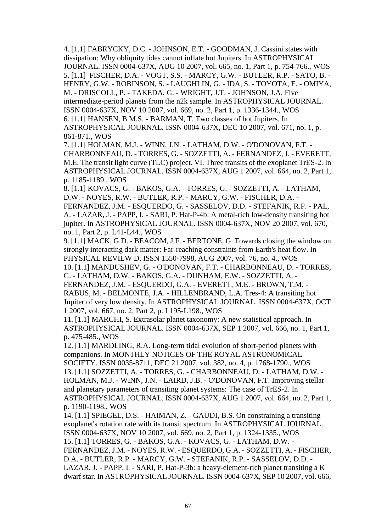4. [1.1] FABRYCKY, D.C. - JOHNSON, E.T. - GOODMAN, J. Cassini states with dissipation: Why obliquity tides cannot inflate hot Jupiters. In ASTROPHYSICAL JOURNAL. ISSN 0004-637X, AUG 10 2007, vol. 665, no. 1, Part 1, p. 754-766., WOS 5. [1.1] FISCHER, D.A. - VOGT, S.S. - MARCY, G.W. - BUTLER, R.P. - SATO, B. - HENRY, G.W. - ROBINSON, S. - LAUGHLIN, G. - IDA, S. - TOYOTA, E. - OMIYA, M. - DRISCOLL, P. - TAKEDA, G. - WRIGHT, J.T. - JOHNSON, J.A. Five intermediate-period planets from the n2k sample. In ASTROPHYSICAL JOURNAL. ISSN 0004-637X, NOV 10 2007, vol. 669, no. 2, Part 1, p. 1336-1344., WOS 6. [1.1] HANSEN, B.M.S. - BARMAN, T. Two classes of hot Jupiters. In ASTROPHYSICAL JOURNAL. ISSN 0004-637X, DEC 10 2007, vol. 671, no. 1, p. 861-871., WOS

 7. [1.1] HOLMAN, M.J. - WINN, J.N. - LATHAM, D.W. - O'DONOVAN, F.T. - CHARBONNEAU, D. - TORRES, G. - SOZZETTI, A. - FERNANDEZ, J. - EVERETT, M.E. The transit light curve (TLC) project. VI. Three transits of the exoplanet TrES-2. In ASTROPHYSICAL JOURNAL. ISSN 0004-637X, AUG 1 2007, vol. 664, no. 2, Part 1, p. 1185-1189., WOS

8. [1.1] KOVACS, G. - BAKOS, G.A. - TORRES, G. - SOZZETTI, A. - LATHAM, D.W. - NOYES, R.W. - BUTLER, R.P. - MARCY, G.W. - FISCHER, D.A. - FERNANDEZ, J.M. - ESQUERDO, G. - SASSELOV, D.D. - STEFANIK, R.P. - PAL, A. - LAZAR, J. - PAPP, I. - SARI, P. Hat-P-4b: A metal-rich low-density transiting hot jupiter. In ASTROPHYSICAL JOURNAL. ISSN 0004-637X, NOV 20 2007, vol. 670, no. 1, Part 2, p. L41-L44., WOS

 9. [1.1] MACK, G.D. - BEACOM, J.F. - BERTONE, G. Towards closing the window on strongly interacting dark matter: Far-reaching constraints from Earth's heat flow. In PHYSICAL REVIEW D. ISSN 1550-7998, AUG 2007, vol. 76, no. 4., WOS 10. [1.1] MANDUSHEV, G. - O'DONOVAN, F.T. - CHARBONNEAU, D. - TORRES, G. - LATHAM, D.W. - BAKOS, G.A. - DUNHAM, E.W. - SOZZETTI, A. - FERNANDEZ, J.M. - ESQUERDO, G.A. - EVERETT, M.E. - BROWN, T.M. -

RABUS, M. - BELMONTE, J.A. - HILLENBRAND, L.A. Tres-4: A transiting hot Jupiter of very low density. In ASTROPHYSICAL JOURNAL. ISSN 0004-637X, OCT 1 2007, vol. 667, no. 2, Part 2, p. L195-L198., WOS

 11. [1.1] MARCHI, S. Extrasolar planet taxonomy: A new statistical approach. In ASTROPHYSICAL JOURNAL. ISSN 0004-637X, SEP 1 2007, vol. 666, no. 1, Part 1, p. 475-485., WOS

12. [1.1] MARDLING, R.A. Long-term tidal evolution of short-period planets with companions. In MONTHLY NOTICES OF THE ROYAL ASTRONOMICAL SOCIETY. ISSN 0035-8711, DEC 21 2007, vol. 382, no. 4, p. 1768-1790., WOS 13. [1.1] SOZZETTI, A. - TORRES, G. - CHARBONNEAU, D. - LATHAM, D.W. - HOLMAN, M.J. - WINN, J.N. - LAIRD, J.B. - O'DONOVAN, F.T. Improving stellar and planetary parameters of transiting planet systems: The case of TrES-2. In ASTROPHYSICAL JOURNAL. ISSN 0004-637X, AUG 1 2007, vol. 664, no. 2, Part 1, p. 1190-1198., WOS

14. [1.1] SPIEGEL, D.S. - HAIMAN, Z. - GAUDI, B.S. On constraining a transiting exoplanet's rotation rate with its transit spectrum. In ASTROPHYSICAL JOURNAL. ISSN 0004-637X, NOV 10 2007, vol. 669, no. 2, Part 1, p. 1324-1335., WOS 15. [1.1] TORRES, G. - BAKOS, G.A. - KOVACS, G. - LATHAM, D.W. - FERNANDEZ, J.M. - NOYES, R.W. - ESQUERDO, G.A. - SOZZETTI, A. - FISCHER, D.A. - BUTLER, R.P. - MARCY, G.W. - STEFANIK, R.P. - SASSELOV, D.D. - LAZAR, J. - PAPP, I. - SARI, P. Hat-P-3b: a heavy-element-rich planet transiting a K dwarf star. In ASTROPHYSICAL JOURNAL. ISSN 0004-637X, SEP 10 2007, vol. 666,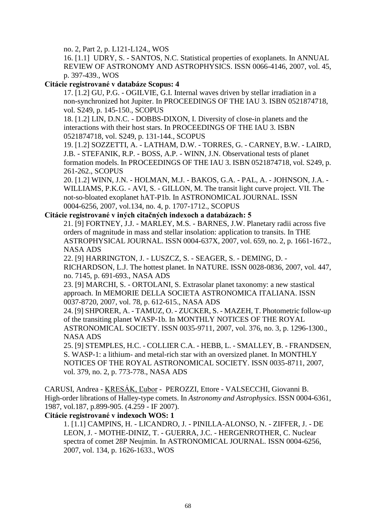no. 2, Part 2, p. L121-L124., WOS

16. [1.1] UDRY, S. - SANTOS, N.C. Statistical properties of exoplanets. In ANNUAL REVIEW OF ASTRONOMY AND ASTROPHYSICS. ISSN 0066-4146, 2007, vol. 45, p. 397-439., WOS

### **Citácie registrované v databáze Scopus: 4**

17. [1.2] GU, P.G. - OGILVIE, G.I. Internal waves driven by stellar irradiation in a non-synchronized hot Jupiter. In PROCEEDINGS OF THE IAU 3. ISBN 0521874718, vol. S249, p. 145-150., SCOPUS

18. [1.2] LIN, D.N.C. - DOBBS-DIXON, I. Diversity of close-in planets and the interactions with their host stars. In PROCEEDINGS OF THE IAU 3. ISBN 0521874718, vol. S249, p. 131-144., SCOPUS

19. [1.2] SOZZETTI, A. - LATHAM, D.W. - TORRES, G. - CARNEY, B.W. - LAIRD, J.B. - STEFANIK, R.P. - BOSS, A.P. - WINN, J.N. Observational tests of planet formation models. In PROCEEDINGS OF THE IAU 3. ISBN 0521874718, vol. S249, p. 261-262., SCOPUS

20. [1.2] WINN, J.N. - HOLMAN, M.J. - BAKOS, G.A. - PAL, A. - JOHNSON, J.A. - WILLIAMS, P.K.G. - AVI, S. - GILLON, M. The transit light curve project. VII. The not-so-bloated exoplanet hAT-P1b. In ASTRONOMICAL JOURNAL. ISSN 0004-6256, 2007, vol.134, no. 4, p. 1707-1712., SCOPUS

### **Citácie registrované v iných citačných indexoch a databázach: 5**

 21. [9] FORTNEY, J.J. - MARLEY, M.S. - BARNES, J.W. Planetary radii across five orders of magnitude in mass and stellar insolation: application to transits. In THE ASTROPHYSICAL JOURNAL. ISSN 0004-637X, 2007, vol. 659, no. 2, p. 1661-1672., NASA ADS

 22. [9] HARRINGTON, J. - LUSZCZ, S. - SEAGER, S. - DEMING, D. - RICHARDSON, L.J. The hottest planet. In NATURE. ISSN 0028-0836, 2007, vol. 447, no. 7145, p. 691-693., NASA ADS

23. [9] MARCHI, S. - ORTOLANI, S. Extrasolar planet taxonomy: a new stastical approach. In MEMORIE DELLA SOCIETA ASTRONOMICA ITALIANA. ISSN 0037-8720, 2007, vol. 78, p. 612-615., NASA ADS

24. [9] SHPORER, A. - TAMUZ, O. - ZUCKER, S. - MAZEH, T. Photometric follow-up of the transiting planet WASP-1b. In MONTHLY NOTICES OF THE ROYAL ASTRONOMICAL SOCIETY. ISSN 0035-9711, 2007, vol. 376, no. 3, p. 1296-1300., NASA ADS

 25. [9] STEMPLES, H.C. - COLLIER C.A. - HEBB, L. - SMALLEY, B. - FRANDSEN, S. WASP-1: a lithium- and metal-rich star with an oversized planet. In MONTHLY NOTICES OF THE ROYAL ASTRONOMICAL SOCIETY. ISSN 0035-8711, 2007, vol. 379, no. 2, p. 773-778., NASA ADS

CARUSI, Andrea - KRESÁK, Ľubor - PEROZZI, Ettore - VALSECCHI, Giovanni B. High-order librations of Halley-type comets. In *Astronomy and Astrophysics*. ISSN 0004-6361, 1987, vol.187, p.899-905. (4.259 - IF 2007).

#### **Citácie registrované v indexoch WOS: 1**

1. [1.1] CAMPINS, H. - LICANDRO, J. - PINILLA-ALONSO, N. - ZIFFER, J. - DE LEON, J. - MOTHE-DINIZ, T. - GUERRA, J.C. - HERGENROTHER, C. Nuclear spectra of comet 28P Neujmin. In ASTRONOMICAL JOURNAL. ISSN 0004-6256, 2007, vol. 134, p. 1626-1633., WOS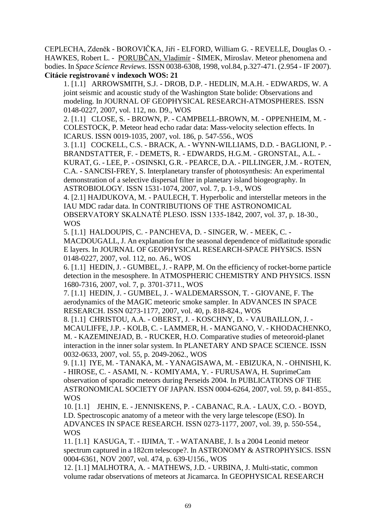CEPLECHA, Zdeněk - BOROVIČKA, Jiří - ELFORD, William G. - REVELLE, Douglas O. - HAWKES, Robert L. - PORUBČAN, Vladimír - ŠIMEK, Miroslav. Meteor phenomena and bodies. In *Space Science Reviews*. ISSN 0038-6308, 1998, vol.84, p.327-471. (2.954 - IF 2007). **Citácie registrované v indexoch WOS: 21**

1. [1.1] ARROWSMITH, S.J. - DROB, D.P. - HEDLIN, M.A.H. - EDWARDS, W. A joint seismic and acoustic study of the Washington State bolide: Observations and modeling. In JOURNAL OF GEOPHYSICAL RESEARCH-ATMOSPHERES. ISSN 0148-0227, 2007, vol. 112, no. D9., WOS

2. [1.1] CLOSE, S. - BROWN, P. - CAMPBELL-BROWN, M. - OPPENHEIM, M. - COLESTOCK, P. Meteor head echo radar data: Mass-velocity selection effects. In ICARUS. ISSN 0019-1035, 2007, vol. 186, p. 547-556., WOS

3. [1.1] COCKELL, C.S. - BRACK, A. - WYNN-WILLIAMS, D.D. - BAGLIONI, P. - BRANDSTATTER, F. - DEMETS, R. - EDWARDS, H.G.M. - GRONSTAL, A.L. - KURAT, G. - LEE, P. - OSINSKI, G.R. - PEARCE, D.A. - PILLINGER, J.M. - ROTEN, C.A. - SANCISI-FREY, S. Interplanetary transfer of photosynthesis: An experimental demonstration of a selective dispersal filter in planetary island biogeography. In ASTROBIOLOGY. ISSN 1531-1074, 2007, vol. 7, p. 1-9., WOS

4. [2.1] HAJDUKOVA, M. - PAULECH, T. Hyperbolic and interstellar meteors in the IAU MDC radar data. In CONTRIBUTIONS OF THE ASTRONOMICAL OBSERVATORY SKALNATÉ PLESO. ISSN 1335-1842, 2007, vol. 37, p. 18-30.,

WOS

5. [1.1] HALDOUPIS, C. - PANCHEVA, D. - SINGER, W. - MEEK, C. - MACDOUGALL, J. An explanation for the seasonal dependence of midlatitude sporadic E layers. In JOURNAL OF GEOPHYSICAL RESEARCH-SPACE PHYSICS. ISSN 0148-0227, 2007, vol. 112, no. A6., WOS

6. [1.1] HEDIN, J. - GUMBEL, J. - RAPP, M. On the efficiency of rocket-borne particle detection in the mesosphere. In ATMOSPHERIC CHEMISTRY AND PHYSICS. ISSN 1680-7316, 2007, vol. 7, p. 3701-3711., WOS

7. [1.1] HEDIN, J. - GUMBEL, J. - WALDEMARSSON, T. - GIOVANE, F. The aerodynamics of the MAGIC meteoric smoke sampler. In ADVANCES IN SPACE RESEARCH. ISSN 0273-1177, 2007, vol. 40, p. 818-824., WOS

8. [1.1] CHRISTOU, A.A. - OBERST, J. - KOSCHNY, D. - VAUBAILLON, J. - MCAULIFFE, J.P. - KOLB, C. - LAMMER, H. - MANGANO, V. - KHODACHENKO, M. - KAZEMINEJAD, B. - RUCKER, H.O. Comparative studies of meteoroid-planet interaction in the inner solar system. In PLANETARY AND SPACE SCIENCE. ISSN 0032-0633, 2007, vol. 55, p. 2049-2062., WOS

9. [1.1] IYE, M. - TANAKA, M. - YANAGISAWA, M. - EBIZUKA, N. - OHNISHI, K. - HIROSE, C. - ASAMI, N. - KOMIYAMA, Y. - FURUSAWA, H. SuprimeCam observation of sporadic meteors during Perseids 2004. In PUBLICATIONS OF THE ASTRONOMICAL SOCIETY OF JAPAN. ISSN 0004-6264, 2007, vol. 59, p. 841-855., WOS

10. [1.1] JEHIN, E. - JENNISKENS, P. - CABANAC, R.A. - LAUX, C.O. - BOYD, I.D. Spectroscopic anatomy of a meteor with the very large telescope (ESO). In ADVANCES IN SPACE RESEARCH. ISSN 0273-1177, 2007, vol. 39, p. 550-554., **WOS** 

11. [1.1] KASUGA, T. - IIJIMA, T. - WATANABE, J. Is a 2004 Leonid meteor spectrum captured in a 182cm telescope?. In ASTRONOMY & ASTROPHYSICS. ISSN 0004-6361, NOV 2007, vol. 474, p. 639-U156., WOS

12. [1.1] MALHOTRA, A. - MATHEWS, J.D. - URBINA, J. Multi-static, common volume radar observations of meteors at Jicamarca. In GEOPHYSICAL RESEARCH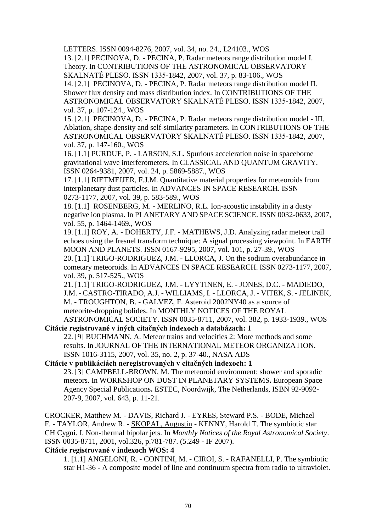LETTERS. ISSN 0094-8276, 2007, vol. 34, no. 24., L24103., WOS 13. [2.1] PECINOVA, D. - PECINA, P. Radar meteors range distribution model I. Theory. In CONTRIBUTIONS OF THE ASTRONOMICAL OBSERVATORY SKALNATÉ PLESO. ISSN 1335-1842, 2007, vol. 37, p. 83-106., WOS 14. [2.1] PECINOVA, D. - PECINA, P. Radar meteors range distribution model II. Shower flux density and mass distribution index. In CONTRIBUTIONS OF THE ASTRONOMICAL OBSERVATORY SKALNATÉ PLESO. ISSN 1335-1842, 2007, vol. 37, p. 107-124., WOS

15. [2.1] PECINOVA, D. - PECINA, P. Radar meteors range distribution model - III. Ablation, shape-density and self-similarity parameters. In CONTRIBUTIONS OF THE ASTRONOMICAL OBSERVATORY SKALNATÉ PLESO. ISSN 1335-1842, 2007, vol. 37, p. 147-160., WOS

16. [1.1] PURDUE, P. - LARSON, S.L. Spurious acceleration noise in spaceborne gravitational wave interferometers. In CLASSICAL AND QUANTUM GRAVITY. ISSN 0264-9381, 2007, vol. 24, p. 5869-5887., WOS

17. [1.1] RIETMEIJER, F.J.M. Quantitative material properties for meteoroids from interplanetary dust particles. In ADVANCES IN SPACE RESEARCH. ISSN 0273-1177, 2007, vol. 39, p. 583-589., WOS

18. [1.1] ROSENBERG, M. - MERLINO, R.L. Ion-acoustic instability in a dusty negative ion plasma. In PLANETARY AND SPACE SCIENCE. ISSN 0032-0633, 2007, vol. 55, p. 1464-1469., WOS

19. [1.1] ROY, A. - DOHERTY, J.F. - MATHEWS, J.D. Analyzing radar meteor trail echoes using the fresnel transform technique: A signal processing viewpoint. In EARTH MOON AND PLANETS. ISSN 0167-9295, 2007, vol. 101, p. 27-39., WOS 20. [1.1] TRIGO-RODRIGUEZ, J.M. - LLORCA, J. On the sodium overabundance in cometary meteoroids. In ADVANCES IN SPACE RESEARCH. ISSN 0273-1177, 2007,

vol. 39, p. 517-525., WOS

21. [1.1] TRIGO-RODRIGUEZ, J.M. - LYYTINEN, E. - JONES, D.C. - MADIEDO, J.M. - CASTRO-TIRADO, A.J. - WILLIAMS, I. - LLORCA, J. - VITEK, S. - JELINEK, M. - TROUGHTON, B. - GALVEZ, F. Asteroid 2002NY40 as a source of meteorite-dropping bolides. In MONTHLY NOTICES OF THE ROYAL ASTRONOMICAL SOCIETY. ISSN 0035-8711, 2007, vol. 382, p. 1933-1939., WOS

**Citácie registrované v iných citačných indexoch a databázach: 1**

 22. [9] BUCHMANN, A. Meteor trains and velocities 2: More methods and some results. In JOURNAL OF THE INTERNATIONAL METEOR ORGANIZATION. ISSN 1016-3115, 2007, vol. 35, no. 2, p. 37-40., NASA ADS

#### **Citácie v publikáciách neregistrovaných v citačných indexoch: 1**

 23. [3] CAMPBELL-BROWN, M. The meteoroid environment: shower and sporadic meteors. In WORKSHOP ON DUST IN PLANETARY SYSTEMS**.** European Space Agency Special Publications**.** ESTEC, Noordwijk, The Netherlands, ISBN 92-9092- 207-9, 2007, vol. 643, p. 11-21.

CROCKER, Matthew M. - DAVIS, Richard J. - EYRES, Steward P.S. - BODE, Michael F. - TAYLOR, Andrew R. - SKOPAL, Augustin - KENNY, Harold T. The symbiotic star CH Cygni. I. Non-thermal bipolar jets. In *Monthly Notices of the Royal Astronomical Society*. ISSN 0035-8711, 2001, vol.326, p.781-787. (5.249 - IF 2007).

## **Citácie registrované v indexoch WOS: 4**

1. [1.1] ANGELONI, R. - CONTINI, M. - CIROI, S. - RAFANELLI, P. The symbiotic star H1-36 - A composite model of line and continuum spectra from radio to ultraviolet.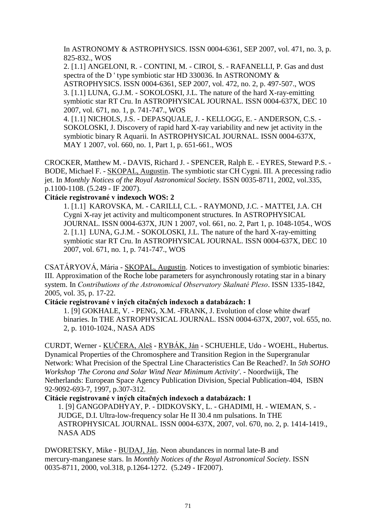In ASTRONOMY & ASTROPHYSICS. ISSN 0004-6361, SEP 2007, vol. 471, no. 3, p. 825-832., WOS

 2. [1.1] ANGELONI, R. - CONTINI, M. - CIROI, S. - RAFANELLI, P. Gas and dust spectra of the D ' type symbiotic star HD 330036. In ASTRONOMY & ASTROPHYSICS. ISSN 0004-6361, SEP 2007, vol. 472, no. 2, p. 497-507., WOS 3. [1.1] LUNA, G.J.M. - SOKOLOSKI, J.L. The nature of the hard X-ray-emitting symbiotic star RT Cru. In ASTROPHYSICAL JOURNAL. ISSN 0004-637X, DEC 10 2007, vol. 671, no. 1, p. 741-747., WOS

4. [1.1] NICHOLS, J.S. - DEPASQUALE, J. - KELLOGG, E. - ANDERSON, C.S. - SOKOLOSKI, J. Discovery of rapid hard X-ray variability and new jet activity in the symbiotic binary R Aquarii. In ASTROPHYSICAL JOURNAL. ISSN 0004-637X, MAY 1 2007, vol. 660, no. 1, Part 1, p. 651-661., WOS

CROCKER, Matthew M. - DAVIS, Richard J. - SPENCER, Ralph E. - EYRES, Steward P.S. - BODE, Michael F. - SKOPAL, Augustin. The symbiotic star CH Cygni. III. A precessing radio jet. In *Monthly Notices of the Royal Astronomical Society*. ISSN 0035-8711, 2002, vol.335, p.1100-1108. (5.249 - IF 2007).

### **Citácie registrované v indexoch WOS: 2**

1. [1.1] KAROVSKA, M. - CARILLI, C.L. - RAYMOND, J.C. - MATTEI, J.A. CH Cygni X-ray jet activity and multicomponent structures. In ASTROPHYSICAL JOURNAL. ISSN 0004-637X, JUN 1 2007, vol. 661, no. 2, Part 1, p. 1048-1054., WOS 2. [1.1] LUNA, G.J.M. - SOKOLOSKI, J.L. The nature of the hard X-ray-emitting symbiotic star RT Cru. In ASTROPHYSICAL JOURNAL. ISSN 0004-637X, DEC 10 2007, vol. 671, no. 1, p. 741-747., WOS

CSATÁRYOVÁ, Mária - SKOPAL, Augustin. Notices to investigation of symbiotic binaries: III. Approximation of the Roche lobe parameters for asynchronously rotating star in a binary system. In *Contributions of the Astronomical Observatory Skalnaté Pleso*. ISSN 1335-1842, 2005, vol. 35, p. 17-22.

## **Citácie registrované v iných citačných indexoch a databázach: 1**

1. [9] GOKHALE, V. - PENG, X.M. -FRANK, J. Evolution of close white dwarf binaries. In THE ASTROPHYSICAL JOURNAL. ISSN 0004-637X, 2007, vol. 655, no. 2, p. 1010-1024., NASA ADS

CURDT, Werner - KUČERA, Aleš - RYBÁK, Ján - SCHUEHLE, Udo - WOEHL, Hubertus. Dynamical Properties of the Chromosphere and Transition Region in the Supergranular Network: What Precision of the Spectral Line Characteristics Can Be Reached?. In *5th SOHO Workshop 'The Corona and Solar Wind Near Minimum Activity'*. - Noordwiijk, The Netherlands: European Space Agency Publication Division, Special Publication-404, ISBN 92-9092-693-7, 1997, p.307-312.

## **Citácie registrované v iných citačných indexoch a databázach: 1**

 1. [9] GANGOPADHYAY, P. - DIDKOVSKY, L. - GHADIMI, H. - WIEMAN, S. - JUDGE, D.I. Ultra-low-frequency solar He II 30.4 nm pulsations. In THE ASTROPHYSICAL JOURNAL. ISSN 0004-637X, 2007, vol. 670, no. 2, p. 1414-1419., NASA ADS

DWORETSKY, Mike - BUDAJ, Ján. Neon abundances in normal late-B and mercury-manganese stars. In *Monthly Notices of the Royal Astronomical Society*. ISSN 0035-8711, 2000, vol.318, p.1264-1272. (5.249 - IF2007).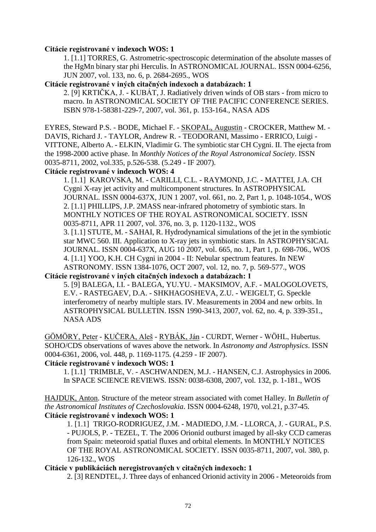#### **Citácie registrované v indexoch WOS: 1**

1. [1.1] TORRES, G. Astrometric-spectroscopic determination of the absolute masses of the HgMn binary star phi Herculis. In ASTRONOMICAL JOURNAL. ISSN 0004-6256, JUN 2007, vol. 133, no. 6, p. 2684-2695., WOS

### **Citácie registrované v iných citačných indexoch a databázach: 1**

2. [9] KRTIČKA, J. - KUBÁT, J. Radiatively driven winds of OB stars - from micro to macro. In ASTRONOMICAL SOCIETY OF THE PACIFIC CONFERENCE SERIES. ISBN 978-1-58381-229-7, 2007, vol. 361, p. 153-164., NASA ADS

EYRES, Steward P.S. - BODE, Michael F. - SKOPAL, Augustin - CROCKER, Matthew M. - DAVIS, Richard J. - TAYLOR, Andrew R. - TEODORANI, Massimo - ERRICO, Luigi - VITTONE, Alberto A. - ELKIN, Vladimir G. The symbiotic star CH Cygni. II. The ejecta from the 1998-2000 active phase. In *Monthly Notices of the Royal Astronomical Society*. ISSN 0035-8711, 2002, vol.335, p.526-538. (5.249 - IF 2007).

#### **Citácie registrované v indexoch WOS: 4**

1. [1.1] KAROVSKA, M. - CARILLI, C.L. - RAYMOND, J.C. - MATTEI, J.A. CH Cygni X-ray jet activity and multicomponent structures. In ASTROPHYSICAL JOURNAL. ISSN 0004-637X, JUN 1 2007, vol. 661, no. 2, Part 1, p. 1048-1054., WOS 2. [1.1] PHILLIPS, J.P. 2MASS near-infrared photometry of symbiotic stars. In MONTHLY NOTICES OF THE ROYAL ASTRONOMICAL SOCIETY. ISSN 0035-8711, APR 11 2007, vol. 376, no. 3, p. 1120-1132., WOS 3. [1.1] STUTE, M. - SAHAI, R. Hydrodynamical simulations of the jet in the symbiotic star MWC 560. III. Application to X-ray jets in symbiotic stars. In ASTROPHYSICAL JOURNAL. ISSN 0004-637X, AUG 10 2007, vol. 665, no. 1, Part 1, p. 698-706., WOS 4. [1.1] YOO, K.H. CH Cygni in 2004 - II: Nebular spectrum features. In NEW ASTRONOMY. ISSN 1384-1076, OCT 2007, vol. 12, no. 7, p. 569-577., WOS

**Citácie registrované v iných citačných indexoch a databázach: 1**

5. [9] BALEGA, I.I. - BALEGA, YU.YU. - MAKSIMOV, A.F. - MALOGOLOVETS, E.V. - RASTEGAEV, D.A. - SHKHAGOSHEVA, Z.U. - WEIGELT, G. Speckle interferometry of nearby multiple stars. IV. Measurements in 2004 and new orbits. In ASTROPHYSICAL BULLETIN. ISSN 1990-3413, 2007, vol. 62, no. 4, p. 339-351., NASA ADS

GÖMÖRY, Peter - KUČERA, Aleš - RYBÁK, Ján - CURDT, Werner - WÖHL, Hubertus. SOHO/CDS observations of waves above the network. In *Astronomy and Astrophysics*. ISSN 0004-6361, 2006, vol. 448, p. 1169-1175. (4.259 - IF 2007).

## **Citácie registrované v indexoch WOS: 1**

1. [1.1] TRIMBLE, V. - ASCHWANDEN, M.J. - HANSEN, C.J. Astrophysics in 2006. In SPACE SCIENCE REVIEWS. ISSN: 0038-6308, 2007, vol. 132, p. 1-181., WOS

HAJDUK, Anton. Structure of the meteor stream associated with comet Halley. In *Bulletin of the Astronomical Institutes of Czechoslovakia*. ISSN 0004-6248, 1970, vol.21, p.37-45. **Citácie registrované v indexoch WOS: 1**

1. [1.1] TRIGO-RODRIGUEZ, J.M. - MADIEDO, J.M. - LLORCA, J. - GURAL, P.S. - PUJOLS, P. - TEZEL, T. The 2006 Orionid outburst imaged by all-sky CCD cameras from Spain: meteoroid spatial fluxes and orbital elements. In MONTHLY NOTICES OF THE ROYAL ASTRONOMICAL SOCIETY. ISSN 0035-8711, 2007, vol. 380, p. 126-132., WOS

#### **Citácie v publikáciách neregistrovaných v citačných indexoch: 1**

2. [3] RENDTEL, J. Three days of enhanced Orionid activity in 2006 - Meteoroids from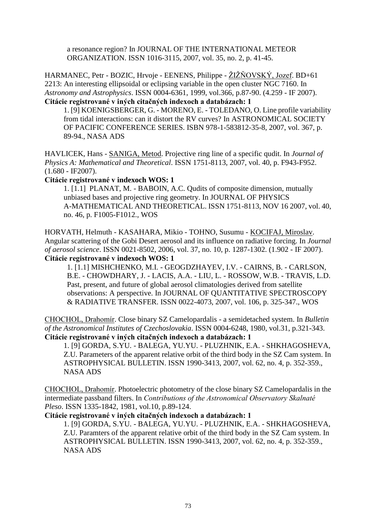a resonance region? In JOURNAL OF THE INTERNATIONAL METEOR ORGANIZATION. ISSN 1016-3115, 2007, vol. 35, no. 2, p. 41-45.

HARMANEC, Petr - BOZIC, Hrvoje - EENENS, Philippe - ŽIŽŇOVSKÝ, Jozef. BD+61 2213: An interesting ellipsoidal or eclipsing variable in the open cluster NGC 7160. In *Astronomy and Astrophysics*. ISSN 0004-6361, 1999, vol.366, p.87-90. (4.259 - IF 2007). **Citácie registrované v iných citačných indexoch a databázach: 1**

1. [9] KOENIGSBERGER, G. - MORENO, E. - TOLEDANO, O. Line profile variability from tidal interactions: can it distort the RV curves? In ASTRONOMICAL SOCIETY OF PACIFIC CONFERENCE SERIES. ISBN 978-1-583812-35-8, 2007, vol. 367, p. 89-94., NASA ADS

HAVLICEK, Hans - SANIGA, Metod. Projective ring line of a specific qudit. In *Journal of Physics A: Mathematical and Theoretical*. ISSN 1751-8113, 2007, vol. 40, p. F943-F952. (1.680 - IF2007).

### **Citácie registrované v indexoch WOS: 1**

1. [1.1] PLANAT, M. - BABOIN, A.C. Qudits of composite dimension, mutually unbiased bases and projective ring geometry. In JOURNAL OF PHYSICS A-MATHEMATICAL AND THEORETICAL. ISSN 1751-8113, NOV 16 2007, vol. 40, no. 46, p. F1005-F1012., WOS

HORVATH, Helmuth - KASAHARA, Mikio - TOHNO, Susumu - KOCIFAJ, Miroslav. Angular scattering of the Gobi Desert aerosol and its influence on radiative forcing. In *Journal of aerosol science*. ISSN 0021-8502, 2006, vol. 37, no. 10, p. 1287-1302. (1.902 - IF 2007). **Citácie registrované v indexoch WOS: 1**

1. [1.1] MISHCHENKO, M.I. - GEOGDZHAYEV, I.V. - CAIRNS, B. - CARLSON, B.E. - CHOWDHARY, J. - LACIS, A.A. - LIU, L. - ROSSOW, W.B. - TRAVIS, L.D. Past, present, and future of global aerosol climatologies derived from satellite observations: A perspective. In JOURNAL OF QUANTITATIVE SPECTROSCOPY & RADIATIVE TRANSFER. ISSN 0022-4073, 2007, vol. 106, p. 325-347., WOS

CHOCHOL, Drahomír. Close binary SZ Camelopardalis - a semidetached system. In *Bulletin of the Astronomical Institutes of Czechoslovakia*. ISSN 0004-6248, 1980, vol.31, p.321-343. **Citácie registrované v iných citačných indexoch a databázach: 1**

1. [9] GORDA, S.YU. - BALEGA, YU.YU. - PLUZHNIK, E.A. - SHKHAGOSHEVA, Z.U. Parameters of the apparent relative orbit of the third body in the SZ Cam system. In ASTROPHYSICAL BULLETIN. ISSN 1990-3413, 2007, vol. 62, no. 4, p. 352-359., NASA ADS

CHOCHOL, Drahomír. Photoelectric photometry of the close binary SZ Camelopardalis in the intermediate passband filters. In *Contributions of the Astronomical Observatory Skalnaté Pleso*. ISSN 1335-1842, 1981, vol.10, p.89-124.

## **Citácie registrované v iných citačných indexoch a databázach: 1**

1. [9] GORDA, S.YU. - BALEGA, YU.YU. - PLUZHNIK, E.A. - SHKHAGOSHEVA, Z.U. Paramters of the apparent relative orbit of the third body in the SZ Cam system. In ASTROPHYSICAL BULLETIN. ISSN 1990-3413, 2007, vol. 62, no. 4, p. 352-359., NASA ADS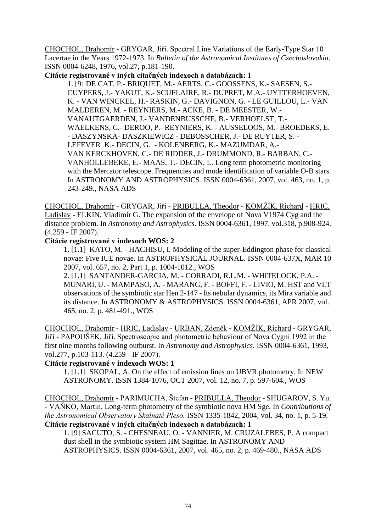CHOCHOL, Drahomír - GRYGAR, Jiří. Spectral Line Variations of the Early-Type Star 10 Lacertae in the Years 1972-1973. In *Bulletin of the Astronomical Institutes of Czechoslovakia*. ISSN 0004-6248, 1976, vol.27, p.181-190.

**Citácie registrované v iných citačných indexoch a databázach: 1**

 1. [9] DE [CAT,](http://adsabs.harvard.edu/cgi-bin/author_form?author=De+Cat,+P&fullauthor=De%20Cat,%20P.&charset=UTF-8&db_key=AST) P.- [BRIQUET,](http://adsabs.harvard.edu/cgi-bin/author_form?author=Briquet,+M&fullauthor=Briquet,%20M.&charset=UTF-8&db_key=AST) M.- [AERTS,](http://adsabs.harvard.edu/cgi-bin/author_form?author=Aerts,+C&fullauthor=Aerts,%20C.&charset=UTF-8&db_key=AST) C.- [GOOSSENS,](http://adsabs.harvard.edu/cgi-bin/author_form?author=Goossens,+K&fullauthor=Goossens,%20K.&charset=UTF-8&db_key=AST) K.- [SAESEN,](http://adsabs.harvard.edu/cgi-bin/author_form?author=Saesen,+S&fullauthor=Saesen,%20S.&charset=UTF-8&db_key=AST) S.- [CUYPERS,](http://adsabs.harvard.edu/cgi-bin/author_form?author=Cuypers,+J&fullauthor=Cuypers,%20J.&charset=UTF-8&db_key=AST) J.- [YAKUT,](http://adsabs.harvard.edu/cgi-bin/author_form?author=Yakut,+K&fullauthor=Yakut,%20K.&charset=UTF-8&db_key=AST) K.- [SCUFLAIRE,](http://adsabs.harvard.edu/cgi-bin/author_form?author=Scuflaire,+R&fullauthor=Scuflaire,%20R.&charset=UTF-8&db_key=AST) R.- [DUPRET,](http://adsabs.harvard.edu/cgi-bin/author_form?author=Dupret,+M&fullauthor=Dupret,%20M.-A.&charset=UTF-8&db_key=AST) M.A.- UYTTERHOEVEN, K. - VAN [WINCKEL,](http://adsabs.harvard.edu/cgi-bin/author_form?author=van+Winckel,+H&fullauthor=van%20Winckel,%20H.&charset=UTF-8&db_key=AST) H.- [RASKIN,](http://adsabs.harvard.edu/cgi-bin/author_form?author=Raskin,+G&fullauthor=Raskin,%20G.&charset=UTF-8&db_key=AST) G.- [DAVIGNON,](http://adsabs.harvard.edu/cgi-bin/author_form?author=Davignon,+G&fullauthor=Davignon,%20G.&charset=UTF-8&db_key=AST) G. - LE [GUILLOU,](http://adsabs.harvard.edu/cgi-bin/author_form?author=Le+Guillou,+L&fullauthor=Le%20Guillou,%20L.&charset=UTF-8&db_key=AST) L.- VAN MALDEREN, M. - [REYNIERS,](http://adsabs.harvard.edu/cgi-bin/author_form?author=Reyniers,+M&fullauthor=Reyniers,%20M.&charset=UTF-8&db_key=AST) M.- [ACKE,](http://adsabs.harvard.edu/cgi-bin/author_form?author=Acke,+B&fullauthor=Acke,%20B.&charset=UTF-8&db_key=AST) B. - DE [MEESTER,](http://adsabs.harvard.edu/cgi-bin/author_form?author=de+Meester,+W&fullauthor=de%20Meester,%20W.&charset=UTF-8&db_key=AST) W.- [VANAUTGAERDEN,](http://adsabs.harvard.edu/cgi-bin/author_form?author=Vanautgaerden,+J&fullauthor=Vanautgaerden,%20J.&charset=UTF-8&db_key=AST) J.- [VANDENBUSSCHE,](http://adsabs.harvard.edu/cgi-bin/author_form?author=Vandenbussche,+B&fullauthor=Vandenbussche,%20B.&charset=UTF-8&db_key=AST) B.- [VERHOELST,](http://adsabs.harvard.edu/cgi-bin/author_form?author=Verhoelst,+T&fullauthor=Verhoelst,%20T.&charset=UTF-8&db_key=AST) T.- [WAELKENS,](http://adsabs.harvard.edu/cgi-bin/author_form?author=Waelkens,+C&fullauthor=Waelkens,%20C.&charset=UTF-8&db_key=AST) C.- [DEROO,](http://adsabs.harvard.edu/cgi-bin/author_form?author=Deroo,+P&fullauthor=Deroo,%20P.&charset=UTF-8&db_key=AST) P.- [REYNIERS,](http://adsabs.harvard.edu/cgi-bin/author_form?author=Reyniers,+K&fullauthor=Reyniers,%20K.&charset=UTF-8&db_key=AST) K. - [AUSSELOOS,](http://adsabs.harvard.edu/cgi-bin/author_form?author=Ausseloos,+M&fullauthor=Ausseloos,%20M.&charset=UTF-8&db_key=AST) M.- BROEDERS, E. - DASZYNSKA- DASZKIEWICZ - [DEBOSSCHER,](http://adsabs.harvard.edu/cgi-bin/author_form?author=Debosscher,+J&fullauthor=Debosscher,%20J.&charset=UTF-8&db_key=AST) J.- DE [RUYTER,](http://adsabs.harvard.edu/cgi-bin/author_form?author=de+Ruyter,+S&fullauthor=de%20Ruyter,%20S.&charset=UTF-8&db_key=AST) S. - [LEFEVER](http://adsabs.harvard.edu/cgi-bin/author_form?author=Lefever,+K&fullauthor=Lefever,%20K.&charset=UTF-8&db_key=AST) K.- [DECIN,](http://adsabs.harvard.edu/cgi-bin/author_form?author=Decin,+G&fullauthor=Decin,%20G.&charset=UTF-8&db_key=AST) G. - [KOLENBERG,](http://adsabs.harvard.edu/cgi-bin/author_form?author=Kolenberg,+K&fullauthor=Kolenberg,%20K.&charset=UTF-8&db_key=AST) K.- [MAZUMDAR,](http://adsabs.harvard.edu/cgi-bin/author_form?author=Mazumdar,+A&fullauthor=Mazumdar,%20A.&charset=UTF-8&db_key=AST) A.- VAN [KERCKHOVEN,](http://adsabs.harvard.edu/cgi-bin/author_form?author=van+Kerckhoven,+C&fullauthor=van%20Kerckhoven,%20C.&charset=UTF-8&db_key=AST) C.- DE [RIDDER,](http://adsabs.harvard.edu/cgi-bin/author_form?author=de+Ridder,+J&fullauthor=de%20Ridder,%20J.&charset=UTF-8&db_key=AST) J.- [DRUMMOND,](http://adsabs.harvard.edu/cgi-bin/author_form?author=Drummond,+R&fullauthor=Drummond,%20R.&charset=UTF-8&db_key=AST) R.- [BARBAN,](http://adsabs.harvard.edu/cgi-bin/author_form?author=Barban,+C&fullauthor=Barban,%20C.&charset=UTF-8&db_key=AST) C.- [VANHOLLEBEKE,](http://adsabs.harvard.edu/cgi-bin/author_form?author=Vanhollebeke,+E&fullauthor=Vanhollebeke,%20E.&charset=UTF-8&db_key=AST) E.- [MAAS,](http://adsabs.harvard.edu/cgi-bin/author_form?author=Maas,+T&fullauthor=Maas,%20T.&charset=UTF-8&db_key=AST) T.- [DECIN,](http://adsabs.harvard.edu/cgi-bin/author_form?author=Decin,+L&fullauthor=Decin,%20L.&charset=UTF-8&db_key=AST) L. Long term photometric monitoring with the Mercator telescope. Frequencies and mode identification of variable O-B stars. In ASTRONOMY AND ASTROPHYSICS. ISSN 0004-6361, 2007, vol. 463, no. 1, p. 243-249., NASA ADS

CHOCHOL, Drahomír - GRYGAR, Jiří - PRIBULLA, Theodor - KOMŽÍK, Richard - HRIC, Ladislav - ELKIN, Vladimir G. The expansion of the envelope of Nova V1974 Cyg and the distance problem. In *Astronomy and Astrophysics*. ISSN 0004-6361, 1997, vol.318, p.908-924. (4.259 - IF 2007).

### **Citácie registrované v indexoch WOS: 2**

1. [1.1] KATO, M. - HACHISU, I. Modeling of the super-Eddington phase for classical novae: Five IUE novae. In ASTROPHYSICAL JOURNAL. ISSN 0004-637X, MAR 10 2007, vol. 657, no. 2, Part 1, p. 1004-1012., WOS

 2. [1.1] SANTANDER-GARCIA, M. - CORRADI, R.L.M. - WHITELOCK, P.A. - MUNARI, U. - MAMPASO, A. - MARANG, F. - BOFFI, F. - LIVIO, M. HST and VLT observations of the symbiotic star Hen 2-147 - Its nebular dynamics, its Mira variable and its distance. In ASTRONOMY & ASTROPHYSICS. ISSN 0004-6361, APR 2007, vol. 465, no. 2, p. 481-491., WOS

CHOCHOL, Drahomír - HRIC, Ladislav - URBAN, Zdeněk - KOMŽÍK, Richard - GRYGAR, Jiří - PAPOUŠEK, Jiří. Spectroscopic and photometric behaviour of Nova Cygni 1992 in the first nine months following outburst. In *Astronomy and Astrophysics*. ISSN 0004-6361, 1993, vol.277, p.103-113. (4.259 - IF 2007).

## **Citácie registrované v indexoch WOS: 1**

1. [1.1] SKOPAL, A. On the effect of emission lines on UBVR photometry. In NEW ASTRONOMY. ISSN 1384-1076, OCT 2007, vol. 12, no. 7, p. 597-604., WOS

CHOCHOL, Drahomír - PARIMUCHA, Štefan - PRIBULLA, Theodor - SHUGAROV, S. Yu. - VAŇKO, Martin. Long-term photometry of the symbiotic nova HM Sge. In *Contributions of the Astronomical Observatory Skalnaté Pleso.* ISSN 1335-1842, 2004, vol. 34, no. 1, p. 5-19. **Citácie registrované v iných citačných indexoch a databázach: 1**

1. [9] SACUTO, S. - CHESNEAU, O. - VANNIER, M. CRUZALEBES, P. A compact dust shell in the symbiotic system HM Sagittae. In ASTRONOMY AND ASTROPHYSICS. ISSN 0004-6361, 2007, vol. 465, no. 2, p. 469-480., NASA ADS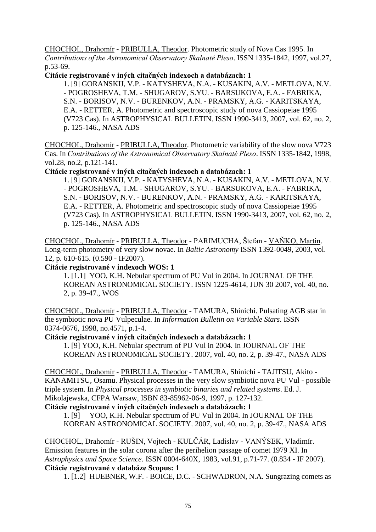CHOCHOL, Drahomír - PRIBULLA, Theodor. Photometric study of Nova Cas 1995. In *Contributions of the Astronomical Observatory Skalnaté Pleso*. ISSN 1335-1842, 1997, vol.27, p.53-69.

### **Citácie registrované v iných citačných indexoch a databázach: 1**

1. [9] GORANSKIJ, V.P. - KATYSHEVA, N.A. - KUSAKIN, A.V. - METLOVA, N.V. - POGROSHEVA, T.M. - SHUGAROV, S.YU. - BARSUKOVA, E.A. - FABRIKA, S.N. - BORISOV, N.V. - BURENKOV, A.N. - PRAMSKY, A.G. - KARITSKAYA, E.A. - RETTER, A. Photometric and spectroscopic study of nova Cassiopeiae 1995 (V723 Cas). In ASTROPHYSICAL BULLETIN. ISSN 1990-3413, 2007, vol. 62, no. 2, p. 125-146., NASA ADS

CHOCHOL, Drahomír - PRIBULLA, Theodor. Photometric variability of the slow nova V723 Cas. In *Contributions of the Astronomical Observatory Skalnaté Pleso*. ISSN 1335-1842, 1998, vol.28, no.2, p.121-141.

**Citácie registrované v iných citačných indexoch a databázach: 1**

1. [9] GORANSKIJ, V.P. - KATYSHEVA, N.A. - KUSAKIN, A.V. - METLOVA, N.V. - POGROSHEVA, T.M. - SHUGAROV, S.YU. - BARSUKOVA, E.A. - FABRIKA, S.N. - BORISOV, N.V. - BURENKOV, A.N. - PRAMSKY, A.G. - KARITSKAYA, E.A. - RETTER, A. Photometric and spectroscopic study of nova Cassiopeiae 1995 (V723 Cas). In ASTROPHYSICAL BULLETIN. ISSN 1990-3413, 2007, vol. 62, no. 2, p. 125-146., NASA ADS

CHOCHOL, Drahomír - PRIBULLA, Theodor - PARIMUCHA, Štefan - VAŇKO, Martin. Long-term photometry of very slow novae. In *Baltic Astronomy* ISSN 1392-0049, 2003, vol. 12, p. 610-615. (0.590 - IF2007).

### **Citácie registrované v indexoch WOS: 1**

1. [1.1] YOO, K.H. Nebular spectrum of PU Vul in 2004. In JOURNAL OF THE KOREAN ASTRONOMICAL SOCIETY. ISSN 1225-4614, JUN 30 2007, vol. 40, no. 2, p. 39-47., WOS

CHOCHOL, Drahomír - PRIBULLA, Theodor - TAMURA, Shinichi. Pulsating AGB star in the symbiotic nova PU Vulpeculae. In *Information Bulletin on Variable Stars*. ISSN 0374-0676, 1998, no.4571, p.1-4.

#### **Citácie registrované v iných citačných indexoch a databázach: 1**

1. [9] YOO, K.H. Nebular spectrum of PU Vul in 2004. In JOURNAL OF THE KOREAN ASTRONOMICAL SOCIETY. 2007, vol. 40, no. 2, p. 39-47., NASA ADS

CHOCHOL, Drahomír - PRIBULLA, Theodor - TAMURA, Shinichi - [TAJITSU,](http://adsabs.harvard.edu/cgi-bin/author_form?author=Tajitsu,+A&fullauthor=Tajitsu,%20A.&charset=UTF-8&db_key=AST) Akito - KANAMITSU, Osamu. Physical processes in the very slow symbiotic nova PU Vul - possible triple system. In *Physical processes in symbiotic binaries and related systems*. Ed. J. Mikolajewska, CFPA Warsaw, ISBN 83-85962-06-9, 1997, p. 127-132.

#### **Citácie registrované v iných citačných indexoch a databázach: 1**

1. [9] YOO, K.H. Nebular spectrum of PU Vul in 2004. In JOURNAL OF THE KOREAN ASTRONOMICAL SOCIETY. 2007, vol. 40, no. 2, p. 39-47., NASA ADS

CHOCHOL, Drahomír - RUŠIN, Vojtech - KULČÁR, Ladislav - VANÝSEK, Vladimír. Emission features in the solar corona after the perihelion passage of comet 1979 XI. In *Astrophysics and Space Science*. ISSN 0004-640X, 1983, vol.91, p.71-77. (0.834 - IF 2007). **Citácie registrované v databáze Scopus: 1**

1. [1.2] HUEBNER, W.F. - BOICE, D.C. - SCHWADRON, N.A. Sungrazing comets as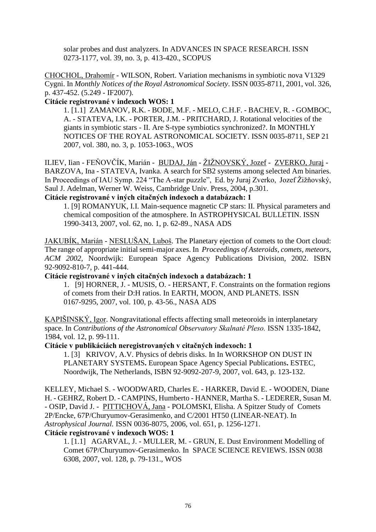solar probes and dust analyzers. In ADVANCES IN SPACE RESEARCH. ISSN 0273-1177, vol. 39, no. 3, p. 413-420., SCOPUS

CHOCHOL, Drahomír - WILSON, Robert. Variation mechanisms in symbiotic nova V1329 Cygni. In *Monthly Notices of the Royal Astronomical Society*. ISSN 0035-8711, 2001, vol. 326, p. 437-452. (5.249 - IF2007).

### **Citácie registrované v indexoch WOS: 1**

1. [1.1] ZAMANOV, R.K. - BODE, M.F. - MELO, C.H.F. - BACHEV, R. - GOMBOC, A. - STATEVA, I.K. - PORTER, J.M. - PRITCHARD, J. Rotational velocities of the giants in symbiotic stars - II. Are S-type symbiotics synchronized?. In MONTHLY NOTICES OF THE ROYAL ASTRONOMICAL SOCIETY. ISSN 0035-8711, SEP 21 2007, vol. 380, no. 3, p. 1053-1063., WOS

ILIEV, Iian - FEŇOVČÍK, Marián - BUDAJ, Ján - ŽIŽNOVSKÝ, Jozef - ZVERKO, Juraj -BARZOVA, Ina - STATEVA, Ivanka. A search for SB2 systems among selected Am binaries. In Proceedings of IAU Symp. 224 "The A-star puzzle", Ed. by Juraj Zverko, Jozef Žižňovský, Saul J. Adelman, Werner W. Weiss, Cambridge Univ. Press, 2004, p.301.

## **Citácie registrované v iných citačných indexoch a databázach: 1**

1. [9] ROMANYUK, I.I. Main-sequence magnetic CP stars: II. Physical parameters and chemical composition of the atmosphere. In ASTROPHYSICAL BULLETIN. ISSN 1990-3413, 2007, vol. 62, no. 1, p. 62-89., NASA ADS

JAKUBÍK, Marián - NESLUŠAN, Luboš. The Planetary ejection of comets to the Oort cloud: The range of appropriate initial semi-major axes. In *Proceedings of Asteroids, comets, meteors, ACM 2002,* Noordwijk: European Space Agency Publications Division, 2002. ISBN 92-9092-810-7, p. 441-444.

#### **Citácie registrované v iných citačných indexoch a databázach: 1**

1. [9] HORNER, J. - MUSIS, O. - HERSANT, F. Constraints on the formation regions of comets from their D:H ratios. In EARTH, MOON, AND PLANETS. ISSN 0167-9295, 2007, vol. 100, p. 43-56., NASA ADS

KAPIŠINSKÝ, Igor. Nongravitational effects affecting small meteoroids in interplanetary space. In *Contributions of the Astronomical Observatory Skalnaté Pleso.* ISSN 1335-1842, 1984, vol. 12, p. 99-111.

## **Citácie v publikáciách neregistrovaných v citačných indexoch: 1**

 1. [3] KRIVOV, A.V. Physics of debris disks. In In WORKSHOP ON DUST IN PLANETARY SYSTEMS**.** European Space Agency Special Publications**.** ESTEC, Noordwijk, The Netherlands, ISBN 92-9092-207-9, 2007, vol. 643, p. 123-132.

KELLEY, Michael S. - WOODWARD, Charles E. - HARKER, David E. - WOODEN, Diane H. - GEHRZ, Robert D. - CAMPINS, Humberto - HANNER, Martha S. - LEDERER, Susan M. - OSIP, David J. - PITTICHOVÁ, Jana - POLOMSKI, Elisha. A Spitzer Study of Comets 2P/Encke, 67P/Churyumov-Gerasimenko, and C/2001 HT50 (LINEAR-NEAT). In *Astrophysical Journal.* ISSN 0036-8075, 2006, vol. 651, p. 1256-1271.

## **Citácie registrované v indexoch WOS: 1**

 1. [1.1] AGARVAL, J. - MULLER, M. - GRUN, E. Dust Environment Modelling of Comet 67P/Churyumov-Gerasimenko. In SPACE SCIENCE REVIEWS. ISSN 0038 6308, 2007, vol. 128, p. 79-131., WOS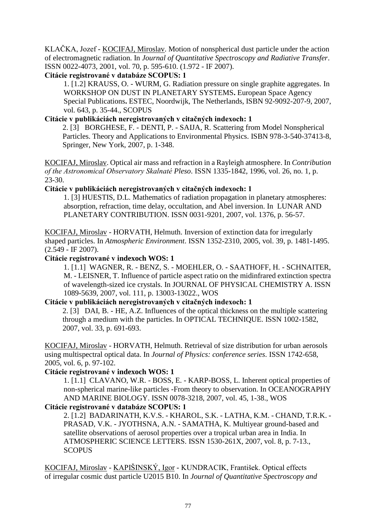KLAČKA, Jozef - KOCIFAJ, Miroslav. Motion of nonspherical dust particle under the action of electromagnetic radiation. In *Journal of Quantitative Spectroscopy and Radiative Transfer*. ISSN 0022-4073, 2001, vol. 70, p. 595-610. (1.972 - IF 2007).

# **Citácie registrované v databáze SCOPUS: 1**

1. [1.2] KRAUSS, O. - WURM, G. Radiation pressure on single graphite aggregates. In WORKSHOP ON DUST IN PLANETARY SYSTEMS**.** European Space Agency Special Publications**.** ESTEC, Noordwijk, The Netherlands, ISBN 92-9092-207-9, 2007, vol. 643, p. 35-44., SCOPUS

## **Citácie v publikáciách neregistrovaných v citačných indexoch: 1**

2. [3] BORGHESE, F. - DENTI, P. - SAIJA, R. Scattering from Model Nonspherical Particles. Theory and Applications to Environmental Physics. ISBN 978-3-540-37413-8, Springer, New York, 2007, p. 1-348.

KOCIFAJ, Miroslav. Optical air mass and refraction in a Rayleigh atmosphere. In *Contribution of the Astronomical Observatory Skalnaté Pleso*. ISSN 1335-1842, 1996, vol. 26, no. 1, p. 23-30.

# **Citácie v publikáciách neregistrovaných v citačných indexoch: 1**

1. [3] HUESTIS, D.L. Mathematics of radiation propagation in planetary atmospheres: absorption, refraction, time delay, occultation, and Abel inversion. In LUNAR AND PLANETARY CONTRIBUTION. ISSN 0031-9201, 2007, vol. 1376, p. 56-57.

KOCIFAJ, Miroslav - HORVATH, Helmuth. Inversion of extinction data for irregularly shaped particles. In *Atmospheric Environment*. ISSN 1352-2310, 2005, vol. 39, p. 1481-1495. (2.549 - IF 2007).

# **Citácie registrované v indexoch WOS: 1**

1. [1.1] WAGNER, R. - BENZ, S. - MOEHLER, O. - SAATHOFF, H. - SCHNAITER, M. - LEISNER, T. Influence of particle aspect ratio on the midinfrared extinction spectra of wavelength-sized ice crystals. In JOURNAL OF PHYSICAL CHEMISTRY A. ISSN 1089-5639, 2007, vol. 111, p. 13003-13022., WOS

## **Citácie v publikáciách neregistrovaných v citačných indexoch: 1**

2. [3] DAI, B. - HE, A.Z. Influences of the optical thickness on the multiple scattering through a medium with the particles. In OPTICAL TECHNIQUE. ISSN 1002-1582, 2007, vol. 33, p. 691-693.

KOCIFAJ, Miroslav - HORVATH, Helmuth. Retrieval of size distribution for urban aerosols using multispectral optical data. In *Journal of Physics: conference series*. ISSN 1742-658, 2005, vol. 6, p. 97-102.

## **Citácie registrované v indexoch WOS: 1**

1. [1.1] CLAVANO, W.R. - BOSS, E. - KARP-BOSS, L. Inherent optical properties of non-spherical marine-like particles -From theory to observation. In OCEANOGRAPHY AND MARINE BIOLOGY. ISSN 0078-3218, 2007, vol. 45, 1-38., WOS

## **Citácie registrované v databáze SCOPUS: 1**

2. [1.2] BADARINATH, K.V.S. - KHAROL, S.K. - LATHA, K.M. - CHAND, T.R.K. - PRASAD, V.K. - JYOTHSNA, A.N. - SAMATHA, K. Multiyear ground-based and satellite observations of aerosol properties over a tropical urban area in India. In ATMOSPHERIC SCIENCE LETTERS. ISSN 1530-261X, 2007, vol. 8, p. 7-13., **SCOPUS** 

KOCIFAJ, Miroslav - KAPIŠINSKÝ, Igor - KUNDRACIK, František. Optical effects of irregular cosmic dust particle U2015 B10. In *Journal of Quantitative Spectroscopy and*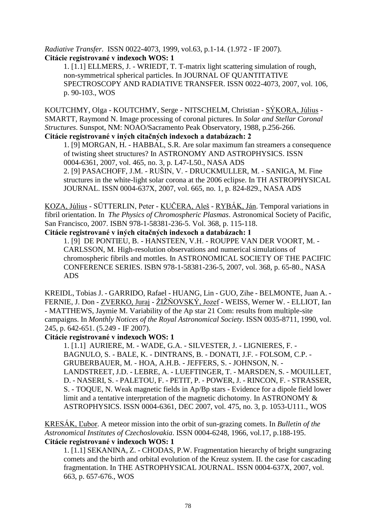*Radiative Transfer*. ISSN 0022-4073, 1999, vol.63, p.1-14. (1.972 - IF 2007). **Citácie registrované v indexoch WOS: 1**

1. [1.1] ELLMERS, J. - WRIEDT, T. T-matrix light scattering simulation of rough, non-symmetrical spherical particles. In JOURNAL OF QUANTITATIVE SPECTROSCOPY AND RADIATIVE TRANSFER. ISSN 0022-4073, 2007, vol. 106, p. 90-103., WOS

KOUTCHMY, Olga - KOUTCHMY, Serge - NITSCHELM, Christian - SÝKORA, Július - SMARTT, Raymond N. Image processing of coronal pictures. In *Solar and Stellar Coronal Structures*. Sunspot, NM: NOAO/Sacramento Peak Observatory, 1988, p.256-266. **Citácie registrované v iných citačných indexoch a databázach: 2**

1. [9] MORGAN, H. - HABBAL, S.R. Are solar maximum fan streamers a consequence of twisting sheet structures? In ASTRONOMY AND ASTROPHYSICS. ISSN 0004-6361, 2007, vol. 465, no. 3, p. L47-L50., NASA ADS 2. [9] PASACHOFF, J.M. - RUŠIN, V. - DRUCKMULLER, M. - SANIGA, M. Fine structures in the white-light solar corona at the 2006 eclipse. In TH ASTROPHYSICAL JOURNAL. ISSN 0004-637X, 2007, vol. 665, no. 1, p. 824-829., NASA ADS

KOZA, Július - SÜTTERLIN, Peter - KUČERA, Aleš - RYBÁK, Ján. Temporal variations in fibril orientation. In *The Physics of Chromospheric Plasmas*. Astronomical Society of Pacific, San Francisco, 2007. ISBN 978-1-58381-236-5. Vol. 368, p. 115-118.

**Citácie registrované v iných citačných indexoch a databázach: 1**

1. [9] DE PONTIEU, B. - HANSTEEN, V.H. - ROUPPE VAN DER VOORT, M. - CARLSSON, M. High-resolution observations and numerical simulations of chromospheric fibrils and mottles. In ASTRONOMICAL SOCIETY OF THE PACIFIC CONFERENCE SERIES. ISBN 978-1-58381-236-5, 2007, vol. 368, p. 65-80., NASA ADS

KREIDL, Tobias J. - GARRIDO, Rafael - HUANG, Lin - GUO, Zihe - BELMONTE, Juan A. - FERNIE, J. Don - ZVERKO, Juraj - ŽIŽŇOVSKÝ, Jozef - WEISS, Werner W. - ELLIOT, Ian - MATTHEWS, Jaymie M. Variability of the Ap star 21 Com: results from multiple-site campaigns. In *Monthly Notices of the Royal Astronomical Society*. ISSN 0035-8711, 1990, vol. 245, p. 642-651. (5.249 - IF 2007).

## **Citácie registrované v indexoch WOS: 1**

1. [1.1] AURIERE, M. - WADE, G.A. - SILVESTER, J. - LIGNIERES, F. - BAGNULO, S. - BALE, K. - DINTRANS, B. - DONATI, J.F. - FOLSOM, C.P. - GRUBERBAUER, M. - HOA, A.H.B. - JEFFERS, S. - JOHNSON, N. - LANDSTREET, J.D. - LEBRE, A. - LUEFTINGER, T. - MARSDEN, S. - MOUILLET, D. - NASERI, S. - PALETOU, F. - PETIT, P. - POWER, J. - RINCON, F. - STRASSER, S. - TOQUE, N. Weak magnetic fields in Ap/Bp stars - Evidence for a dipole field lower limit and a tentative interpretation of the magnetic dichotomy. In ASTRONOMY & ASTROPHYSICS. ISSN 0004-6361, DEC 2007, vol. 475, no. 3, p. 1053-U111., WOS

KRESÁK, Ľubor. A meteor mission into the orbit of sun-grazing comets. In *Bulletin of the Astronomical Institutes of Czechoslovakia*. ISSN 0004-6248, 1966, vol.17, p.188-195. **Citácie registrované v indexoch WOS: 1**

 1. [1.1] SEKANINA, Z. - CHODAS, P.W. Fragmentation hierarchy of bright sungrazing comets and the birth and orbital evolution of the Kreuz system. II. the case for cascading fragmentation. In THE ASTROPHYSICAL JOURNAL. ISSN 0004-637X, 2007, vol. 663, p. 657-676., WOS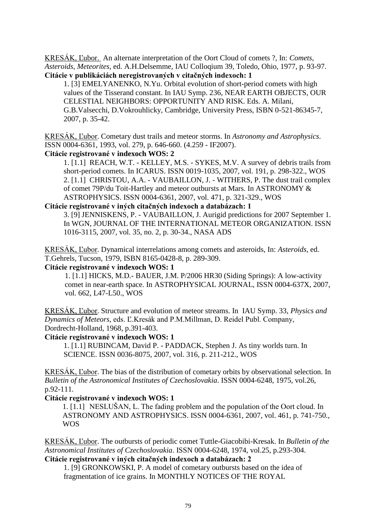KRESÁK, Ľubor. An alternate interpretation of the Oort Cloud of comets ?, In: *Comets, Asteroids, Meteorites,* ed. A.H.Delsemme, IAU Colloqium 39, Toledo, Ohio, 1977, p. 93-97. **Citácie v publikáciách neregistrovaných v citačných indexoch: 1**

 1. [3] EMELYANENKO, N.Yu. Orbital evolution of short-period comets with high values of the Tisserand constant. In IAU Symp. 236, NEAR EARTH OBJECTS, OUR CELESTIAL NEIGHBORS: OPPORTUNITY AND RISK. Eds. A. Milani, G.B.Valsecchi, D.Vokrouhlicky, Cambridge, University Press, ISBN 0-521-86345-7, 2007, p. 35-42.

KRESÁK, Ľubor. Cometary dust trails and meteor storms. In *Astronomy and Astrophysics*. ISSN 0004-6361, 1993, vol. 279, p. 646-660. (4.259 - IF2007).

#### **Citácie registrované v indexoch WOS: 2**

1. [1.1] REACH, W.T. - KELLEY, M.S. - SYKES, M.V. A survey of debris trails from short-period comets. In ICARUS. ISSN 0019-1035, 2007, vol. 191, p. 298-322., WOS 2. [1.1] CHRISTOU, A.A. - VAUBAILLON, J. - WITHERS, P. The dust trail complex of comet 79P/du Toit-Hartley and meteor outbursts at Mars. In ASTRONOMY & ASTROPHYSICS. ISSN 0004-6361, 2007, vol. 471, p. 321-329., WOS

#### **Citácie registrované v iných citačných indexoch a databázach: 1**

3. [9] JENNISKENS, P. - VAUBAILLON, J. Aurigid predictions for 2007 September 1. In WGN, JOURNAL OF THE INTERNATIONAL METEOR ORGANIZATION. ISSN 1016-3115, 2007, vol. 35, no. 2, p. 30-34., NASA ADS

KRESÁK, Ľubor. Dynamical interrelations among comets and asteroids, In: *Asteroids,* ed. T.Gehrels, Tucson, 1979, ISBN 8165-0428-8, p. 289-309.

#### **Citácie registrované v indexoch WOS: 1**

1. [1.1] HICKS, M.D.- BAUER, J.M. P/2006 HR30 (Siding Springs): A low-activity comet in near-earth space. In ASTROPHYSICAL JOURNAL, ISSN 0004-637X, 2007, vol. 662, L47-L50., WOS

KRESÁK, Ľubor. Structure and evolution of meteor streams. In IAU Symp. 33, *Physics and Dynamics of Meteors,* eds. Ľ.Kresák and P.M.Millman, D. Reidel Publ. Company, Dordrecht-Holland, 1968, p.391-403.

#### **Citácie registrované v indexoch WOS: 1**

1. [1.1] RUBINCAM, David P. - PADDACK, Stephen J. As tiny worlds turn. In SCIENCE. ISSN 0036-8075, 2007, vol. 316, p. 211-212., WOS

KRESÁK, Ľubor. The bias of the distribution of cometary orbits by observational selection. In *Bulletin of the Astronomical Institutes of Czechoslovakia*. ISSN 0004-6248, 1975, vol.26, p.92-111.

#### **Citácie registrované v indexoch WOS: 1**

1. [1.1] NESLUŠAN, L. The fading problem and the population of the Oort cloud. In ASTRONOMY AND ASTROPHYSICS. ISSN 0004-6361, 2007, vol. 461, p. 741-750., WOS

KRESÁK, Ľubor. The outbursts of periodic comet Tuttle-Giacobibi-Kresak. In *Bulletin of the Astronomical Institutes of Czechoslovakia*. ISSN 0004-6248, 1974, vol.25, p.293-304. **Citácie registrované v iných citačných indexoch a databázach: 2**

1. [9] GRONKOWSKI, P. A model of cometary outbursts based on the idea of fragmentation of ice grains. In MONTHLY NOTICES OF THE ROYAL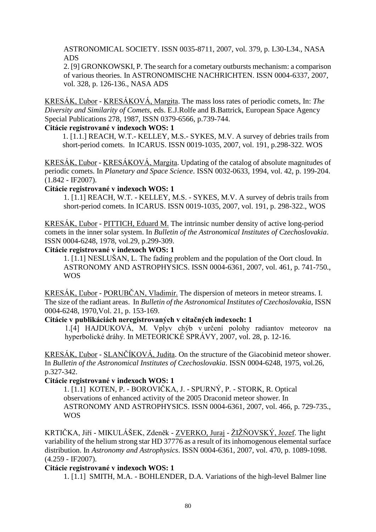ASTRONOMICAL SOCIETY. ISSN 0035-8711, 2007, vol. 379, p. L30-L34., NASA ADS

2. [9] GRONKOWSKI, P. The search for a cometary outbursts mechanism: a comparison of various theories. In ASTRONOMISCHE NACHRICHTEN. ISSN 0004-6337, 2007, vol. 328, p. 126-136., NASA ADS

KRESÁK, Ľubor - KRESÁKOVÁ, Margita. The mass loss rates of periodic comets, In: *The Diversity and Similarity of Comets,* eds. E.J.Rolfe and B.Battrick, European Space Agency Special Publications 278, 1987, ISSN 0379-6566, p.739-744.

#### **Citácie registrované v indexoch WOS: 1**

1. [1.1.] REACH, W.T.- KELLEY, M.S.- SYKES, M.V. A survey of debries trails from short-period comets. In ICARUS. ISSN 0019-1035, 2007, vol. 191, p.298-322. WOS

KRESÁK, Ľubor - KRESÁKOVÁ, Margita. Updating of the catalog of absolute magnitudes of periodic comets. In *Planetary and Space Science*. ISSN 0032-0633, 1994, vol. 42, p. 199-204. (1.842 - IF2007).

#### **Citácie registrované v indexoch WOS: 1**

1. [1.1] REACH, W.T. - KELLEY, M.S. - SYKES, M.V. A survey of debris trails from short-period comets. In ICARUS. ISSN 0019-1035, 2007, vol. 191, p. 298-322., WOS

KRESÁK, Ľubor - PITTICH, Eduard M. The intrinsic number density of active long-period comets in the inner solar system. In *Bulletin of the Astronomical Institutes of Czechoslovakia*. ISSN 0004-6248, 1978, vol.29, p.299-309.

#### **Citácie registrované v indexoch WOS: 1**

1. [1.1] NESLUŠAN, L. The fading problem and the population of the Oort cloud. In ASTRONOMY AND ASTROPHYSICS. ISSN 0004-6361, 2007, vol. 461, p. 741-750., WOS

KRESÁK, Ľubor - PORUBČAN, Vladimír. The dispersion of meteors in meteor streams. I. The size of the radiant areas. In *Bulletin of the Astronomical Institutes of Czechoslovakia*, ISSN 0004-6248, 1970,Vol. 21, p. 153-169.

### **Citácie v publikáciách neregistrovaných v citačných indexoch: 1**

1.[4] HAJDUKOVÁ, M. Vplyv chýb v určení polohy radiantov meteorov na hyperbolické dráhy. In METEORICKÉ SPRÁVY*,* 2007, vol. 28, p. 12-16.

KRESÁK, Ľubor - SLANČÍKOVÁ, Judita. On the structure of the Giacobinid meteor shower. In *Bulletin of the Astronomical Institutes of Czechoslovakia*. ISSN 0004-6248, 1975, vol.26, p.327-342.

#### **Citácie registrované v indexoch WOS: 1**

1. [1.1] KOTEN, P. - BOROVIČKA, J. - SPURNÝ, P. - STORK, R. Optical observations of enhanced activity of the 2005 Draconid meteor shower. In ASTRONOMY AND ASTROPHYSICS. ISSN 0004-6361, 2007, vol. 466, p. 729-735., WOS

KRTIČKA, Jiří - MIKULÁŠEK, Zdeněk - ZVERKO, Juraj - ŽIŽŇOVSKÝ, Jozef. The light variability of the helium strong star HD 37776 as a result of its inhomogenous elemental surface distribution. In *Astronomy and Astrophysics*. ISSN 0004-6361, 2007, vol. 470, p. 1089-1098. (4.259 - IF2007).

#### **Citácie registrované v indexoch WOS: 1**

1. [1.1] SMITH, M.A. - BOHLENDER, D.A. Variations of the high-level Balmer line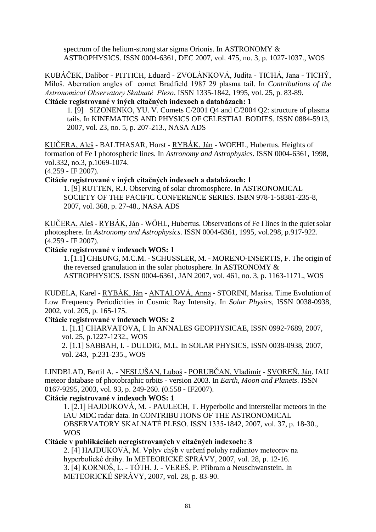spectrum of the helium-strong star sigma Orionis. In ASTRONOMY & ASTROPHYSICS. ISSN 0004-6361, DEC 2007, vol. 475, no. 3, p. 1027-1037., WOS

KUBÁČEK, Dalibor - PITTICH, Eduard - ZVOLÁNKOVÁ, Judita - TICHÁ, Jana - TICHÝ, Miloš. Aberration angles of comet Bradfield 1987 29 plasma tail. In *Contributions of the Astronomical Observatory Skalnaté Pleso*. ISSN 1335-1842, 1995, vol. 25, p. 83-89. **Citácie registrované v iných citačných indexoch a databázach: 1**

1. [9] SIZONENKO, YU. V. Comets C/2001 Q4 and C/2004 Q2: structure of plasma tails. In KINEMATICS AND PHYSICS OF CELESTIAL BODIES. ISSN 0884-5913, 2007, vol. 23, no. 5, p. 207-213., NASA ADS

KUČERA, Aleš - BALTHASAR, Horst - RYBÁK, Ján - WOEHL, Hubertus. Heights of formation of Fe I photospheric lines. In *Astronomy and Astrophysics*. ISSN 0004-6361, 1998, vol.332, no.3, p.1069-1074.

(4.259 - IF 2007).

**Citácie registrované v iných citačných indexoch a databázach: 1**

1. [9] RUTTEN, R.J. Observing of solar chromosphere. In ASTRONOMICAL SOCIETY OF THE PACIFIC CONFERENCE SERIES. ISBN 978-1-58381-235-8, 2007, vol. 368, p. 27-48., NASA ADS

KUČERA, Aleš - RYBÁK, Ján - WÖHL, Hubertus. Observations of Fe I lines in the quiet solar photosphere. In *Astronomy and Astrophysics*. ISSN 0004-6361, 1995, vol.298, p.917-922. (4.259 - IF 2007).

**Citácie registrované v indexoch WOS: 1**

1. [1.1] CHEUNG, M.C.M. - SCHUSSLER, M. - MORENO-INSERTIS, F. The origin of the reversed granulation in the solar photosphere. In ASTRONOMY & ASTROPHYSICS. ISSN 0004-6361, JAN 2007, vol. 461, no. 3, p. 1163-1171., WOS

KUDELA, Karel - RYBÁK, Ján - ANTALOVÁ, Anna - STORINI, Marisa. Time Evolution of Low Frequency Periodicities in Cosmic Ray Intensity. In *Solar Physics,* ISSN 0038-0938, 2002, vol. 205, p. 165-175.

### **Citácie registrované v indexoch WOS: 2**

 1. [1.1] CHARVATOVA, I. In ANNALES GEOPHYSICAE, ISSN 0992-7689, 2007, vol. 25, p.1227-1232., WOS

 2. [1.1] SABBAH, I. - DULDIG, M.L. In SOLAR PHYSICS*,* ISSN 0038-0938, 2007, vol. 243, p.231-235., WOS

LINDBLAD, Bertil A. - NESLUŠAN, Luboš - PORUBČAN, Vladimír - SVOREŇ, Ján. IAU meteor database of photobraphic orbits - version 2003. In *Earth, Moon and Planets*. ISSN 0167-9295, 2003, vol. 93, p. 249-260. (0.558 - IF2007).

### **Citácie registrované v indexoch WOS: 1**

1. [2.1] HAJDUKOVÁ, M. - PAULECH, T. Hyperbolic and interstellar meteors in the IAU MDC radar data. In CONTRIBUTIONS OF THE ASTRONOMICAL OBSERVATORY SKALNATÉ PLESO. ISSN 1335-1842, 2007, vol. 37, p. 18-30., WOS

**Citácie v publikáciách neregistrovaných v citačných indexoch: 3**

 2. [4] HAJDUKOVÁ, M. Vplyv chýb v určení polohy radiantov meteorov na hyperbolické dráhy. In METEORICKÉ SPRÁVY*,* 2007, vol. 28, p. 12-16. 3. [4] KORNOŠ, L. - TÓTH, J. - VEREŠ, P. Příbram a Neuschwanstein. In METEORICKÉ SPRÁVY*,* 2007, vol. 28, p. 83-90.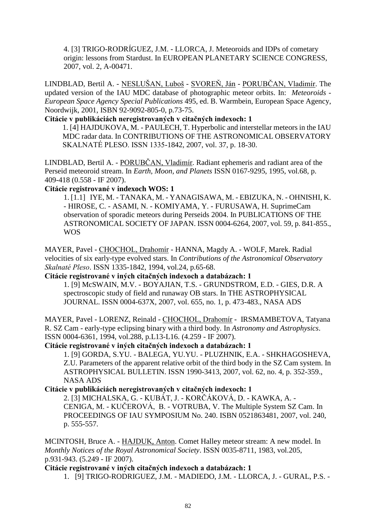4. [3] TRIGO-RODRÍGUEZ, J.M. - LLORCA, J. Meteoroids and IDPs of cometary origin: lessons from Stardust. In EUROPEAN PLANETARY SCIENCE CONGRESS, 2007, vol. 2, A-00471.

LINDBLAD, Bertil A. - NESLUŠAN, Luboš - SVOREŇ, Ján - PORUBČAN, Vladimír. The updated version of the IAU MDC database of photographic meteor orbits. In: *Meteoroids - European Space Agency Special Publications* 495, ed. B. Warmbein, European Space Agency, Noordwijk, 2001, ISBN 92-9092-805-0, p.73-75.

# **Citácie v publikáciách neregistrovaných v citačných indexoch: 1**

1. [4] HAJDUKOVA, M. - PAULECH, T. Hyperbolic and interstellar meteors in the IAU MDC radar data. In CONTRIBUTIONS OF THE ASTRONOMICAL OBSERVATORY SKALNATÉ PLESO. ISSN 1335-1842, 2007, vol. 37, p. 18-30.

LINDBLAD, Bertil A. - PORUBČAN, Vladimír. Radiant ephemeris and radiant area of the Perseid meteoroid stream. In *Earth, Moon, and Planets* ISSN 0167-9295, 1995, vol.68, p. 409-418 (0.558 - IF 2007).

### **Citácie registrované v indexoch WOS: 1**

1. [1.1] IYE, M. - TANAKA, M. - YANAGISAWA, M. - EBIZUKA, N. - OHNISHI, K. - HIROSE, C. - ASAMI, N. - KOMIYAMA, Y. - FURUSAWA, H. SuprimeCam observation of sporadic meteors during Perseids 2004. In PUBLICATIONS OF THE ASTRONOMICAL SOCIETY OF JAPAN. ISSN 0004-6264, 2007, vol. 59, p. 841-855., WOS

MAYER, Pavel - CHOCHOL, Drahomír - HANNA, Magdy A. - WOLF, Marek. Radial velocities of six early-type evolved stars. In *Contributions of the Astronomical Observatory Skalnaté Pleso*. ISSN 1335-1842, 1994, vol.24, p.65-68.

### **Citácie registrované v iných citačných indexoch a databázach: 1**

1. [9] McSWAIN, M.V. - BOYAJIAN, T.S. - GRUNDSTROM, E.D. - GIES, D.R. A spectroscopic study of field and runaway OB stars. In THE ASTROPHYSICAL JOURNAL. ISSN 0004-637X, 2007, vol. 655, no. 1, p. 473-483., NASA ADS

MAYER, Pavel - LORENZ, Reinald - CHOCHOL, Drahomír - IRSMAMBETOVA, Tatyana R. SZ Cam - early-type eclipsing binary with a third body. In *Astronomy and Astrophysics*. ISSN 0004-6361, 1994, vol.288, p.L13-L16. (4.259 - IF 2007).

### **Citácie registrované v iných citačných indexoch a databázach: 1**

1. [9] GORDA, S.YU. - BALEGA, YU.YU. - PLUZHNIK, E.A. - SHKHAGOSHEVA, Z.U. Parameters of the apparent relative orbit of the third body in the SZ Cam system. In ASTROPHYSICAL BULLETIN. ISSN 1990-3413, 2007, vol. 62, no. 4, p. 352-359., NASA ADS

## **Citácie v publikáciách neregistrovaných v citačných indexoch: 1**

2. [3] MICHALSKA, G. - KUBÁT, J. - KORČÁKOVÁ, D. - KAWKA, A. - CENIGA, M. - KUČEROVÁ, B. - VOTRUBA, V. The Multiple System SZ Cam. In PROCEEDINGS OF IAU SYMPOSIUM No. 240. ISBN 0521863481, 2007, vol. 240, p. 555-557.

MCINTOSH, Bruce A. - HAJDUK, Anton. Comet Halley meteor stream: A new model. In *Monthly Notices of the Royal Astronomical Society*. ISSN 0035-8711, 1983, vol.205, p.931-943. (5.249 - IF 2007).

**Citácie registrované v iných citačných indexoch a databázach: 1**

1. [9] TRIGO-RODRIGUEZ, J.M. - MADIEDO, J.M. - LLORCA, J. - GURAL, P.S. -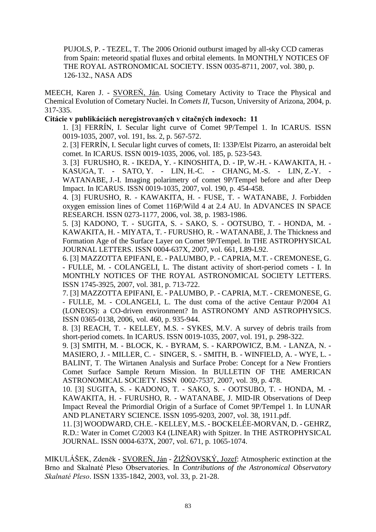PUJOLS, P. - TEZEL, T. The 2006 Orionid outburst imaged by all-sky CCD cameras from Spain: meteorid spatial fluxes and orbital elements. In MONTHLY NOTICES OF THE ROYAL ASTRONOMICAL SOCIETY. ISSN 0035-8711, 2007, vol. 380, p. 126-132., NASA ADS

MEECH, Karen J. - SVOREŇ, Ján. Using Cometary Activity to Trace the Physical and Chemical Evolution of Cometary Nuclei. In *Comets II,* Tucson, University of Arizona, 2004, p. 317-335.

#### **Citácie v publikáciách neregistrovaných v citačných indexoch: 11**

1. [3] FERRÍN, I. Secular light curve of Comet 9P/Tempel 1. In ICARUS. ISSN 0019-1035, 2007, vol. 191, Iss. 2, p. 567-572.

2. [3] FERRÍN, I. Secular light curves of comets, II: 133P/Elst Pizarro, an asteroidal belt comet. In ICARUS. ISSN 0019-1035, 2006, vol. 185, p. 523-543.

3. [3] FURUSHO, R. - IKEDA, Y. - KINOSHITA, D. - IP, W.-H. - KAWAKITA, H. - KASUGA, T. - SATO, Y. - LIN, H.-C. - CHANG, M.-S. - LIN, Z.-Y. - WATANABE, J.-I. Imaging polarimetry of comet 9P/Tempel before and after Deep Impact. In ICARUS. ISSN 0019-1035, 2007, vol. 190, p. 454-458.

4. [3] FURUSHO, R. - KAWAKITA, H. - FUSE, T. - WATANABE, J. Forbidden oxygen emission lines of Comet 116P/Wild 4 at 2.4 AU. In ADVANCES IN SPACE RESEARCH. ISSN 0273-1177, 2006, vol. 38, p. 1983-1986.

5. [3] KADONO, T. - SUGITA, S. - SAKO, S. - OOTSUBO, T. - HONDA, M. - KAWAKITA, H. - MIYATA, T. - FURUSHO, R. - WATANABE, J. The Thickness and Formation Age of the Surface Layer on Comet 9P/Tempel. In THE ASTROPHYSICAL JOURNAL LETTERS. ISSN 0004-637X, 2007, vol. 661, L89-L92.

6. [3] MAZZOTTA EPIFANI, E. - PALUMBO, P. - CAPRIA, M.T. - CREMONESE, G. - FULLE, M. - COLANGELI, L. The distant activity of short-period comets - I. In MONTHLY NOTICES OF THE ROYAL ASTRONOMICAL SOCIETY LETTERS. ISSN 1745-3925, 2007, vol. 381, p. 713-722.

7. [3] MAZZOTTA EPIFANI, E. - PALUMBO, P. - CAPRIA, M.T. - CREMONESE, G. - FULLE, M. - COLANGELI, L. The dust coma of the active Centaur P/2004 A1 (LONEOS): a CO-driven environment? In ASTRONOMY AND ASTROPHYSICS. ISSN 0365-0138, 2006, vol. 460, p. 935-944.

8. [3] REACH, T. - KELLEY, M.S. - SYKES, M.V. A survey of debris trails from short-period comets. In ICARUS. ISSN 0019-1035, 2007, vol. 191, p. 298-322.

9. [3] SMITH, M. - BLOCK, K. - BYRAM, S. - KARPOWICZ, B.M. - LANZA, N. - MASIERO, J. - MILLER, C. - SINGER, S. - SMITH, B. - WINFIELD, A. - WYE, L. - BALINT, T. The Wirtanen Analysis and Surface Probe: Concept for a New Frontiers Comet Surface Sample Return Mission. In BULLETIN OF THE AMERICAN ASTRONOMICAL SOCIETY. ISSN 0002-7537, 2007, vol. 39, p. 478.

10. [3] SUGITA, S. - KADONO, T. - SAKO, S. - OOTSUBO, T. - HONDA, M. - KAWAKITA, H. - FURUSHO, R. - WATANABE, J. MID-IR Observations of Deep Impact Reveal the Primordial Origin of a Surface of Comet 9P/Tempel 1. In LUNAR AND PLANETARY SCIENCE. ISSN 1095-9203, 2007, vol. 38, 1911.pdf.

11. [3] WOODWARD, CH.E. - KELLEY, M.S. - BOCKELÉE-MORVAN, D. - GEHRZ, R.D.: Water in Comet C/2003 K4 (LINEAR) with Spitzer. In THE ASTROPHYSICAL JOURNAL. ISSN 0004-637X, 2007, vol. 671, p. 1065-1074.

MIKULÁŠEK, Zdeněk - SVOREŇ, Ján - ŽIŽŇOVSKÝ, Jozef: Atmospheric extinction at the Brno and Skalnaté Pleso Observatories. In *Contributions of the Astronomical Observatory Skalnaté Pleso*. ISSN 1335-1842, 2003, vol. 33, p. 21-28.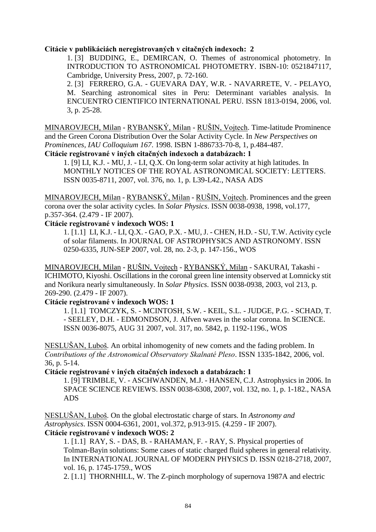#### **Citácie v publikáciách neregistrovaných v citačných indexoch: 2**

1. [3] BUDDING, E., DEMIRCAN, O. Themes of astronomical photometry. In INTRODUCTION TO ASTRONOMICAL PHOTOMETRY. ISBN-10: 0521847117, Cambridge, University Press, 2007, p. 72-160.

2. [3] FERRERO, G.A. - GUEVARA DAY, W.R. - NAVARRETE, V. - PELAYO, M. Searching astronomical sites in Peru: Determinant variables analysis. In ENCUENTRO CIENTIFICO INTERNATIONAL PERU. ISSN 1813-0194, 2006, vol. 3, p. 25-28.

MINAROVJECH, Milan - RYBANSKÝ, Milan - RUŠIN, Vojtech. Time-latitude Prominence and the Green Corona Distribution Over the Solar Activity Cycle. In *New Perspectives on Prominences, IAU Colloquium 167*. 1998. ISBN 1-886733-70-8, 1, p.484-487. **Citácie registrované v iných citačných indexoch a databázach: 1**

1. [9] LI, K.J. - MU, J. - LI, Q.X. On long-term solar activity at high latitudes. In MONTHLY NOTICES OF THE ROYAL ASTRONOMICAL SOCIETY: LETTERS.

ISSN 0035-8711, 2007, vol. 376, no. 1, p. L39-L42., NASA ADS

MINAROVJECH, Milan - RYBANSKÝ, Milan - RUŠIN, Vojtech. Prominences and the green corona over the solar activity cycles. In *Solar Physics*. ISSN 0038-0938, 1998, vol.177, p.357-364. (2.479 - IF 2007).

#### **Citácie registrované v indexoch WOS: 1**

1. [1.1] LI, K.J. - LI, Q.X. - GAO, P.X. - MU, J. - CHEN, H.D. - SU, T.W. Activity cycle of solar filaments. In JOURNAL OF ASTROPHYSICS AND ASTRONOMY. ISSN 0250-6335, JUN-SEP 2007, vol. 28, no. 2-3, p. 147-156., WOS

MINAROVJECH, Milan - RUŠIN, Vojtech - RYBANSKÝ, Milan - SAKURAI, Takashi - ICHIMOTO, Kiyoshi. Oscillations in the coronal green line intensity observed at Lomnicky stit and Norikura nearly simultaneously. In *Solar Physics*. ISSN 0038-0938, 2003, vol 213, p. 269-290. (2.479 - IF 2007).

### **Citácie registrované v indexoch WOS: 1**

1. [1.1] TOMCZYK, S. - MCINTOSH, S.W. - KEIL, S.L. - JUDGE, P.G. - SCHAD, T. - SEELEY, D.H. - EDMONDSON, J. Alfven waves in the solar corona. In SCIENCE. ISSN 0036-8075, AUG 31 2007, vol. 317, no. 5842, p. 1192-1196., WOS

NESLUŠAN, Luboš. An orbital inhomogenity of new comets and the fading problem. In *Contributions of the Astronomical Observatory Skalnaté Pleso*. ISSN 1335-1842, 2006, vol. 36, p. 5-14.

**Citácie registrované v iných citačných indexoch a databázach: 1**

1. [9] TRIMBLE, V. - ASCHWANDEN, M.J. - HANSEN, C.J. Astrophysics in 2006. In SPACE SCIENCE REVIEWS. ISSN 0038-6308, 2007, vol. 132, no. 1, p. 1-182., NASA ADS

NESLUŠAN, Luboš. On the global electrostatic charge of stars. In *Astronomy and Astrophysics*. ISSN 0004-6361, 2001, vol.372, p.913-915. (4.259 - IF 2007). **Citácie registrované v indexoch WOS: 2**

1. [1.1] RAY, S. - DAS, B. - RAHAMAN, F. - RAY, S. Physical properties of Tolman-Bayin solutions: Some cases of static charged fluid spheres in general relativity. In INTERNATIONAL JOURNAL OF MODERN PHYSICS D. ISSN 0218-2718, 2007, vol. 16, p. 1745-1759., WOS

2. [1.1] THORNHILL, W. The Z-pinch morphology of supernova 1987A and electric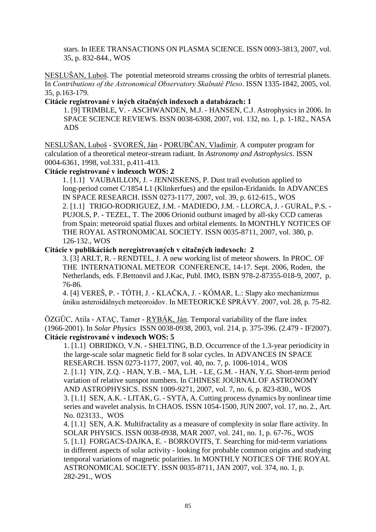stars. In IEEE TRANSACTIONS ON PLASMA SCIENCE. ISSN 0093-3813, 2007, vol. 35, p. 832-844., WOS

NESLUŠAN, Luboš. The potential meteoroid streams crossing the orbits of terrestrial planets. In *Contributions of the Astronomical Observatory Skalnaté Pleso*. ISSN 1335-1842, 2005, vol. 35, p.163-179.

#### **Citácie registrované v iných citačných indexoch a databázach: 1**

1. [9] TRIMBLE, V. - ASCHWANDEN, M.J. - HANSEN, C.J. Astrophysics in 2006. In SPACE SCIENCE REVIEWS. ISSN 0038-6308, 2007, vol. 132, no. 1, p. 1-182., NASA ADS

NESLUŠAN, Luboš - SVOREŇ, Ján - PORUBČAN, Vladimír. A computer program for calculation of a theoretical meteor-stream radiant. In *Astronomy and Astrophysics*. ISSN 0004-6361, 1998, vol.331, p.411-413.

### **Citácie registrované v indexoch WOS: 2**

1. [1.1] VAUBAILLON, J. - JENNISKENS, P. Dust trail evolution applied to long-period comet C/1854 L1 (Klinkerfues) and the epsilon-Eridanids. In ADVANCES IN SPACE RESEARCH. ISSN 0273-1177, 2007, vol. 39, p. 612-615., WOS 2. [1.1] TRIGO-RODRIGUEZ, J.M. - MADIEDO, J.M. - LLORCA, J. - GURAL, P.S. - PUJOLS, P. - TEZEL, T. The 2006 Orionid outburst imaged by all-sky CCD cameras from Spain: meteoroid spatial fluxes and orbital elements. In MONTHLY NOTICES OF THE ROYAL ASTRONOMICAL SOCIETY. ISSN 0035-8711, 2007, vol. 380, p.

126-132., WOS

#### **Citácie v publikáciách neregistrovaných v citačných indexoch: 2**

3. [3] ARLT, R. - RENDTEL, J. A new working list of meteor showers. In PROC. OF THE INTERNATIONAL METEOR CONFERENCE*,* 14-17. Sept. 2006, Roden, the Netherlands, eds. F.Bettonvil and J.Kac, Publ. IMO, ISBN 978-2-87355-018-9, 2007, p. 76-86.

4. [4] VEREŠ, P. - TÓTH, J. - KLAČKA, J. - KÓMAR, L.: Slapy ako mechanizmus úniku asteroidálnych meteoroidov. In METEORICKÉ SPRÁVY. 2007, vol. 28, p. 75-82.

 $\overline{OZGUC}$ , Atila - ATAÇ, Tamer - RYBÁK, Ján. Temporal variability of the flare index (1966-2001). In *Solar Physics* ISSN 0038-0938, 2003, vol. 214, p. 375-396. (2.479 - IF2007). **Citácie registrované v indexoch WOS: 5**

1. [1.1] OBRIDKO, V.N. - SHELTING, B.D. Occurrence of the 1.3-year periodicity in the large-scale solar magnetic field for 8 solar cycles. In ADVANCES IN SPACE RESEARCH. ISSN 0273-1177, 2007, vol. 40, no. 7, p. 1006-1014., WOS

2. [1.1] YIN, Z.Q. - HAN, Y.B. - MA, L.H. - LE, G.M. - HAN, Y.G. Short-term period variation of relative sunspot numbers. In CHINESE JOURNAL OF ASTRONOMY AND ASTROPHYSICS. ISSN 1009-9271, 2007, vol. 7, no. 6, p. 823-830., WOS 3. [1.1] SEN, A.K. - LITAK, G. - SYTA, A. Cutting process dynamics by nonlinear time series and wavelet analysis. In CHAOS. ISSN 1054-1500, JUN 2007, vol. 17, no. 2., Art. No. 023133., WOS

4. [1.1] SEN, A.K. Multifractality as a measure of complexity in solar flare activity. In SOLAR PHYSICS. ISSN 0038-0938, MAR 2007, vol. 241, no. 1, p. 67-76., WOS 5. [1.1] FORGACS-DAJKA, E. - BORKOVITS, T. Searching for mid-term variations in different aspects of solar activity - looking for probable common origins and studying temporal variations of magnetic polarities. In MONTHLY NOTICES OF THE ROYAL ASTRONOMICAL SOCIETY. ISSN 0035-8711, JAN 2007, vol. 374, no. 1, p. 282-291., WOS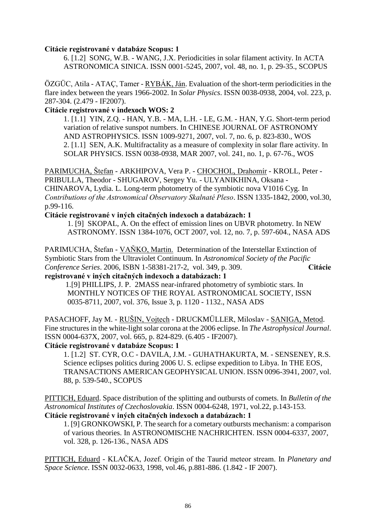#### **Citácie registrované v databáze Scopus: 1**

6. [1.2] SONG, W.B. - WANG, J.X. Periodicities in solar filament activity. In ACTA ASTRONOMICA SINICA. ISSN 0001-5245, 2007, vol. 48, no. 1, p. 29-35., SCOPUS

ÖZGÜC, Atila - ATAÇ, Tamer - RYBÁK, Ján. Evaluation of the short-term periodicities in the flare index between the years 1966-2002. In *Solar Physics*. ISSN 0038-0938, 2004, vol. 223, p. 287-304. (2.479 - IF2007).

#### **Citácie registrované v indexoch WOS: 2**

1. [1.1] YIN, Z.Q. - HAN, Y.B. - MA, L.H. - LE, G.M. - HAN, Y.G. Short-term period variation of relative sunspot numbers. In CHINESE JOURNAL OF ASTRONOMY AND ASTROPHYSICS. ISSN 1009-9271, 2007, vol. 7, no. 6, p. 823-830., WOS 2. [1.1] SEN, A.K. Multifractality as a measure of complexity in solar flare activity. In SOLAR PHYSICS. ISSN 0038-0938, MAR 2007, vol. 241, no. 1, p. 67-76., WOS

[PARIMUCHA,](http://adsabs.harvard.edu/cgi-bin/author_form?author=Parimucha,+S&fullauthor=Parimucha,%20S.&charset=UTF-8&db_key=AST) Štefan - [ARKHIPOVA,](http://adsabs.harvard.edu/cgi-bin/author_form?author=Arkhipova,+V&fullauthor=Arkhipova,%20V.%20P.&charset=UTF-8&db_key=AST) Vera P. - [CHOCHOL,](http://adsabs.harvard.edu/cgi-bin/author_form?author=Chochol,+D&fullauthor=Chochol,%20D.&charset=UTF-8&db_key=AST) Drahomír - [KROLL,](http://adsabs.harvard.edu/cgi-bin/author_form?author=Kroll,+P&fullauthor=Kroll,%20P.&charset=UTF-8&db_key=AST) Peter - PRIBULLA, Theodor - SHUGAROV, Sergey Yu. - ULYANIKHINA, Oksana - CHINAROVA, Lydia. L. Long-term photometry of the symbiotic nova V1016 Cyg. In *Contributions of the Astronomical Observatory Skalnaté Pleso*. ISSN 1335-1842, 2000, vol.30, p.99-116.

## **Citácie registrované v iných citačných indexoch a databázach: 1**

 1. [9] SKOPAL, A. On the effect of emission lines on UBVR photometry. In NEW ASTRONOMY. ISSN 1384-1076, OCT 2007, vol. 12, no. 7, p. 597-604., NASA ADS

PARIMUCHA, Štefan - VAŇKO, Martin. Determination of the Interstellar Extinction of Symbiotic Stars from the Ultraviolet Continuum. In *Astronomical Society of the Pacific Conference Series*. 2006, ISBN 1-58381-217-2, vol. 349, p. 309. **Citácie** 

## **registrované v iných citačných indexoch a databázach: 1**

1.[9] PHILLIPS, J. P. 2MASS near-infrared photometry of symbiotic stars. In MONTHLY NOTICES OF THE ROYAL ASTRONOMICAL SOCIETY, ISSN 0035-8711, 2007, vol. 376, Issue 3, p. 1120 - 1132., NASA ADS

PASACHOFF, Jay M. - RUŠIN, Vojtech - DRUCKMÜLLER, Miloslav - SANIGA, Metod. Fine structures in the white-light solar corona at the 2006 eclipse. In *The Astrophysical Journal*. ISSN 0004-637X, 2007, vol. 665, p. 824-829. (6.405 - IF2007).

#### **Citácie registrované v databáze Scopus: 1**

1. [1.2] ST. CYR, O.C - DAVILA, J.M. - GUHATHAKURTA, M. - SENSENEY, R.S. Science eclipses politics during 2006 U. S. eclipse expedition to Libya. In THE EOS, TRANSACTIONS AMERICAN GEOPHYSICAL UNION. ISSN 0096-3941, 2007, vol. 88, p. 539-540., SCOPUS

PITTICH, Eduard. Space distribution of the splitting and outbursts of comets. In *Bulletin of the Astronomical Institutes of Czechoslovakia*. ISSN 0004-6248, 1971, vol.22, p.143-153. **Citácie registrované v iných citačných indexoch a databázach: 1**

1. [9] GRONKOWSKI, P. The search for a cometary outbursts mechanism: a comparison of various theories. In ASTRONOMISCHE NACHRICHTEN. ISSN 0004-6337, 2007, vol. 328, p. 126-136., NASA ADS

PITTICH, Eduard - KLAČKA, Jozef. Origin of the Taurid meteor stream. In *Planetary and Space Science*. ISSN 0032-0633, 1998, vol.46, p.881-886. (1.842 - IF 2007).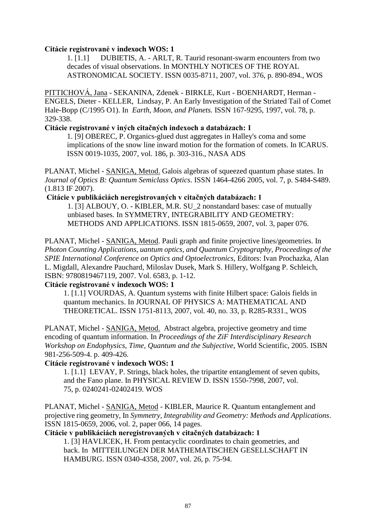#### **Citácie registrované v indexoch WOS: 1**

1. [1.1] DUBIETIS, A. - ARLT, R. Taurid resonant-swarm encounters from two decades of visual observations. In MONTHLY NOTICES OF THE ROYAL ASTRONOMICAL SOCIETY. ISSN 0035-8711, 2007, vol. 376, p. 890-894., WOS

PITTICHOVÁ, Jana - SEKANINA, Zdenek - BIRKLE, Kurt - BOENHARDT, Herman - ENGELS, Dieter - KELLER, Lindsay, P. An Early Investigation of the Striated Tail of Comet Hale-Bopp (C/1995 O1). In *Earth, Moon, and Planets.* ISSN 167-9295, 1997, vol. 78, p. 329-338.

### **Citácie registrované v iných citačných indexoch a databázach: 1**

1. [9] OBEREC, P. Organics-glued dust aggregates in Halley's coma and some implications of the snow line inward motion for the formation of comets. In ICARUS. ISSN 0019-1035, 2007, vol. 186, p. 303-316., NASA ADS

PLANAT, Michel - SANIGA, Metod. Galois algebras of squeezed quantum phase states. In *Journal of Optics B: Quantum Semiclass Optics*. ISSN 1464-4266 2005, vol. 7, p. S484-S489. (1.813 IF 2007).

### **Citácie v publikáciách neregistrovaných v citačných databázach: 1**

 1. [3] ALBOUY, O. - KIBLER, M.R. SU\_2 nonstandard bases: case of mutually unbiased bases. In SYMMETRY, INTEGRABILITY AND GEOMETRY: METHODS AND APPLICATIONS. ISSN 1815-0659, 2007, vol. 3, paper 076.

PLANAT, Michel - SANIGA, Metod. Pauli graph and finite projective lines/geometries. In *Photon Counting Applications, uantum optics, and Quantum Cryptography, Proceedings of the SPIE International Conference on Optics and Optoelectronics,* Editors: Ivan Prochazka, Alan L. Migdall, Alexandre Pauchard, Miloslav Dusek, Mark S. Hillery, Wolfgang P. Schleich, ISBN: 9780819467119, 2007. Vol. 6583, p. 1-12.

## **Citácie registrované v indexoch WOS: 1**

1. [1.1] VOURDAS, A. Quantum systems with finite Hilbert space: Galois fields in quantum mechanics. In JOURNAL OF PHYSICS A: MATHEMATICAL AND THEORETICAL. ISSN 1751-8113, 2007, vol. 40, no. 33, p. R285-R331., WOS

PLANAT, Michel - SANIGA, Metod. Abstract algebra, projective geometry and time encoding of quantum information. In *Proceedings of the ZiF Interdisciplinary Research Workshop on Endophysics, Time, Quantum and the Subjective*, World Scientific, 2005. ISBN 981-256-509-4. p. 409-426.

## **Citácie registrované v indexoch WOS: 1**

 1. [1.1] LEVAY, P. Strings, black holes, the tripartite entanglement of seven qubits, and the Fano plane. In PHYSICAL REVIEW D. ISSN 1550-7998, 2007, vol. 75, p. 0240241-02402419. WOS

PLANAT, Michel - SANIGA, Metod - KIBLER, Maurice R. Quantum entanglement and projective ring geometry, In *Symmetry, Integrability and Geometry: Methods and Applications*. ISSN 1815-0659, 2006, vol. 2, paper 066, 14 pages.

### **Citácie v publikáciách neregistrovaných v citačných databázach: 1**

 1. [3] HAVLICEK, H. From pentacyclic coordinates to chain geometries, and back. In MITTEILUNGEN DER MATHEMATISCHEN GESELLSCHAFT IN HAMBURG. ISSN 0340-4358, 2007, vol. 26, p. 75-94.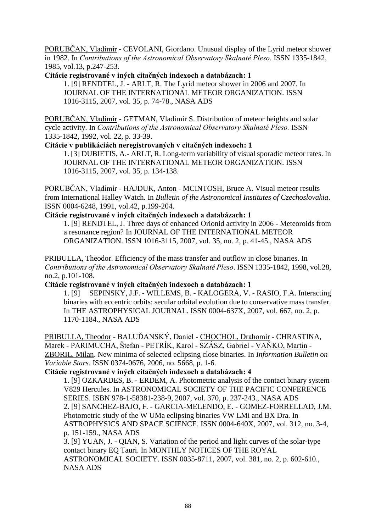PORUBČAN, Vladimír - CEVOLANI, Giordano. Unusual display of the Lyrid meteor shower in 1982. In *Contributions of the Astronomical Observatory Skalnaté Pleso*. ISSN 1335-1842, 1985, vol.13, p.247-253.

**Citácie registrované v iných citačných indexoch a databázach: 1**

1. [9] RENDTEL, J. - ARLT, R. The Lyrid meteor shower in 2006 and 2007. In JOURNAL OF THE INTERNATIONAL METEOR ORGANIZATION. ISSN 1016-3115, 2007, vol. 35, p. 74-78., NASA ADS

PORUBČAN, Vladimír - GETMAN, Vladimir S. Distribution of meteor heights and solar cycle activity. In *Contributions of the Astronomical Observatory Skalnaté Pleso.* ISSN 1335-1842, 1992, vol. 22, p. 33-39.

### **Citácie v publikáciách neregistrovaných v citačných indexoch: 1**

 1. [3] DUBIETIS, A.- ARLT, R. Long-term variability of visual sporadic meteor rates. In JOURNAL OF THE INTERNATIONAL METEOR ORGANIZATION. ISSN 1016-3115, 2007, vol. 35, p. 134-138.

PORUBČAN, Vladimír - HAJDUK, Anton - MCINTOSH, Bruce A. Visual meteor results from International Halley Watch. In *Bulletin of the Astronomical Institutes of Czechoslovakia*. ISSN 0004-6248, 1991, vol.42, p.199-204.

### **Citácie registrované v iných citačných indexoch a databázach: 1**

1. [9] RENDTEL, J. Three days of enhanced Orionid activity in 2006 - Meteoroids from a resonance region? In JOURNAL OF THE INTERNATIONAL METEOR ORGANIZATION. ISSN 1016-3115, 2007, vol. 35, no. 2, p. 41-45., NASA ADS

PRIBULLA, Theodor. Efficiency of the mass transfer and outflow in close binaries. In *Contributions of the Astronomical Observatory Skalnaté Pleso*. ISSN 1335-1842, 1998, vol.28, no.2, p.101-108.

**Citácie registrované v iných citačných indexoch a databázach: 1**

1. [9] SEPINSKY, J.F. - WILLEMS, B. - KALOGERA, V. - RASIO, F.A. Interacting binaries with eccentric orbits: secular orbital evolution due to conservative mass transfer. In THE ASTROPHYSICAL JOURNAL. ISSN 0004-637X, 2007, vol. 667, no. 2, p. 1170-1184., NASA ADS

PRIBULLA, Theodor - BALUĎANSKÝ, Daniel - CHOCHOL, Drahomír - CHRASTINA, Marek - PARIMUCHA, Štefan - PETRÍK, Karol - SZÁSZ, Gabriel - VAŇKO, Martin - ZBORIL, Milan. New minima of selected eclipsing close binaries. In *Information Bulletin on Variable Stars*. ISSN 0374-0676, 2006, no. 5668, p. 1-6.

#### **Citácie registrované v iných citačných indexoch a databázach: 4**

1. [9] OZKARDES, B. - ERDEM, A. Photometric analysis of the contact binary system V829 Hercules. In ASTRONOMICAL SOCIETY OF THE PACIFIC CONFERENCE SERIES. ISBN 978-1-58381-238-9, 2007, vol. 370, p. 237-243., NASA ADS 2. [9] SANCHEZ-BAJO, F. - GARCIA-MELENDO, E. - GOMEZ-FORRELLAD, J.M. Photometric study of the W UMa eclipsing binaries VW LMi and BX Dra. In ASTROPHYSICS AND SPACE SCIENCE. ISSN 0004-640X, 2007, vol. 312, no. 3-4, p. 151-159., NASA ADS

3. [9] YUAN, J. - QIAN, S. Variation of the period and light curves of the solar-type contact binary EQ Tauri. In MONTHLY NOTICES OF THE ROYAL ASTRONOMICAL SOCIETY. ISSN 0035-8711, 2007, vol. 381, no. 2, p. 602-610.,

NASA ADS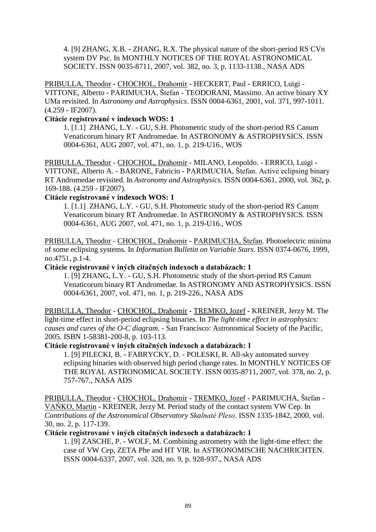4. [9] ZHANG, X.B. - ZHANG, R.X. The physical nature of the short-period RS CVn system DV Psc. In MONTHLY NOTICES OF THE ROYAL ASTRONOMICAL SOCIETY. ISSN 0035-8711, 2007, vol. 382, no. 3, p. 1133-1138., NASA ADS

PRIBULLA, Theodor - CHOCHOL, Drahomír - HECKERT, Paul - ERRICO, Luigi - VITTONE, Alberto - PARIMUCHA, Štefan - TEODORANI, Massimo. An active binary XY UMa revisited. In *Astronomy and Astrophysics*. ISSN 0004-6361, 2001, vol. 371, 997-1011. (4.259 - IF2007).

### **Citácie registrované v indexoch WOS: 1**

1. [1.1] ZHANG, L.Y. - GU, S.H. Photometric study of the short-period RS Canum Venaticorum binary RT Andromedae. In ASTRONOMY & ASTROPHYSICS. ISSN 0004-6361, AUG 2007, vol. 471, no. 1, p. 219-U16., WOS

PRIBULLA, Theodor - CHOCHOL, Drahomír - MILANO, Leopoldo. - ERRICO, Luigi - VITTONE, Alberto A. - BARONE, Fabricio - PARIMUCHA, Štefan. Active eclipsing binary RT Andromedae revisited. In *Astronomy and Astrophysics*. ISSN 0004-6361, 2000, vol. 362, p. 169-188. (4.259 - IF2007).

### **Citácie registrované v indexoch WOS: 1**

1. [1.1] ZHANG, L.Y. - GU, S.H. Photometric study of the short-period RS Canum Venaticorum binary RT Andromedae. In ASTRONOMY & ASTROPHYSICS. ISSN 0004-6361, AUG 2007, vol. 471, no. 1, p. 219-U16., WOS

PRIBULLA, Theodor - CHOCHOL, Drahomír - PARIMUCHA, Štefan. Photoelectric minima of some eclipsing systems. In *Information Bulletin on Variable Stars*. ISSN 0374-0676, 1999, no.4751, p.1-4.

### **Citácie registrované v iných citačných indexoch a databázach: 1**

1. [9] ZHANG, L.Y. - GU, S.H. Photometric study of the short-period RS Canum Venaticorum binary RT Andromedae. In ASTRONOMY AND ASTROPHYSICS. ISSN 0004-6361, 2007, vol. 471, no. 1, p. 219-226., NASA ADS

PRIBULLA, Theodor - CHOCHOL, Drahomír - TREMKO, Jozef - KREINER, Jerzy M. The light-time effect in short-period eclipsing binaries. In *The light-time effect in astrophysics: causes and cures of the O-C diagram*. - San Francisco: Astronomical Society of the Pacific, 2005. ISBN 1-58381-200-8, p. 103-113.

#### **Citácie registrované v iných citačných indexoch a databázach: 1**

1. [9] PILECKI, B. - FABRYCKY, D. - POLESKI, R. All-sky automated survey eclipsing binaries with observed high period change rates. In MONTHLY NOTICES OF THE ROYAL ASTRONOMICAL SOCIETY. ISSN 0035-8711, 2007, vol. 378, no. 2, p. 757-767., NASA ADS

PRIBULLA, Theodor - CHOCHOL, Drahomír - TREMKO, Jozef - PARIMUCHA, Štefan - VAŇKO, Martin - KREINER, Jerzy M. Period study of the contact system VW Cep. In *Contributions of the Astronomical Observatory Skalnaté Pleso*. ISSN 1335-1842, 2000, vol. 30, no. 2, p. 117-139.

#### **Citácie registrované v iných citačných indexoch a databázach: 1**

1. [9] ZASCHE, P. - WOLF, M. Combining astrometry with the light-time effect: the case of VW Cep, ZETA Phe and HT VIR. In ASTRONOMISCHE NACHRICHTEN. ISSN 0004-6337, 2007, vol. 328, no. 9, p. 928-937., NASA ADS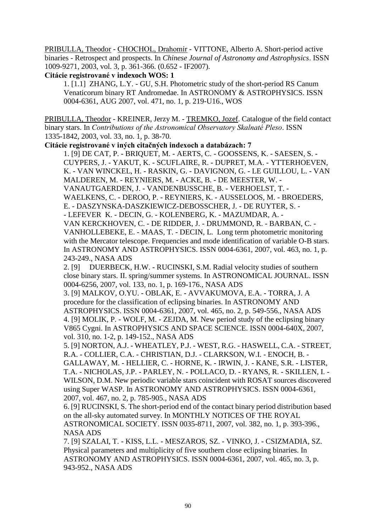PRIBULLA, Theodor - CHOCHOL, Drahomír - VITTONE, Alberto A. Short-period active binaries - Retrospect and prospects. In *Chinese Journal of Astronomy and Astrophysics*. ISSN 1009-9271, 2003, vol. 3, p. 361-366. (0.652 - IF2007).

# **Citácie registrované v indexoch WOS: 1**

1. [1.1] ZHANG, L.Y. - GU, S.H. Photometric study of the short-period RS Canum Venaticorum binary RT Andromedae. In ASTRONOMY & ASTROPHYSICS. ISSN 0004-6361, AUG 2007, vol. 471, no. 1, p. 219-U16., WOS

PRIBULLA, Theodor - KREINER, Jerzy M. - TREMKO, Jozef. Catalogue of the field contact binary stars. In *Contributions of the Astronomical Observatory Skalnaté Pleso*. ISSN 1335-1842, 2003, vol. 33, no. 1, p. 38-70.

**Citácie registrované v iných citačných indexoch a databázach: 7**

1. [9] DE CAT, P. - BRIQUET, M. - AERTS, C. - GOOSSENS, K. - SAESEN, S. - [CUYPERS,](http://adsabs.harvard.edu/cgi-bin/author_form?author=Cuypers,+J&fullauthor=Cuypers,%20J.&charset=UTF-8&db_key=AST) J. - [YAKUT,](http://adsabs.harvard.edu/cgi-bin/author_form?author=Yakut,+K&fullauthor=Yakut,%20K.&charset=UTF-8&db_key=AST) K. - [SCUFLAIRE,](http://adsabs.harvard.edu/cgi-bin/author_form?author=Scuflaire,+R&fullauthor=Scuflaire,%20R.&charset=UTF-8&db_key=AST) R. - [DUPRET,](http://adsabs.harvard.edu/cgi-bin/author_form?author=Dupret,+M&fullauthor=Dupret,%20M.-A.&charset=UTF-8&db_key=AST) M.A. - YTTERHOEVEN, K. - VAN [WINCKEL,](http://adsabs.harvard.edu/cgi-bin/author_form?author=van+Winckel,+H&fullauthor=van%20Winckel,%20H.&charset=UTF-8&db_key=AST) H. - [RASKIN,](http://adsabs.harvard.edu/cgi-bin/author_form?author=Raskin,+G&fullauthor=Raskin,%20G.&charset=UTF-8&db_key=AST) G. - [DAVIGNON,](http://adsabs.harvard.edu/cgi-bin/author_form?author=Davignon,+G&fullauthor=Davignon,%20G.&charset=UTF-8&db_key=AST) G. - LE [GUILLOU,](http://adsabs.harvard.edu/cgi-bin/author_form?author=Le+Guillou,+L&fullauthor=Le%20Guillou,%20L.&charset=UTF-8&db_key=AST) L. - VAN MALDEREN, M. - [REYNIERS,](http://adsabs.harvard.edu/cgi-bin/author_form?author=Reyniers,+M&fullauthor=Reyniers,%20M.&charset=UTF-8&db_key=AST) M. - [ACKE,](http://adsabs.harvard.edu/cgi-bin/author_form?author=Acke,+B&fullauthor=Acke,%20B.&charset=UTF-8&db_key=AST) B. - DE [MEESTER,](http://adsabs.harvard.edu/cgi-bin/author_form?author=de+Meester,+W&fullauthor=de%20Meester,%20W.&charset=UTF-8&db_key=AST) W. - [VANAUTGAERDEN,](http://adsabs.harvard.edu/cgi-bin/author_form?author=Vanautgaerden,+J&fullauthor=Vanautgaerden,%20J.&charset=UTF-8&db_key=AST) J. - [VANDENBUSSCHE,](http://adsabs.harvard.edu/cgi-bin/author_form?author=Vandenbussche,+B&fullauthor=Vandenbussche,%20B.&charset=UTF-8&db_key=AST) B. - [VERHOELST,](http://adsabs.harvard.edu/cgi-bin/author_form?author=Verhoelst,+T&fullauthor=Verhoelst,%20T.&charset=UTF-8&db_key=AST) T. - [WAELKENS,](http://adsabs.harvard.edu/cgi-bin/author_form?author=Waelkens,+C&fullauthor=Waelkens,%20C.&charset=UTF-8&db_key=AST) C. - [DEROO,](http://adsabs.harvard.edu/cgi-bin/author_form?author=Deroo,+P&fullauthor=Deroo,%20P.&charset=UTF-8&db_key=AST) P. - [REYNIERS,](http://adsabs.harvard.edu/cgi-bin/author_form?author=Reyniers,+K&fullauthor=Reyniers,%20K.&charset=UTF-8&db_key=AST) K. - [AUSSELOOS,](http://adsabs.harvard.edu/cgi-bin/author_form?author=Ausseloos,+M&fullauthor=Ausseloos,%20M.&charset=UTF-8&db_key=AST) M. - BROEDERS, E. - DASZYNSKA-DASZKIEWICZ[-DEBOSSCHER,](http://adsabs.harvard.edu/cgi-bin/author_form?author=Debosscher,+J&fullauthor=Debosscher,%20J.&charset=UTF-8&db_key=AST) J. - DE [RUYTER,](http://adsabs.harvard.edu/cgi-bin/author_form?author=de+Ruyter,+S&fullauthor=de%20Ruyter,%20S.&charset=UTF-8&db_key=AST) S. - - [LEFEVER](http://adsabs.harvard.edu/cgi-bin/author_form?author=Lefever,+K&fullauthor=Lefever,%20K.&charset=UTF-8&db_key=AST) K. - [DECIN,](http://adsabs.harvard.edu/cgi-bin/author_form?author=Decin,+G&fullauthor=Decin,%20G.&charset=UTF-8&db_key=AST) G. - [KOLENBERG,](http://adsabs.harvard.edu/cgi-bin/author_form?author=Kolenberg,+K&fullauthor=Kolenberg,%20K.&charset=UTF-8&db_key=AST) K. - [MAZUMDAR,](http://adsabs.harvard.edu/cgi-bin/author_form?author=Mazumdar,+A&fullauthor=Mazumdar,%20A.&charset=UTF-8&db_key=AST) A. - VAN [KERCKHOVEN,](http://adsabs.harvard.edu/cgi-bin/author_form?author=van+Kerckhoven,+C&fullauthor=van%20Kerckhoven,%20C.&charset=UTF-8&db_key=AST) C. - DE [RIDDER,](http://adsabs.harvard.edu/cgi-bin/author_form?author=de+Ridder,+J&fullauthor=de%20Ridder,%20J.&charset=UTF-8&db_key=AST) J. - [DRUMMOND,](http://adsabs.harvard.edu/cgi-bin/author_form?author=Drummond,+R&fullauthor=Drummond,%20R.&charset=UTF-8&db_key=AST) R. - [BARBAN,](http://adsabs.harvard.edu/cgi-bin/author_form?author=Barban,+C&fullauthor=Barban,%20C.&charset=UTF-8&db_key=AST) C. - [VANHOLLEBEKE,](http://adsabs.harvard.edu/cgi-bin/author_form?author=Vanhollebeke,+E&fullauthor=Vanhollebeke,%20E.&charset=UTF-8&db_key=AST) E. - [MAAS,](http://adsabs.harvard.edu/cgi-bin/author_form?author=Maas,+T&fullauthor=Maas,%20T.&charset=UTF-8&db_key=AST) T. - [DECIN,](http://adsabs.harvard.edu/cgi-bin/author_form?author=Decin,+L&fullauthor=Decin,%20L.&charset=UTF-8&db_key=AST) L. Long term photometric monitoring with the Mercator telescope. Frequencies and mode identification of variable O-B stars. In ASTRONOMY AND ASTROPHYSICS. ISSN 0004-6361, 2007, vol. 463, no. 1, p. 243-249., NASA ADS

2. [9] DUERBECK, H.W. - RUCINSKI, S.M. Radial velocity studies of southern close binary stars. II. spring/summer systems. In ASTRONOMICAL JOURNAL. ISSN 0004-6256, 2007, vol. 133, no. 1, p. 169-176., NASA ADS

 3. [9] MALKOV, O.YU. - OBLAK, E. - AVVAKUMOVA, E.A. - TORRA, J. A procedure for the classification of eclipsing binaries. In ASTRONOMY AND ASTROPHYSICS. ISSN 0004-6361, 2007, vol. 465, no. 2, p. 549-556., NASA ADS 4. [9] MOLIK, P. - WOLF, M. - ZEJDA, M. New period study of the eclipsing binary V865 Cygni. In ASTROPHYSICS AND SPACE SCIENCE. ISSN 0004-640X, 2007, vol. 310, no. 1-2, p. 149-152., NASA ADS

5. [9] NORTON, A.J. - WHEATLEY, P.J. - WEST, R.G. - HASWELL, C.A. - STREET, R.A. - COLLIER, C.A. - CHRISTIAN, D.J. - CLARKSON, W.I. - ENOCH, B. - GALLAWAY, M. - HELLIER, C. - HORNE, K. - IRWIN, J. - KANE, S.R. - LISTER, T.A. - NICHOLAS, J.P. - PARLEY, N. - POLLACO, D. - RYANS, R. - SKILLEN, I. - WILSON, D.M. New periodic variable stars coincident with ROSAT sources discovered using Super WASP. In ASTRONOMY AND ASTROPHYSICS. ISSN 0004-6361, 2007, vol. 467, no. 2, p. 785-905., NASA ADS

 6. [9] RUCINSKI, S. The short-period end of the contact binary period distribution based on the all-sky automated survey. In MONTHLY NOTICES OF THE ROYAL ASTRONOMICAL SOCIETY. ISSN 0035-8711, 2007, vol. 382, no. 1, p. 393-396., NASA ADS

 7. [9] SZALAI, T. - KISS, L.L. - MESZAROS, SZ. - VINKO, J. - CSIZMADIA, SZ. Physical parameters and multiplicity of five southern close eclipsing binaries. In ASTRONOMY AND ASTROPHYSICS. ISSN 0004-6361, 2007, vol. 465, no. 3, p. 943-952., NASA ADS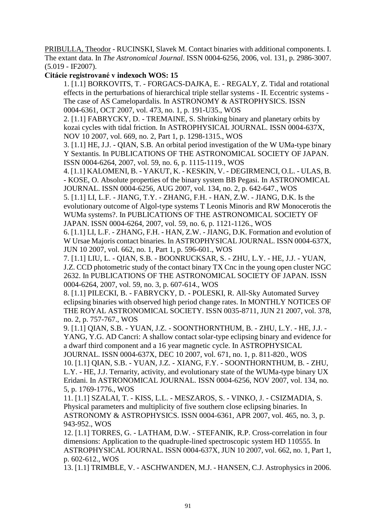PRIBULLA, Theodor - RUCINSKI, Slavek M. Contact binaries with additional components. I. The extant data. In *The Astronomical Journal*. ISSN 0004-6256, 2006, vol. 131, p. 2986-3007. (5.019 - IF2007).

### **Citácie registrované v indexoch WOS: 15**

1. [1.1] BORKOVITS, T. - FORGACS-DAJKA, E. - REGALY, Z. Tidal and rotational effects in the perturbations of hierarchical triple stellar systems - II. Eccentric systems - The case of AS Camelopardalis. In ASTRONOMY & ASTROPHYSICS. ISSN 0004-6361, OCT 2007, vol. 473, no. 1, p. 191-U35., WOS

2. [1.1] FABRYCKY, D. - TREMAINE, S. Shrinking binary and planetary orbits by kozai cycles with tidal friction. In ASTROPHYSICAL JOURNAL. ISSN 0004-637X, NOV 10 2007, vol. 669, no. 2, Part 1, p. 1298-1315., WOS

 3. [1.1] HE, J.J. - QIAN, S.B. An orbital period investigation of the W UMa-type binary Y Sextantis. In PUBLICATIONS OF THE ASTRONOMICAL SOCIETY OF JAPAN. ISSN 0004-6264, 2007, vol. 59, no. 6, p. 1115-1119., WOS

4. [1.1] KALOMENI, B. - YAKUT, K. - KESKIN, V. - DEGIRMENCI, O.L. - ULAS, B. - KOSE, O. Absolute properties of the binary system BB Pegasi. In ASTRONOMICAL JOURNAL. ISSN 0004-6256, AUG 2007, vol. 134, no. 2, p. 642-647., WOS

5. [1.1] LI, L.F. - JIANG, T.Y. - ZHANG, F.H. - HAN, Z.W. - JIANG, D.K. Is the evolutionary outcome of Algol-type systems T Leonis Minoris and RW Monocerotis the WUMa systems?. In PUBLICATIONS OF THE ASTRONOMICAL SOCIETY OF JAPAN. ISSN 0004-6264, 2007, vol. 59, no. 6, p. 1121-1126., WOS

 6. [1.1] LI, L.F. - ZHANG, F.H. - HAN, Z.W. - JIANG, D.K. Formation and evolution of W Ursae Majoris contact binaries. In ASTROPHYSICAL JOURNAL. ISSN 0004-637X, JUN 10 2007, vol. 662, no. 1, Part 1, p. 596-601., WOS

7. [1.1] LIU, L. - QIAN, S.B. - BOONRUCKSAR, S. - ZHU, L.Y. - HE, J.J. - YUAN, J.Z. CCD photometric study of the contact binary TX Cnc in the young open cluster NGC 2632. In PUBLICATIONS OF THE ASTRONOMICAL SOCIETY OF JAPAN. ISSN 0004-6264, 2007, vol. 59, no. 3, p. 607-614., WOS

 8. [1.1] PILECKI, B. - FABRYCKY, D. - POLESKI, R. All-Sky Automated Survey eclipsing binaries with observed high period change rates. In MONTHLY NOTICES OF THE ROYAL ASTRONOMICAL SOCIETY. ISSN 0035-8711, JUN 21 2007, vol. 378, no. 2, p. 757-767., WOS

 9. [1.1] QIAN, S.B. - YUAN, J.Z. - SOONTHORNTHUM, B. - ZHU, L.Y. - HE, J.J. - YANG, Y.G. AD Cancri: A shallow contact solar-type eclipsing binary and evidence for a dwarf third component and a 16 year magnetic cycle. In ASTROPHYSICAL

JOURNAL. ISSN 0004-637X, DEC 10 2007, vol. 671, no. 1, p. 811-820., WOS 10. [1.1] QIAN, S.B. - YUAN, J.Z. - XIANG, F.Y. - SOONTHORNTHUM, B. - ZHU, L.Y. - HE, J.J. Ternarity, activity, and evolutionary state of the WUMa-type binary UX Eridani. In ASTRONOMICAL JOURNAL. ISSN 0004-6256, NOV 2007, vol. 134, no. 5, p. 1769-1776., WOS

 11. [1.1] SZALAI, T. - KISS, L.L. - MESZAROS, S. - VINKO, J. - CSIZMADIA, S. Physical parameters and multiplicity of five southern close eclipsing binaries. In ASTRONOMY & ASTROPHYSICS. ISSN 0004-6361, APR 2007, vol. 465, no. 3, p. 943-952., WOS

12. [1.1] TORRES, G. - LATHAM, D.W. - STEFANIK, R.P. Cross-correlation in four dimensions: Application to the quadruple-lined spectroscopic system HD 110555. In ASTROPHYSICAL JOURNAL. ISSN 0004-637X, JUN 10 2007, vol. 662, no. 1, Part 1, p. 602-612., WOS

13. [1.1] TRIMBLE, V. - ASCHWANDEN, M.J. - HANSEN, C.J. Astrophysics in 2006.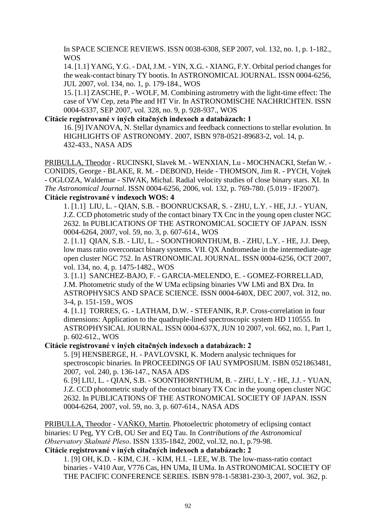In SPACE SCIENCE REVIEWS. ISSN 0038-6308, SEP 2007, vol. 132, no. 1, p. 1-182., WOS

 14. [1.1] YANG, Y.G. - DAI, J.M. - YIN, X.G. - XIANG, F.Y. Orbital period changes for the weak-contact binary TY bootis. In ASTRONOMICAL JOURNAL. ISSN 0004-6256, JUL 2007, vol. 134, no. 1, p. 179-184., WOS

15. [1.1] ZASCHE, P. - WOLF, M. Combining astrometry with the light-time effect: The case of VW Cep, zeta Phe and HT Vir. In ASTRONOMISCHE NACHRICHTEN. ISSN 0004-6337, SEP 2007, vol. 328, no. 9, p. 928-937., WOS

#### **Citácie registrované v iných citačných indexoch a databázach: 1**

16. [9] IVANOVA, N. Stellar dynamics and feedback connections to stellar evolution. In HIGHLIGHTS OF ASTRONOMY. 2007, ISBN 978-0521-89683-2, vol. 14, p. 432-433., NASA ADS

PRIBULLA, Theodor - RUCINSKI, Slavek M. - WENXIAN, Lu - MOCHNACKI, Stefan W. - CONIDIS, George - BLAKE, R. M. - DEBOND, Heide - THOMSON, Jim R. - PYCH, Vojtek - OGLOZA, Waldemar - SIWAK, Michal. Radial velocity studies of close binary stars. XI. In *The Astronomical Journal*. ISSN 0004-6256, 2006, vol. 132, p. 769-780. (5.019 - IF2007). **Citácie registrované v indexoch WOS: 4**

 1. [1.1] LIU, L. - QIAN, S.B. - BOONRUCKSAR, S. - ZHU, L.Y. - HE, J.J. - YUAN, J.Z. CCD photometric study of the contact binary TX Cnc in the young open cluster NGC 2632. In PUBLICATIONS OF THE ASTRONOMICAL SOCIETY OF JAPAN. ISSN 0004-6264, 2007, vol. 59, no. 3, p. 607-614., WOS

2. [1.1] QIAN, S.B. - LIU, L. - SOONTHORNTHUM, B. - ZHU, L.Y. - HE, J.J. Deep, low mass ratio overcontact binary systems. VII. QX Andromedae in the intermediate-age open cluster NGC 752. In ASTRONOMICAL JOURNAL. ISSN 0004-6256, OCT 2007, vol. 134, no. 4, p. 1475-1482., WOS

3. [1.1] SANCHEZ-BAJO, F. - GARCIA-MELENDO, E. - GOMEZ-FORRELLAD, J.M. Photometric study of the W UMa eclipsing binaries VW LMi and BX Dra. In ASTROPHYSICS AND SPACE SCIENCE. ISSN 0004-640X, DEC 2007, vol. 312, no. 3-4, p. 151-159., WOS

4. [1.1] TORRES, G. - LATHAM, D.W. - STEFANIK, R.P. Cross-correlation in four dimensions: Application to the quadruple-lined spectroscopic system HD 110555. In ASTROPHYSICAL JOURNAL. ISSN 0004-637X, JUN 10 2007, vol. 662, no. 1, Part 1, p. 602-612., WOS

**Citácie registrované v iných citačných indexoch a databázach: 2**

5. [9] HENSBERGE, H. - PAVLOVSKI, K. Modern analysic techniques for spectroscopic binaries. In PROCEEDINGS OF IAU SYMPOSIUM. ISBN 0521863481, 2007, vol. 240, p. 136-147., NASA ADS

6. [9] LIU, L. - QIAN, S.B. - SOONTHORNTHUM, B. - ZHU, L.Y. - HE, J.J. - YUAN, J.Z. CCD photometric study of the contact binary TX Cnc in the young open cluster NGC 2632. In PUBLICATIONS OF THE ASTRONOMICAL SOCIETY OF JAPAN. ISSN 0004-6264, 2007, vol. 59, no. 3, p. 607-614., NASA ADS

PRIBULLA, Theodor - VAŇKO, Martin. Photoelectric photometry of eclipsing contact binaries: U Peg, YY CrB, OU Ser and EQ Tau. In *Contributions of the Astronomical Observatory Skalnaté Pleso*. ISSN 1335-1842, 2002, vol.32, no.1, p.79-98. **Citácie registrované v iných citačných indexoch a databázach: 2**

1. [9] OH, K.D. - KIM, C.H. - KIM, H.I. - LEE, W.B. The low-mass-ratio contact binaries - V410 Aur, V776 Cas, HN UMa, II UMa. In ASTRONOMICAL SOCIETY OF THE PACIFIC CONFERENCE SERIES. ISBN 978-1-58381-230-3, 2007, vol. 362, p.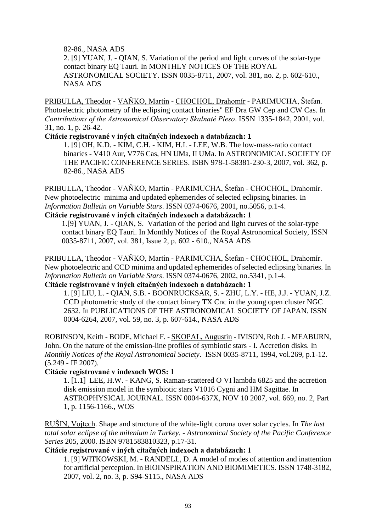82-86., NASA ADS

2. [9] YUAN, J. - QIAN, S. Variation of the period and light curves of the solar-type contact binary EQ Tauri. In MONTHLY NOTICES OF THE ROYAL ASTRONOMICAL SOCIETY. ISSN 0035-8711, 2007, vol. 381, no. 2, p. 602-610., NASA ADS

PRIBULLA, Theodor - VAŇKO, Martin - CHOCHOL, Drahomír - PARIMUCHA, Štefan. Photoelectric photometry of the eclipsing contact binaries" EF Dra GW Cep and CW Cas. In *Contributions of the Astronomical Observatory Skalnaté Pleso*. ISSN 1335-1842, 2001, vol. 31, no. 1, p. 26-42.

**Citácie registrované v iných citačných indexoch a databázach: 1**

1. [9] OH, K.D. - KIM, C.H. - KIM, H.I. - LEE, W.B. The low-mass-ratio contact binaries - V410 Aur, V776 Cas, HN UMa, II UMa. In ASTRONOMICAL SOCIETY OF THE PACIFIC CONFERENCE SERIES. ISBN 978-1-58381-230-3, 2007, vol. 362, p. 82-86., NASA ADS

PRIBULLA, Theodor - VAŇKO, Martin - PARIMUCHA, Štefan - CHOCHOL, Drahomír. New photoelectric minima and updated ephemerides of selected eclipsing binaries. In *Information Bulletin on Variable Stars*. ISSN 0374-0676, 2001, no.5056, p.1-4.

## **Citácie registrované v iných citačných indexoch a databázach: 1**

1.[9] YUAN, J. - QIAN, S. Variation of the period and light curves of the solar-type contact binary EQ Tauri. In Monthly Notices of the Royal Astronomical Society, ISSN 0035-8711, 2007, vol. 381, Issue 2, p. 602 - 610., NASA ADS

PRIBULLA, Theodor - VAŇKO, Martin - PARIMUCHA, Štefan - CHOCHOL, Drahomír. New photoelectric and CCD minima and updated ephemerides of selected eclipsing binaries. In *Information Bulletin on Variable Stars*. ISSN 0374-0676, 2002, no.5341, p.1-4.

# **Citácie registrované v iných citačných indexoch a databázach: 1**

1. [9] LIU, L. - QIAN, S.B. - BOONRUCKSAR, S. - ZHU, L.Y. - HE, J.J. - YUAN, J.Z. CCD photometric study of the contact binary TX Cnc in the young open cluster NGC 2632. In PUBLICATIONS OF THE ASTRONOMICAL SOCIETY OF JAPAN. ISSN 0004-6264, 2007, vol. 59, no. 3, p. 607-614., NASA ADS

ROBINSON, Keith - BODE, Michael F. - SKOPAL, Augustin - IVISON, Rob J. - MEABURN, John. On the nature of the emission-line profiles of symbiotic stars - I. Accretion disks. In *Monthly Notices of the Royal Astronomical Society*. ISSN 0035-8711, 1994, vol.269, p.1-12. (5.249 - IF 2007).

## **Citácie registrované v indexoch WOS: 1**

1. [1.1] LEE, H.W. - KANG, S. Raman-scattered O VI lambda 6825 and the accretion disk emission model in the symbiotic stars V1016 Cygni and HM Sagittae. In ASTROPHYSICAL JOURNAL. ISSN 0004-637X, NOV 10 2007, vol. 669, no. 2, Part 1, p. 1156-1166., WOS

RUŠIN, Vojtech. Shape and structure of the white-light corona over solar cycles. In *The last total solar eclipse of the milenium in Turkey*. - *Astronomical Society of the Pacific Conference Series* 205, 2000. ISBN 9781583810323, p.17-31.

### **Citácie registrované v iných citačných indexoch a databázach: 1**

1. [9] WITKOWSKI, M. - RANDELL, D. A model of modes of attention and inattention for artificial perception. In BIOINSPIRATION AND BIOMIMETICS. ISSN 1748-3182, 2007, vol. 2, no. 3, p. S94-S115., NASA ADS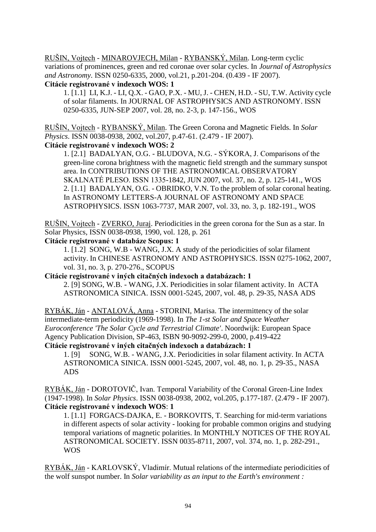RUŠIN, Vojtech - MINAROVJECH, Milan - RYBANSKÝ, Milan. Long-term cyclic variations of prominences, green and red coronae over solar cycles. In *Journal of Astrophysics and Astronomy*. ISSN 0250-6335, 2000, vol.21, p.201-204. (0.439 - IF 2007).

### **Citácie registrované v indexoch WOS: 1**

1. [1.1] LI, K.J. - LI, Q.X. - GAO, P.X. - MU, J. - CHEN, H.D. - SU, T.W. Activity cycle of solar filaments. In JOURNAL OF ASTROPHYSICS AND ASTRONOMY. ISSN 0250-6335, JUN-SEP 2007, vol. 28, no. 2-3, p. 147-156., WOS

RUŠIN, Vojtech - RYBANSKÝ, Milan. The Green Corona and Magnetic Fields. In *Solar Physics*. ISSN 0038-0938, 2002, vol.207, p.47-61. (2.479 - IF 2007).

## **Citácie registrované v indexoch WOS: 2**

1. [2.1] BADALYAN, O.G. - BLUDOVA, N.G. - SÝKORA, J. Comparisons of the green-line corona brightness with the magnetic field strength and the summary sunspot area. In CONTRIBUTIONS OF THE ASTRONOMICAL OBSERVATORY SKALNATÉ PLESO. ISSN 1335-1842, JUN 2007, vol. 37, no. 2, p. 125-141., WOS 2. [1.1] BADALYAN, O.G. - OBRIDKO, V.N. To the problem of solar coronal heating. In ASTRONOMY LETTERS-A JOURNAL OF ASTRONOMY AND SPACE ASTROPHYSICS. ISSN 1063-7737, MAR 2007, vol. 33, no. 3, p. 182-191., WOS

RUŠIN, Vojtech - ZVERKO, Juraj. Periodicities in the green corona for the Sun as a star. In Solar Physics, ISSN 0038-0938, 1990, vol. 128, p. 261

## **Citácie registrované v databáze Scopus: 1**

1. [1.2] SONG, W.B - WANG, J.X. A study of the periodicities of solar filament activity. In CHINESE ASTRONOMY AND ASTROPHYSICS. ISSN 0275-1062, 2007, vol. 31, no. 3, p. 270-276., SCOPUS

**Citácie registrované v iných citačných indexoch a databázach: 1**

 2. [9] SONG, W.B. - WANG, J.X. Periodicities in solar filament activity. In ACTA ASTRONOMICA SINICA. ISSN 0001-5245, 2007, vol. 48, p. 29-35, NASA ADS

RYBÁK, Ján - ANTALOVÁ, Anna - STORINI, Marisa. The intermittency of the solar intermediate-term periodicity (1969-1998). In *The 1-st Solar and Space Weather Euroconference 'The Solar Cycle and Terrestrial Climate'*. Noordwijk: European Space Agency Publication Division, SP-463, ISBN 90-9092-299-0, 2000, p.419-422 **Citácie registrované v iných citačných indexoch a databázach: 1**

1. [9] SONG, W.B. - WANG, J.X. Periodicities in solar filament activity. In ACTA ASTRONOMICA SINICA. ISSN 0001-5245, 2007, vol. 48, no. 1, p. 29-35., NASA ADS

RYBÁK, Ján - DOROTOVIČ, Ivan. Temporal Variability of the Coronal Green-Line Index (1947-1998). In *Solar Physics*. ISSN 0038-0938, 2002, vol.205, p.177-187. (2.479 - IF 2007). **Citácie registrované v indexoch WOS**: **1**

1. [1.1] FORGACS-DAJKA, E. - BORKOVITS, T. Searching for mid-term variations in different aspects of solar activity - looking for probable common origins and studying temporal variations of magnetic polarities. In MONTHLY NOTICES OF THE ROYAL ASTRONOMICAL SOCIETY. ISSN 0035-8711, 2007, vol. 374, no. 1, p. 282-291., WOS

RYBÁK, Ján - KARLOVSKÝ, Vladimír. Mutual relations of the intermediate periodicities of the wolf sunspot number. In *Solar variability as an input to the Earth's environment :*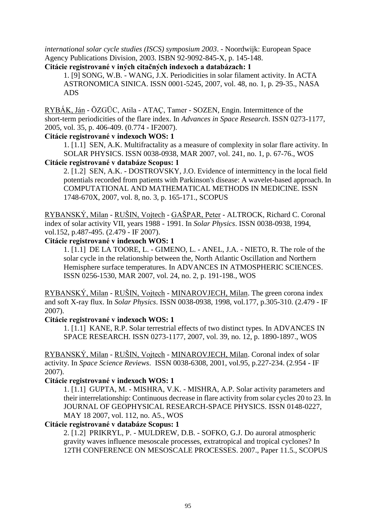*international solar cycle studies (ISCS) symposium 2003*. - Noordwijk: European Space Agency Publications Division, 2003. ISBN 92-9092-845-X, p. 145-148.

**Citácie registrované v iných citačných indexoch a databázach: 1**

1. [9] SONG, W.B. - WANG, J.X. Periodicities in solar filament activity. In ACTA ASTRONOMICA SINICA. ISSN 0001-5245, 2007, vol. 48, no. 1, p. 29-35., NASA ADS

RYBÁK, Ján - ÖZGÜC, Atila - ATAÇ, Tamer - SOZEN, Engin. Intermittence of the short-term periodicities of the flare index. In *Advances in Space Research*. ISSN 0273-1177, 2005, vol. 35, p. 406-409. (0.774 - IF2007).

### **Citácie registrované v indexoch WOS: 1**

1. [1.1] SEN, A.K. Multifractality as a measure of complexity in solar flare activity. In SOLAR PHYSICS. ISSN 0038-0938, MAR 2007, vol. 241, no. 1, p. 67-76., WOS **Citácie registrované v databáze Scopus: 1**

2. [1.2] SEN, A.K. - DOSTROVSKY, J.O. Evidence of intermittency in the local field potentials recorded from patients with Parkinson's disease: A wavelet-based approach. In COMPUTATIONAL AND MATHEMATICAL METHODS IN MEDICINE. ISSN 1748-670X, 2007, vol. 8, no. 3, p. 165-171., SCOPUS

RYBANSKÝ, Milan - RUŠIN, Vojtech - GAŠPAR, Peter - ALTROCK, Richard C. Coronal index of solar activity VII, years 1988 - 1991. In *Solar Physics*. ISSN 0038-0938, 1994, vol.152, p.487-495. (2.479 - IF 2007).

## **Citácie registrované v indexoch WOS: 1**

1. [1.1] DE LA TOORE, L. - GIMENO, L. - ANEL, J.A. - NIETO, R. The role of the solar cycle in the relationship between the, North Atlantic Oscillation and Northern Hemisphere surface temperatures. In ADVANCES IN ATMOSPHERIC SCIENCES. ISSN 0256-1530, MAR 2007, vol. 24, no. 2, p. 191-198., WOS

RYBANSKÝ, Milan - RUŠIN, Vojtech - MINAROVJECH, Milan. The green corona index and soft X-ray flux. In *Solar Physics*. ISSN 0038-0938, 1998, vol.177, p.305-310. (2.479 - IF 2007).

## **Citácie registrované v indexoch WOS: 1**

1. [1.1] KANE, R.P. Solar terrestrial effects of two distinct types. In ADVANCES IN SPACE RESEARCH. ISSN 0273-1177, 2007, vol. 39, no. 12, p. 1890-1897., WOS

RYBANSKÝ, Milan - RUŠIN, Vojtech - MINAROVJECH, Milan. Coronal index of solar activity. In *Space Science Reviews*. ISSN 0038-6308, 2001, vol.95, p.227-234. (2.954 - IF 2007).

## **Citácie registrované v indexoch WOS: 1**

1. [1.1] GUPTA, M. - MISHRA, V.K. - MISHRA, A.P. Solar activity parameters and their interrelationship: Continuous decrease in flare activity from solar cycles 20 to 23. In JOURNAL OF GEOPHYSICAL RESEARCH-SPACE PHYSICS. ISSN 0148-0227, MAY 18 2007, vol. 112, no. A5., WOS

#### **Citácie registrované v databáze Scopus: 1**

2. [1.2] PRIKRYL, P. - MULDREW, D.B. - SOFKO, G.J. Do auroral atmospheric gravity waves influence mesoscale processes, extratropical and tropical cyclones? In 12TH CONFERENCE ON MESOSCALE PROCESSES. 2007., Paper 11.5., SCOPUS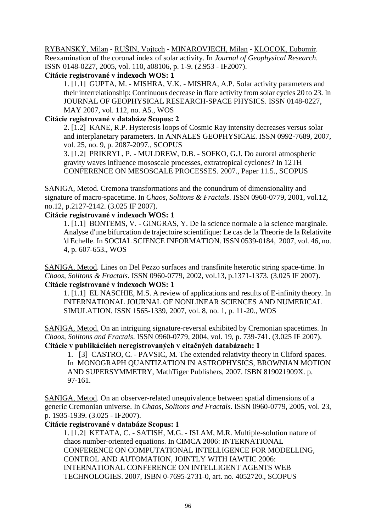RYBANSKÝ, Milan - RUŠIN, Vojtech - MINAROVJECH, Milan - KLOCOK, Ľubomír. Reexamination of the coronal index of solar activity. In *Journal of Geophysical Research*. ISSN 0148-0227, 2005, vol. 110, a08106, p. 1-9. (2.953 - IF2007).

**Citácie registrované v indexoch WOS: 1**

1. [1.1] GUPTA, M. - MISHRA, V.K. - MISHRA, A.P. Solar activity parameters and their interrelationship: Continuous decrease in flare activity from solar cycles 20 to 23. In JOURNAL OF GEOPHYSICAL RESEARCH-SPACE PHYSICS. ISSN 0148-0227, MAY 2007, vol. 112, no. A5., WOS

# **Citácie registrované v databáze Scopus: 2**

2. [1.2] KANE, R.P. Hysteresis loops of Cosmic Ray intensity decreases versus solar and interplanetary parameters. In ANNALES GEOPHYSICAE. ISSN 0992-7689, 2007, vol. 25, no. 9, p. 2087-2097., SCOPUS

 3. [1.2] PRIKRYL, P. - MULDREW, D.B. - SOFKO, G.J. Do auroral atmospheric gravity waves influence mososcale processes, extratropical cyclones? In 12TH CONFERENCE ON MESOSCALE PROCESSES. 2007., Paper 11.5., SCOPUS

SANIGA, Metod. Cremona transformations and the conundrum of dimensionality and signature of macro-spacetime. In *Chaos, Solitons & Fractals*. ISSN 0960-0779, 2001, vol.12, no.12, p.2127-2142. (3.025 IF 2007).

## **Citácie registrované v indexoch WOS: 1**

1. [1.1] BONTEMS, V. - GINGRAS, Y. De la science normale a la science marginale. Analyse d'une bifurcation de trajectoire scientifique: Le cas de la Theorie de la Relativite 'd Echelle. In SOCIAL SCIENCE INFORMATION. ISSN 0539-0184, 2007, vol. 46, no. 4, p. 607-653., WOS

SANIGA, Metod. Lines on Del Pezzo surfaces and transfinite heterotic string space-time. In *Chaos, Solitons & Fractals*. ISSN 0960-0779, 2002, vol.13, p.1371-1373. (3.025 IF 2007). **Citácie registrované v indexoch WOS: 1**

1. [1.1] EL NASCHIE, M.S. A review of applications and results of E-infinity theory. In INTERNATIONAL JOURNAL OF NONLINEAR SCIENCES AND NUMERICAL SIMULATION. ISSN 1565-1339, 2007, vol. 8, no. 1, p. 11-20., WOS

SANIGA, Metod. On an intriguing signature-reversal exhibited by Cremonian spacetimes. In *Chaos, Solitons and Fractals*. ISSN 0960-0779, 2004, vol. 19, p. 739-741. (3.025 IF 2007). **Citácie v publikáciách neregistrovaných v citačných databázach: 1**

1. [3] CASTRO, C. - PAVSIC, M. The extended relativity theory in Cliford spaces. In MONOGRAPH QUANTIZATION IN ASTROPHYSICS, BROWNIAN MOTION AND SUPERSYMMETRY, MathTiger Publishers, 2007. ISBN 819021909X. p. 97-161.

SANIGA, Metod. On an observer-related unequivalence between spatial dimensions of a generic Cremonian universe. In *Chaos, Solitons and Fractals*. ISSN 0960-0779, 2005, vol. 23, p. 1935-1939. (3.025 - IF2007).

## **Citácie registrované v databáze Scopus: 1**

1. [1.2] KETATA, C. - SATISH, M.G. - ISLAM, M.R. Multiple-solution nature of chaos number-oriented equations. In CIMCA 2006: INTERNATIONAL CONFERENCE ON COMPUTATIONAL INTELLIGENCE FOR MODELLING, CONTROL AND AUTOMATION, JOINTLY WITH IAWTIC 2006: INTERNATIONAL CONFERENCE ON INTELLIGENT AGENTS WEB TECHNOLOGIES. 2007, ISBN 0-7695-2731-0, art. no. 4052720., SCOPUS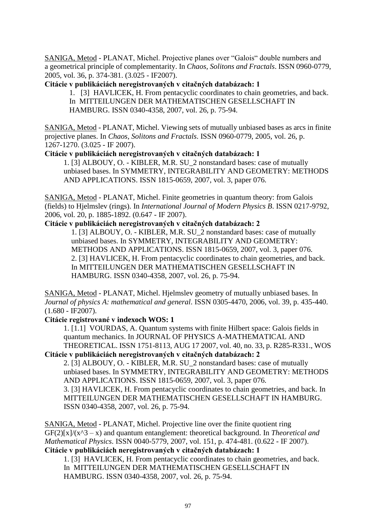SANIGA, Metod - PLANAT, Michel. Projective planes over "Galois" double numbers and a geometrical principle of complementarity. In *Chaos, Solitons and Fractals*. ISSN 0960-0779, 2005, vol. 36, p. 374-381. (3.025 - IF2007).

**Citácie v publikáciách neregistrovaných v citačných databázach: 1**

1. [3] HAVLICEK, H. From pentacyclic coordinates to chain geometries, and back. In MITTEILUNGEN DER MATHEMATISCHEN GESELLSCHAFT IN HAMBURG. ISSN 0340-4358, 2007, vol. 26, p. 75-94.

SANIGA, Metod - PLANAT, Michel. Viewing sets of mutually unbiased bases as arcs in finite projective planes. In *Chaos, Solitons and Fractals*. ISSN 0960-0779, 2005, vol. 26, p. 1267-1270. (3.025 - IF 2007).

**Citácie v publikáciách neregistrovaných v citačných databázach: 1**

 1. [3] ALBOUY, O. - KIBLER, M.R. SU\_2 nonstandard bases: case of mutually unbiased bases. In SYMMETRY, INTEGRABILITY AND GEOMETRY: METHODS AND APPLICATIONS. ISSN 1815-0659, 2007, vol. 3, paper 076.

SANIGA, Metod - PLANAT, Michel. Finite geometries in quantum theory: from Galois (fields) to Hjelmslev (rings). In *International Journal of Modern Physics B*. ISSN 0217-9792, 2006, vol. 20, p. 1885-1892. (0.647 - IF 2007).

**Citácie v publikáciách neregistrovaných v citačných databázach: 2**

 1. [3] ALBOUY, O. - KIBLER, M.R. SU\_2 nonstandard bases: case of mutually unbiased bases. In SYMMETRY, INTEGRABILITY AND GEOMETRY: METHODS AND APPLICATIONS. ISSN 1815-0659, 2007, vol. 3, paper 076. 2. [3] HAVLICEK, H. From pentacyclic coordinates to chain geometries, and back. In MITTEILUNGEN DER MATHEMATISCHEN GESELLSCHAFT IN HAMBURG. ISSN 0340-4358, 2007, vol. 26, p. 75-94.

SANIGA, Metod - PLANAT, Michel. Hjelmslev geometry of mutually unbiased bases. In *Journal of physics A: mathematical and general*. ISSN 0305-4470, 2006, vol. 39, p. 435-440. (1.680 - IF2007).

## **Citácie registrované v indexoch WOS: 1**

1. [1.1] VOURDAS, A. Quantum systems with finite Hilbert space: Galois fields in quantum mechanics. In JOURNAL OF PHYSICS A-MATHEMATICAL AND THEORETICAL. ISSN 1751-8113, AUG 17 2007, vol. 40, no. 33, p. R285-R331., WOS

**Citácie v publikáciách neregistrovaných v citačných databázach: 2**

 2. [3] ALBOUY, O. - KIBLER, M.R. SU\_2 nonstandard bases: case of mutually unbiased bases. In SYMMETRY, INTEGRABILITY AND GEOMETRY: METHODS AND APPLICATIONS. ISSN 1815-0659, 2007, vol. 3, paper 076.

 3. [3] HAVLICEK, H. From pentacyclic coordinates to chain geometries, and back. In MITTEILUNGEN DER MATHEMATISCHEN GESELLSCHAFT IN HAMBURG. ISSN 0340-4358, 2007, vol. 26, p. 75-94.

SANIGA, Metod - PLANAT, Michel. Projective line over the finite quotient ring  $GF(2)[x]/(x^3 - x)$  and quantum entanglement: theoretical background. In *Theoretical and Mathematical Physics*. ISSN 0040-5779, 2007, vol. 151, p. 474-481. (0.622 - IF 2007). **Citácie v publikáciách neregistrovaných v citačných databázach: 1**

 1. [3] HAVLICEK, H. From pentacyclic coordinates to chain geometries, and back. In MITTEILUNGEN DER MATHEMATISCHEN GESELLSCHAFT IN HAMBURG. ISSN 0340-4358, 2007, vol. 26, p. 75-94.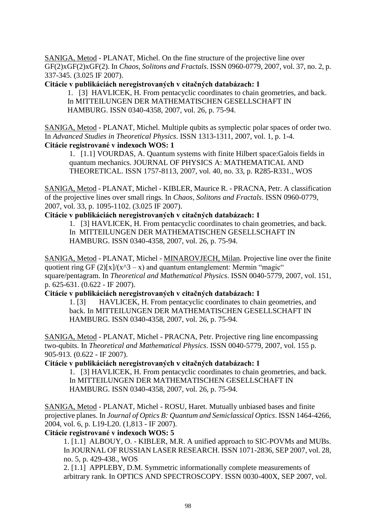SANIGA, Metod - PLANAT, Michel. On the fine structure of the projective line over GF(2)xGF(2)xGF(2). In *Chaos, Solitons and Fractals*. ISSN 0960-0779, 2007, vol. 37, no. 2, p. 337-345. (3.025 IF 2007).

**Citácie v publikáciách neregistrovaných v citačných databázach: 1**

1. [3] HAVLICEK, H. From pentacyclic coordinates to chain geometries, and back. In MITTEILUNGEN DER MATHEMATISCHEN GESELLSCHAFT IN HAMBURG. ISSN 0340-4358, 2007, vol. 26, p. 75-94.

SANIGA, Metod - PLANAT, Michel. Multiple qubits as symplectic polar spaces of order two. In *Advanced Studies in Theoretical Physics*. ISSN 1313-1311, 2007, vol. 1, p. 1-4. **Citácie registrované v indexoch WOS: 1**

1. [1.1] VOURDAS, A. Quantum systems with finite Hilbert space:Galois fields in quantum mechanics. JOURNAL OF PHYSICS A: MATHEMATICAL AND THEORETICAL. ISSN 1757-8113, 2007, vol. 40, no. 33, p. R285-R331., WOS

SANIGA, Metod - PLANAT, Michel - KIBLER, Maurice R. - PRACNA, Petr. A classification of the projective lines over small rings. In *Chaos, Solitons and Fractals*. ISSN 0960-0779, 2007, vol. 33, p. 1095-1102. (3.025 IF 2007).

### **Citácie v publikáciách neregistrovaných v citačných databázach: 1**

1. [3] HAVLICEK, H. From pentacyclic coordinates to chain geometries, and back. In MITTEILUNGEN DER MATHEMATISCHEN GESELLSCHAFT IN HAMBURG. ISSN 0340-4358, 2007, vol. 26, p. 75-94.

SANIGA, Metod - PLANAT, Michel - MINAROVJECH, Milan. Projective line over the finite quotient ring GF  $(2)[x]/(x^3 - x)$  and quantum entanglement: Mermin "magic" square/pentagram. In *Theoretical and Mathematical Physics*. ISSN 0040-5779, 2007, vol. 151, p. 625-631. (0.622 - IF 2007).

**Citácie v publikáciách neregistrovaných v citačných databázach: 1**

 1. [3] HAVLICEK, H. From pentacyclic coordinates to chain geometries, and back. In MITTEILUNGEN DER MATHEMATISCHEN GESELLSCHAFT IN HAMBURG. ISSN 0340-4358, 2007, vol. 26, p. 75-94.

SANIGA, Metod - PLANAT, Michel - PRACNA, Petr. Projective ring line encompassing two-qubits. In *Theoretical and Mathematical Physics*. ISSN 0040-5779, 2007, vol. 155 p. 905-913. (0.622 - IF 2007).

### **Citácie v publikáciách neregistrovaných v citačných databázach: 1**

1. [3] HAVLICEK, H. From pentacyclic coordinates to chain geometries, and back. In MITTEILUNGEN DER MATHEMATISCHEN GESELLSCHAFT IN HAMBURG. ISSN 0340-4358, 2007, vol. 26, p. 75-94.

SANIGA, Metod - PLANAT, Michel - ROSU, Haret. Mutually unbiased bases and finite projective planes. In *Journal of Optics B: Quantum and Semiclassical Optics*. ISSN 1464-4266, 2004, vol. 6, p. L19-L20. (1,813 - IF 2007).

### **Citácie registrované v indexoch WOS: 5**

1. [1.1] ALBOUY, O. - KIBLER, M.R. A unified approach to SIC-POVMs and MUBs. In JOURNAL OF RUSSIAN LASER RESEARCH. ISSN 1071-2836, SEP 2007, vol. 28, no. 5, p. 429-438., WOS

2. [1.1] APPLEBY, D.M. Symmetric informationally complete measurements of arbitrary rank. In OPTICS AND SPECTROSCOPY. ISSN 0030-400X, SEP 2007, vol.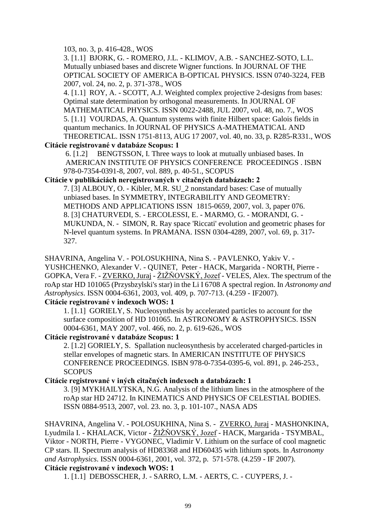### 103, no. 3, p. 416-428., WOS

3. [1.1] BJORK, G. - ROMERO, J.L. - KLIMOV, A.B. - SANCHEZ-SOTO, L.L. Mutually unbiased bases and discrete Wigner functions. In JOURNAL OF THE OPTICAL SOCIETY OF AMERICA B-OPTICAL PHYSICS. ISSN 0740-3224, FEB 2007, vol. 24, no. 2, p. 371-378., WOS

 4. [1.1] ROY, A. - SCOTT, A.J. Weighted complex projective 2-designs from bases: Optimal state determination by orthogonal measurements. In JOURNAL OF MATHEMATICAL PHYSICS. ISSN 0022-2488, JUL 2007, vol. 48, no. 7., WOS 5. [1.1] VOURDAS, A. Quantum systems with finite Hilbert space: Galois fields in quantum mechanics. In JOURNAL OF PHYSICS A-MATHEMATICAL AND THEORETICAL. ISSN 1751-8113, AUG 17 2007, vol. 40, no. 33, p. R285-R331., WOS

**Citácie registrované v databáze Scopus: 1**

 6. [1.2] BENGTSSON, I. Three ways to look at mutually unbiased bases. In AMERICAN INSTITUTE OF PHYSICS CONFERENCE PROCEEDINGS . ISBN 978-0-7354-0391-8, 2007, vol. 889, p. 40-51., SCOPUS

### **Citácie v publikáciách neregistrovaných v citačných databázach: 2**

 7. [3] ALBOUY, O. - Kibler, M.R. SU\_2 nonstandard bases: Case of mutually unbiased bases. In SYMMETRY, INTEGRABILITY AND GEOMETRY: METHODS AND APPLICATIONS ISSN 1815-0659, 2007, vol. 3, paper 076. 8. [3] CHATURVEDI, S. - ERCOLESSI, E. - MARMO, G. - MORANDI, G. - MUKUNDA, N. - SIMON, R. Ray space 'Riccati' evolution and geometric phases for N-level quantum systems. In PRAMANA. ISSN 0304-4289, 2007, vol. 69, p. 317- 327.

SHAVRINA, Angelina V. - POLOSUKHINA, Nina S. - PAVLENKO, Yakiv V. - YUSHCHENKO, Alexander V. - QUINET, Peter - HACK, Margarida - NORTH, Pierre - GOPKA, Vera F. -  $ZVERKO$ , Juraj -  $ZIZNOVSKY$ , Jozef - VELES, Alex. The spectrum of the roAp star HD 101065 (Przysbzylski's star) in the Li I 6708 A spectral region. In *Astronomy and Astrophysics*. ISSN 0004-6361, 2003, vol. 409, p. 707-713. (4.259 - IF2007).

## **Citácie registrované v indexoch WOS: 1**

1. [1.1] GORIELY, S. Nucleosynthesis by accelerated particles to account for the surface composition of HD 101065. In ASTRONOMY & ASTROPHYSICS. ISSN 0004-6361, MAY 2007, vol. 466, no. 2, p. 619-626., WOS

## **Citácie registrované v databáze Scopus: 1**

 2. [1.2] GORIELY, S. Spallation nucleosynthesis by accelerated charged-particles in stellar envelopes of magnetic stars. In AMERICAN INSTITUTE OF PHYSICS CONFERENCE PROCEEDINGS. ISBN 978-0-7354-0395-6, vol. 891, p. 246-253., **SCOPUS** 

## **Citácie registrované v iných citačných indexoch a databázach: 1**

3. [9] MYKHAILYTSKA, N.G. Analysis of the lithium lines in the atmosphere of the roAp star HD 24712. In KINEMATICS AND PHYSICS OF CELESTIAL BODIES. ISSN 0884-9513, 2007, vol. 23. no. 3, p. 101-107., NASA ADS

SHAVRINA, Angelina V. - POLOSUKHINA, Nina S. - ZVERKO, Juraj - MASHONKINA, Lyudmila I. - KHALACK, Victor - ŽIŽŇOVSKÝ, Jozef - HACK, Margarida - TSYMBAL, Viktor - NORTH, Pierre - VYGONEC, Vladimir V. Lithium on the surface of cool magnetic CP stars. II. Spectrum analysis of HD83368 and HD60435 with lithium spots. In *Astronomy and Astrophysics*. ISSN 0004-6361, 2001, vol. 372, p. 571-578. (4.259 - IF 2007). **Citácie registrované v indexoch WOS: 1**

1. [1.1] DEBOSSCHER, J. - SARRO, L.M. - AERTS, C. - CUYPERS, J. -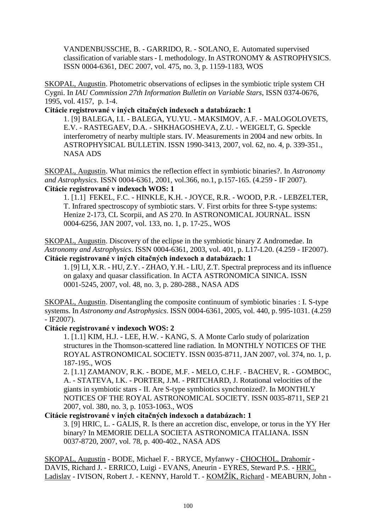VANDENBUSSCHE, B. - GARRIDO, R. - SOLANO, E. Automated supervised classification of variable stars - I. methodology. In ASTRONOMY & ASTROPHYSICS. ISSN 0004-6361, DEC 2007, vol. 475, no. 3, p. 1159-1183, WOS

SKOPAL, Augustin. Photometric observations of eclipses in the symbiotic triple system CH Cygni. In *IAU Commission 27th Information Bulletin on Variable Stars*, ISSN 0374-0676, 1995, vol. 4157, p. 1-4.

**Citácie registrované v iných citačných indexoch a databázach: 1**

1. [9] BALEGA, I.I. - BALEGA, YU.YU. - MAKSIMOV, A.F. - MALOGOLOVETS, E.V. - RASTEGAEV, D.A. - SHKHAGOSHEVA, Z.U. - WEIGELT, G. Speckle interferometry of nearby multiple stars. IV. Measurements in 2004 and new orbits. In ASTROPHYSICAL BULLETIN. ISSN 1990-3413, 2007, vol. 62, no. 4, p. 339-351., NASA ADS

SKOPAL, Augustin. What mimics the reflection effect in symbiotic binaries?. In *Astronomy and Astrophysics*. ISSN 0004-6361, 2001, vol.366, no.1, p.157-165. (4.259 - IF 2007). **Citácie registrované v indexoch WOS: 1**

1. [1.1] FEKEL, F.C. - HINKLE, K.H. - JOYCE, R.R. - WOOD, P.R. - LEBZELTER, T. Infrared spectroscopy of symbiotic stars. V. First orbits for three S-type systems: Henize 2-173, CL Scorpii, and AS 270. In ASTRONOMICAL JOURNAL. ISSN 0004-6256, JAN 2007, vol. 133, no. 1, p. 17-25., WOS

SKOPAL, Augustin. Discovery of the eclipse in the symbiotic binary Z Andromedae. In *Astronomy and Astrophysics*. ISSN 0004-6361, 2003, vol. 401, p. L17-L20. (4.259 - IF2007). **Citácie registrované v iných citačných indexoch a databázach: 1**

1. [9] LI, X.R. - HU, Z.Y. - ZHAO, Y.H. - LIU, Z.T. Spectral preprocess and its influence on galaxy and quasar classification. In ACTA ASTRONOMICA SINICA. ISSN 0001-5245, 2007, vol. 48, no. 3, p. 280-288., NASA ADS

SKOPAL, Augustin. Disentangling the composite continuum of symbiotic binaries : I. S-type systems. In *Astronomy and Astrophysics*. ISSN 0004-6361, 2005, vol. 440, p. 995-1031. (4.259 - IF2007).

### **Citácie registrované v indexoch WOS: 2**

1. [1.1] KIM, H.J. - LEE, H.W. - KANG, S. A Monte Carlo study of polarization structures in the Thomson-scattered line radiation. In MONTHLY NOTICES OF THE ROYAL ASTRONOMICAL SOCIETY. ISSN 0035-8711, JAN 2007, vol. 374, no. 1, p. 187-195., WOS

2. [1.1] ZAMANOV, R.K. - BODE, M.F. - MELO, C.H.F. - BACHEV, R. - GOMBOC, A. - STATEVA, I.K. - PORTER, J.M. - PRITCHARD, J. Rotational velocities of the giants in symbiotic stars - II. Are S-type symbiotics synchronized?. In MONTHLY NOTICES OF THE ROYAL ASTRONOMICAL SOCIETY. ISSN 0035-8711, SEP 21 2007, vol. 380, no. 3, p. 1053-1063., WOS

## **Citácie registrované v iných citačných indexoch a databázach: 1**

3. [9] HRIC, L. - GALIS, R. Is there an accretion disc, envelope, or torus in the YY Her binary? In MEMORIE DELLA SOCIETA ASTRONOMICA ITALIANA. ISSN 0037-8720, 2007, vol. 78, p. 400-402., NASA ADS

SKOPAL, Augustin - BODE, Michael F. - BRYCE, Myfanwy - CHOCHOL, Drahomír - DAVIS, Richard J. - ERRICO, Luigi - EVANS, Aneurin - EYRES, Steward P.S. - HRIC, Ladislav - IVISON, Robert J. - KENNY, Harold T. - KOMŽÍK, Richard - MEABURN, John -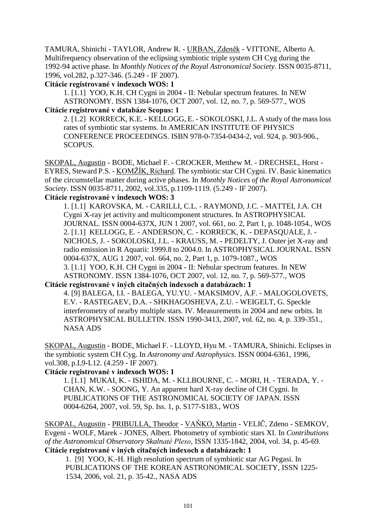TAMURA, Shinichi - TAYLOR, Andrew R. - URBAN, Zdeněk - VITTONE, Alberto A. Multifrequency observation of the eclipsing symbiotic triple system CH Cyg during the 1992-94 active phase. In *Monthly Notices of the Royal Astronomical Society*. ISSN 0035-8711, 1996, vol.282, p.327-346. (5.249 - IF 2007).

#### **Citácie registrované v indexoch WOS: 1**

1. [1.1] YOO, K.H. CH Cygni in 2004 - II: Nebular spectrum features. In NEW ASTRONOMY. ISSN 1384-1076, OCT 2007, vol. 12, no. 7, p. 569-577., WOS **Citácie registrované v databáze Scopus: 1**

2. [1.2] KORRECK, K.E. - KELLOGG, E. - SOKOLOSKI, J.L. A study of the mass loss rates of symbiotic star systems. In AMERICAN INSTITUTE OF PHYSICS CONFERENCE PROCEEDINGS. ISBN 978-0-7354-0434-2, vol. 924, p. 903-906., SCOPUS.

SKOPAL, Augustin - BODE, Michael F. - CROCKER, Metthew M. - DRECHSEL, Horst - EYRES, Steward P.S. - KOMŽÍK, Richard. The symbiotic star CH Cygni. IV. Basic kinematics of the circumstellar matter during active phases. In *Monthly Notices of the Royal Astronomical Society*. ISSN 0035-8711, 2002, vol.335, p.1109-1119. (5.249 - IF 2007).

# **Citácie registrované v indexoch WOS: 3**

1. [1.1] KAROVSKA, M. - CARILLI, C.L. - RAYMOND, J.C. - MATTEI, J.A. CH Cygni X-ray jet activity and multicomponent structures. In ASTROPHYSICAL JOURNAL. ISSN 0004-637X, JUN 1 2007, vol. 661, no. 2, Part 1, p. 1048-1054., WOS 2. [1.1] KELLOGG, E. - ANDERSON, C. - KORRECK, K. - DEPASQUALE, J. - NICHOLS, J. - SOKOLOSKI, J.L. - KRAUSS, M. - PEDELTY, J. Outer jet X-ray and radio emission in R Aquarii: 1999.8 to 2004.0. In ASTROPHYSICAL JOURNAL. ISSN 0004-637X, AUG 1 2007, vol. 664, no. 2, Part 1, p. 1079-1087., WOS 3. [1.1] YOO, K.H. CH Cygni in 2004 - II: Nebular spectrum features. In NEW ASTRONOMY. ISSN 1384-1076, OCT 2007, vol. 12, no. 7, p. 569-577., WOS

## **Citácie registrované v iných citačných indexoch a databázach: 1**

4. [9] BALEGA, I.I. - BALEGA, YU.YU. - MAKSIMOV, A.F. - MALOGOLOVETS, E.V. - RASTEGAEV, D.A. - SHKHAGOSHEVA, Z.U. - WEIGELT, G. Speckle interferometry of nearby multiple stars. IV. Measurements in 2004 and new orbits. In ASTROPHYSICAL BULLETIN. ISSN 1990-3413, 2007, vol. 62, no. 4, p. 339-351., NASA ADS

SKOPAL, Augustin - BODE, Michael F. - LLOYD, Hyu M. - TAMURA, Shinichi. Eclipses in the symbiotic system CH Cyg. In *Astronomy and Astrophysics*. ISSN 0004-6361, 1996, vol.308, p.L9-L12. (4.259 - IF 2007).

## **Citácie registrované v indexoch WOS: 1**

1. [1.1] MUKAI, K. - ISHIDA, M. - KLLBOURNE, C. - MORI, H. - TERADA, Y. - CHAN, K.W. - SOONG, Y. An apparent hard X-ray decline of CH Cygni. In PUBLICATIONS OF THE ASTRONOMICAL SOCIETY OF JAPAN. ISSN 0004-6264, 2007, vol. 59, Sp. Iss. 1, p. S177-S183., WOS

SKOPAL, Augustin - PRIBULLA, Theodor - VAŇKO, Martin - VELIČ, Zdeno - SEMKOV, Evgeni - WOLF, Marek - JONES, Albert. Photometry of symbiotic stars XI. In *Contributions of the Astronomical Observatory Skalnaté Pleso*, ISSN 1335-1842, 2004, vol. 34, p. 45-69. **Citácie registrované v iných citačných indexoch a databázach: 1**

 1. [9] YOO, K.-H. High resolution spectrum of symbiotic star AG Pegasi. In PUBLICATIONS OF THE KOREAN ASTRONOMICAL SOCIETY, ISSN 1225- 1534, 2006, vol. 21, p. 35-42., NASA ADS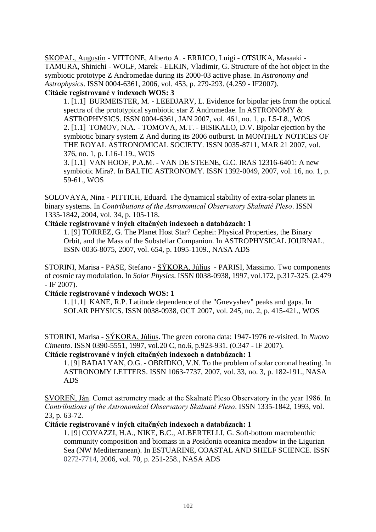SKOPAL, Augustin - VITTONE, Alberto A. - ERRICO, Luigi - OTSUKA, Masaaki - TAMURA, Shinichi - WOLF, Marek - ELKIN, Vladimir, G. Structure of the hot object in the symbiotic prototype Z Andromedae during its 2000-03 active phase. In *Astronomy and Astrophysics*. ISSN 0004-6361, 2006, vol. 453, p. 279-293. (4.259 - IF2007).

## **Citácie registrované v indexoch WOS: 3**

1. [1.1] BURMEISTER, M. - LEEDJARV, L. Evidence for bipolar jets from the optical spectra of the prototypical symbiotic star Z Andromedae. In ASTRONOMY & ASTROPHYSICS. ISSN 0004-6361, JAN 2007, vol. 461, no. 1, p. L5-L8., WOS 2. [1.1] TOMOV, N.A. - TOMOVA, M.T. - BISIKALO, D.V. Bipolar ejection by the symbiotic binary system Z And during its 2006 outburst. In MONTHLY NOTICES OF THE ROYAL ASTRONOMICAL SOCIETY. ISSN 0035-8711, MAR 21 2007, vol. 376, no. 1, p. L16-L19., WOS

3. [1.1] VAN HOOF, P.A.M. - VAN DE STEENE, G.C. IRAS 12316-6401: A new symbiotic Mira?. In BALTIC ASTRONOMY. ISSN 1392-0049, 2007, vol. 16, no. 1, p. 59-61., WOS

SOLOVAYA, Nina - PITTICH, Eduard. The dynamical stability of extra-solar planets in binary systems. In *Contributions of the Astronomical Observatory Skalnaté Pleso*. ISSN 1335-1842, 2004, vol. 34, p. 105-118.

## **Citácie registrované v iných citačných indexoch a databázach: 1**

 1. [9] TORREZ, G. The Planet Host Star? Cephei: Physical Properties, the Binary Orbit, and the Mass of the Substellar Companion. In ASTROPHYSICAL JOURNAL. ISSN 0036-8075, 2007, vol. 654, p. 1095-1109., NASA ADS

STORINI, Marisa - PASE, Stefano - SÝKORA, Július - PARISI, Massimo. Two components of cosmic ray modulation. In *Solar Physics*. ISSN 0038-0938, 1997, vol.172, p.317-325. (2.479 - IF 2007).

## **Citácie registrované v indexoch WOS: 1**

1. [1.1] KANE, R.P. Latitude dependence of the "Gnevyshev" peaks and gaps. In SOLAR PHYSICS. ISSN 0038-0938, OCT 2007, vol. 245, no. 2, p. 415-421., WOS

STORINI, Marisa - SÝKORA, Július. The green corona data: 1947-1976 re-visited. In *Nuovo Cimento*. ISSN 0390-5551, 1997, vol.20 C, no.6, p.923-931. (0.347 - IF 2007).

## **Citácie registrované v iných citačných indexoch a databázach: 1**

1. [9] BADALYAN, O.G. - OBRIDKO, V.N. To the problem of solar coronal heating. In ASTRONOMY LETTERS. ISSN 1063-7737, 2007, vol. 33, no. 3, p. 182-191., NASA ADS

SVOREŇ, Ján. Comet astrometry made at the Skalnaté Pleso Observatory in the year 1986. In *Contributions of the Astronomical Observatory Skalnaté Pleso*. ISSN 1335-1842, 1993, vol. 23, p. 63-72.

## **Citácie registrované v iných citačných indexoch a databázach: 1**

 1. [9] COVAZZI, H.A., NIKE, B.C., ALBERTELLI, G. Soft-bottom macrobenthic community composition and biomass in a Posidonia oceanica meadow in the Ligurian Sea (NW Mediterranean). In ESTUARINE, COASTAL AND SHELF SCIENCE. ISSN 0272-7714, 2006, vol. 70, p. 251-258., NASA ADS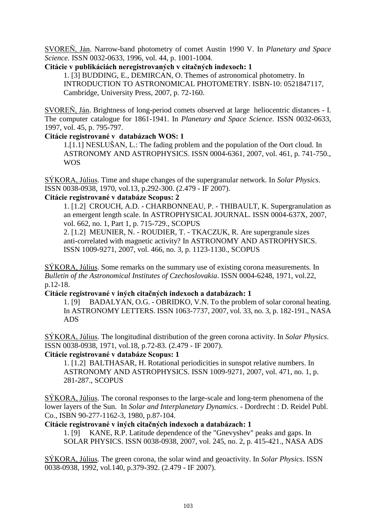SVOREŇ, Ján. Narrow-band photometry of comet Austin 1990 V. In *Planetary and Space Science.* ISSN 0032-0633, 1996, vol. 44, p. 1001-1004.

### **Citácie v publikáciách neregistrovaných v citačných indexoch: 1**

 1. [3] BUDDING, E., DEMIRCAN, O. Themes of astronomical photometry. In INTRODUCTION TO ASTRONOMICAL PHOTOMETRY. ISBN-10: 0521847117, Cambridge, University Press, 2007, p. 72-160.

SVOREŇ, Ján. Brightness of long-period comets observed at large heliocentric distances - I. The computer catalogue for 1861-1941. In *Planetary and Space Science.* ISSN 0032-0633, 1997, vol. 45, p. 795-797.

### **Citácie registrované v databázach WOS: 1**

 1.[1.1] NESLUŠAN, L.: The fading problem and the population of the Oort cloud. In ASTRONOMY AND ASTROPHYSICS. ISSN 0004-6361, 2007, vol. 461, p. 741-750., WOS

SÝKORA, Július. Time and shape changes of the supergranular network. In *Solar Physics*. ISSN 0038-0938, 1970, vol.13, p.292-300. (2.479 - IF 2007).

### **Citácie registrované v databáze Scopus: 2**

1. [1.2] CROUCH, A.D. - CHARBONNEAU, P. - THIBAULT, K. Supergranulation as an emergent length scale. In ASTROPHYSICAL JOURNAL. ISSN 0004-637X, 2007, vol. 662, no. 1, Part 1, p. 715-729., SCOPUS

2. [1.2] MEUNIER, N. - ROUDIER, T. - TKACZUK, R. Are supergranule sizes anti-correlated with magnetic activity? In ASTRONOMY AND ASTROPHYSICS. ISSN 1009-9271, 2007, vol. 466, no. 3, p. 1123-1130., SCOPUS

SÝKORA, Július. Some remarks on the summary use of existing corona measurements. In *Bulletin of the Astronomical Institutes of Czechoslovakia*. ISSN 0004-6248, 1971, vol.22, p.12-18.

### **Citácie registrované v iných citačných indexoch a databázach: 1**

1. [9] BADALYAN, O.G. - OBRIDKO, V.N. To the problem of solar coronal heating. In ASTRONOMY LETTERS. ISSN 1063-7737, 2007, vol. 33, no. 3, p. 182-191., NASA ADS

SÝKORA, Július. The longitudinal distribution of the green corona activity. In *Solar Physics*. ISSN 0038-0938, 1971, vol.18, p.72-83. (2.479 - IF 2007).

## **Citácie registrované v databáze Scopus: 1**

1. [1.2] BALTHASAR, H. Rotational periodicities in sunspot relative numbers. In ASTRONOMY AND ASTROPHYSICS. ISSN 1009-9271, 2007, vol. 471, no. 1, p. 281-287., SCOPUS

SÝKORA, Július. The coronal responses to the large-scale and long-term phenomena of the lower layers of the Sun. In *Solar and Interplanetary Dynamics*. - Dordrecht : D. Reidel Publ. Co., ISBN 90-277-1162-3, 1980, p.87-104.

### **Citácie registrované v iných citačných indexoch a databázach: 1**

1. [9] KANE, R.P. Latitude dependence of the "Gnevyshev" peaks and gaps. In SOLAR PHYSICS. ISSN 0038-0938, 2007, vol. 245, no. 2, p. 415-421., NASA ADS

SÝKORA, Július. The green corona, the solar wind and geoactivity. In *Solar Physics*. ISSN 0038-0938, 1992, vol.140, p.379-392. (2.479 - IF 2007).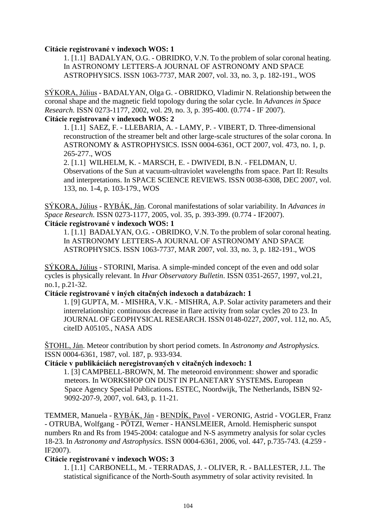#### **Citácie registrované v indexoch WOS: 1**

1. [1.1] BADALYAN, O.G. - OBRIDKO, V.N. To the problem of solar coronal heating. In ASTRONOMY LETTERS-A JOURNAL OF ASTRONOMY AND SPACE ASTROPHYSICS. ISSN 1063-7737, MAR 2007, vol. 33, no. 3, p. 182-191., WOS

SÝKORA, Július - BADALYAN, Olga G. - OBRIDKO, Vladimir N. Relationship between the coronal shape and the magnetic field topology during the solar cycle. In *Advances in Space Research*. ISSN 0273-1177, 2002, vol. 29, no. 3, p. 395-400. (0.774 - IF 2007).

## **Citácie registrované v indexoch WOS: 2**

 1. [1.1] SAEZ, F. - LLEBARIA, A. - LAMY, P. - VIBERT, D. Three-dimensional reconstruction of the streamer belt and other large-scale structures of the solar corona. In ASTRONOMY & ASTROPHYSICS. ISSN 0004-6361, OCT 2007, vol. 473, no. 1, p. 265-277., WOS

 2. [1.1] WILHELM, K. - MARSCH, E. - DWIVEDI, B.N. - FELDMAN, U. Observations of the Sun at vacuum-ultraviolet wavelengths from space. Part II: Results and interpretations. In SPACE SCIENCE REVIEWS. ISSN 0038-6308, DEC 2007, vol. 133, no. 1-4, p. 103-179., WOS

SÝKORA, Július - RYBÁK, Ján. Coronal manifestations of solar variability. In *Advances in Space Research*. ISSN 0273-1177, 2005, vol. 35, p. 393-399. (0.774 - IF2007). **Citácie registrované v indexoch WOS: 1**

1. [1.1] BADALYAN, O.G. - OBRIDKO, V.N. To the problem of solar coronal heating. In ASTRONOMY LETTERS-A JOURNAL OF ASTRONOMY AND SPACE ASTROPHYSICS. ISSN 1063-7737, MAR 2007, vol. 33, no. 3, p. 182-191., WOS

SÝKORA, Július - STORINI, Marisa. A simple-minded concept of the even and odd solar cycles is physically relevant. In *Hvar Observatory Bulletin*. ISSN 0351-2657, 1997, vol.21, no.1, p.21-32.

### **Citácie registrované v iných citačných indexoch a databázach: 1**

1. [9] GUPTA, M. - MISHRA, V.K. - MISHRA, A.P. Solar activity parameters and their interrelationship: continuous decrease in flare activity from solar cycles 20 to 23. In JOURNAL OF GEOPHYSICAL RESEARCH. ISSN 0148-0227, 2007, vol. 112, no. A5, citeID A05105., NASA ADS

ŠTOHL, Ján. Meteor contribution by short period comets. In *Astronomy and Astrophysics.* ISSN 0004-6361, 1987, vol. 187, p. 933-934.

# **Citácie v publikáciách neregistrovaných v citačných indexoch: 1**

 1. [3] CAMPBELL-BROWN, M. The meteoroid environment: shower and sporadic meteors. In WORKSHOP ON DUST IN PLANETARY SYSTEMS**.** European Space Agency Special Publications**.** ESTEC, Noordwijk, The Netherlands, ISBN 92- 9092-207-9, 2007, vol. 643, p. 11-21.

TEMMER, Manuela - RYBÁK, Ján - BENDÍK, Pavol - VERONIG, Astrid - VOGLER, Franz - OTRUBA, Wolfgang - PÖTZI, Werner - HANSLMEIER, Arnold. Hemispheric sunspot numbers Rn and Rs from 1945-2004: catalogue and N-S asymmetry analysis for solar cycles 18-23. In *Astronomy and Astrophysics*. ISSN 0004-6361, 2006, vol. 447, p.735-743. (4.259 - IF2007).

## **Citácie registrované v indexoch WOS: 3**

 1. [1.1] CARBONELL, M. - TERRADAS, J. - OLIVER, R. - BALLESTER, J.L. The statistical significance of the North-South asymmetry of solar activity revisited. In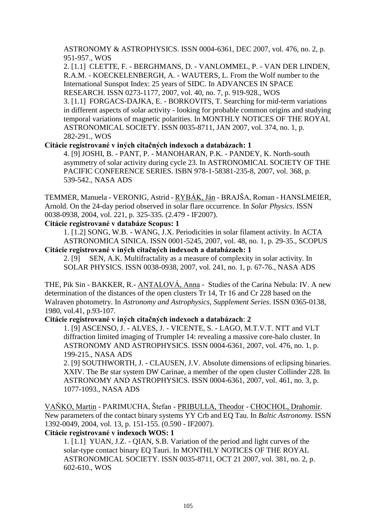ASTRONOMY & ASTROPHYSICS. ISSN 0004-6361, DEC 2007, vol. 476, no. 2, p. 951-957., WOS

2. [1.1] CLETTE, F. - BERGHMANS, D. - VANLOMMEL, P. - VAN DER LINDEN, R.A.M. - KOECKELENBERGH, A. - WAUTERS, L. From the Wolf number to the International Sunspot Index: 25 years of SIDC. In ADVANCES IN SPACE RESEARCH. ISSN 0273-1177, 2007, vol. 40, no. 7, p. 919-928., WOS 3. [1.1] FORGACS-DAJKA, E. - BORKOVITS, T. Searching for mid-term variations in different aspects of solar activity - looking for probable common origins and studying temporal variations of magnetic polarities. In MONTHLY NOTICES OF THE ROYAL ASTRONOMICAL SOCIETY. ISSN 0035-8711, JAN 2007, vol. 374, no. 1, p. 282-291., WOS

**Citácie registrované v iných citačných indexoch a databázach: 1**

4. [9] JOSHI, B. - PANT, P. - MANOHARAN, P.K. - PANDEY, K. North-south asymmetry of solar activity during cycle 23. In ASTRONOMICAL SOCIETY OF THE PACIFIC CONFERENCE SERIES. ISBN 978-1-58381-235-8, 2007, vol. 368, p. 539-542., NASA ADS

TEMMER, Manuela - VERONIG, Astrid - RYBÁK, Ján - BRAJŠA, Roman - HANSLMEIER, Arnold. On the 24-day period observed in solar flare occurrence. In *Solar Physics*. ISSN 0038-0938, 2004, vol. 221, p. 325-335. (2.479 - IF2007).

### **Citácie registrované v databáze Scopus: 1**

1. [1.2] SONG, W.B. - WANG, J.X. Periodicities in solar filament activity. In ACTA ASTRONOMICA SINICA. ISSN 0001-5245, 2007, vol. 48, no. 1, p. 29-35., SCOPUS

# **Citácie registrované v iných citačných indexoch a databázach: 1**

2. [9] SEN, A.K. Multifractality as a measure of complexity in solar activity. In SOLAR PHYSICS. ISSN 0038-0938, 2007, vol. 241, no. 1, p. 67-76., NASA ADS

THE, Pik Sin - BAKKER, R.- ANTALOVÁ, Anna - Studies of the Carina Nebula: IV. A new determination of the distances of the open clusters Tr 14, Tr 16 and Cr 228 based on the Walraven photometry. In *Astronomy and Astrophysics, Supplement Series*. ISSN 0365-0138, 1980, vol.41, p.93-107.

# **Citácie registrované v iných citačných indexoch a databázach**: **2**

1. [9] ASCENSO, J. - ALVES, J. - VICENTE, S. - LAGO, M.T.V.T. NTT and VLT diffraction limited imaging of Trumpler 14: revealing a massive core-halo cluster. In ASTRONOMY AND ASTROPHYSICS. ISSN 0004-6361, 2007, vol. 476, no. 1, p. 199-215., NASA ADS

 2. [9] SOUTHWORTH, J. - CLAUSEN, J.V. Absolute dimensions of eclipsing binaries. XXIV. The Be star system DW Carinae, a member of the open cluster Collinder 228. In ASTRONOMY AND ASTROPHYSICS. ISSN 0004-6361, 2007, vol. 461, no. 3, p. 1077-1093., NASA ADS

VAŇKO, Martin - PARIMUCHA, Štefan - PRIBULLA, Theodor - CHOCHOL, Drahomír. New parameters of the contact binary systems YY Crb and EQ Tau. In *Baltic Astronomy.* ISSN 1392-0049, 2004, vol. 13, p. 151-155. (0.590 - IF2007).

### **Citácie registrované v indexoch WOS: 1**

1. [1.1] YUAN, J.Z. - QIAN, S.B. Variation of the period and light curves of the solar-type contact binary EQ Tauri. In MONTHLY NOTICES OF THE ROYAL ASTRONOMICAL SOCIETY. ISSN 0035-8711, OCT 21 2007, vol. 381, no. 2, p. 602-610., WOS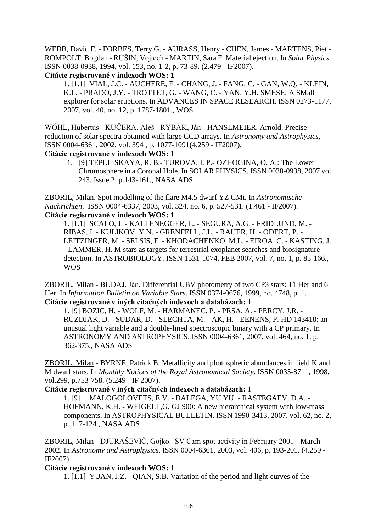WEBB, David F. - FORBES, Terry G. - AURASS, Henry - CHEN, James - MARTENS, Piet - ROMPOLT, Bogdan - RUŠIN, Vojtech - MARTIN, Sara F. Material ejection. In *Solar Physics*. ISSN 0038-0938, 1994, vol. 153, no. 1-2, p. 73-89. (2.479 - IF2007). **Citácie registrované v indexoch WOS: 1**

1. [1.1] VIAL, J.C. - AUCHERE, F. - CHANG, J. - FANG, C. - GAN, W.Q. - KLEIN, K.L. - PRADO, J.Y. - TROTTET, G. - WANG, C. - YAN, Y.H. SMESE: A SMall explorer for solar eruptions. In ADVANCES IN SPACE RESEARCH. ISSN 0273-1177, 2007, vol. 40, no. 12, p. 1787-1801., WOS

WÖHL, Hubertus - KUČERA, Aleš - RYBÁK, Ján - HANSLMEIER, Arnold. Precise reduction of solar spectra obtained with large CCD arrays. In *Astronomy and Astrophysics*, ISSN 0004-6361, 2002, vol. 394 , p. 1077-1091(4.259 - IF2007).

**Citácie registrované v indexoch WOS: 1**

1. [9] TEPLITSKAYA, R. B.- TUROVA, I. P.- OZHOGINA, O. A.: The Lower Chromosphere in a Coronal Hole. In SOLAR PHYSICS, ISSN 0038-0938, 2007 vol 243, Issue 2, p.143-161., NASA ADS

ZBORIL, Milan. Spot modelling of the flare M4.5 dwarf YZ CMi. In *Astronomische Nachrichten*. ISSN 0004-6337, 2003, vol. 324, no. 6, p. 527-531. (1.461 - IF2007). **Citácie registrované v indexoch WOS: 1**

1. [1.1] SCALO, J. - KALTENEGGER, L. - SEGURA, A.G. - FRIDLUND, M. - RIBAS, I. - KULIKOV, Y.N. - GRENFELL, J.L. - RAUER, H. - ODERT, P. - LEITZINGER, M. - SELSIS, F. - KHODACHENKO, M.L. - EIROA, C. - KASTING, J. - LAMMER, H. M stars as targets for terrestrial exoplanet searches and biosignature detection. In ASTROBIOLOGY. ISSN 1531-1074, FEB 2007, vol. 7, no. 1, p. 85-166., WOS

ZBORIL, Milan - BUDAJ, Ján. Differential UBV photometry of two CP3 stars: 11 Her and 6 Her. In *Information Bulletin on Variable Stars*. ISSN 0374-0676, 1999, no. 4748, p. 1. **Citácie registrované v iných citačných indexoch a databázach: 1**

1. [9] BOZIC, H. - WOLF, M. - HARMANEC, P. - PRSA, A. - PERCY, J.R. - RUZDJAK, D. - SUDAR, D. - SLECHTA, M. - AK, H. - EENENS, P. HD 143418: an unusual light variable and a double-lined spectroscopic binary with a CP primary. In ASTRONOMY AND ASTROPHYSICS. ISSN 0004-6361, 2007, vol. 464, no. 1, p. 362-375., NASA ADS

ZBORIL, Milan - BYRNE, Patrick B. Metallicity and photospheric abundances in field K and M dwarf stars. In *Monthly Notices of the Royal Astronomical Society*. ISSN 0035-8711, 1998, vol.299, p.753-758. (5.249 - IF 2007).

## **Citácie registrované v iných citačných indexoch a databázach: 1**

1. [9] MALOGOLOVETS, E.V. - BALEGA, YU.YU. - RASTEGAEV, D.A. - HOFMANN, K.H. - WEIGELT,G. GJ 900: A new hierarchical system with low-mass components. In ASTROPHYSICAL BULLETIN. ISSN 1990-3413, 2007, vol. 62, no. 2, p. 117-124., NASA ADS

ZBORIL, Milan - DJURAŠEVIČ, Gojko. SV Cam spot activity in February 2001 - March 2002. In *Astronomy and Astrophysics*. ISSN 0004-6361, 2003, vol. 406, p. 193-201. (4.259 - IF2007).

**Citácie registrované v indexoch WOS: 1**

1. [1.1] YUAN, J.Z. - QIAN, S.B. Variation of the period and light curves of the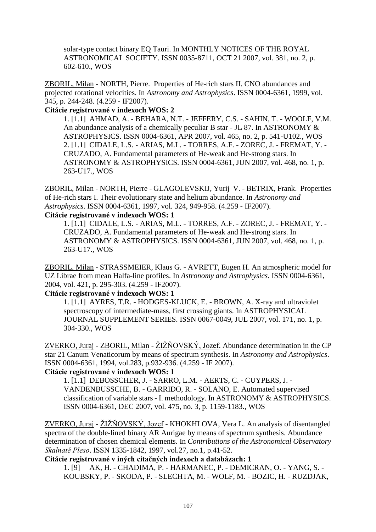solar-type contact binary EQ Tauri. In MONTHLY NOTICES OF THE ROYAL ASTRONOMICAL SOCIETY. ISSN 0035-8711, OCT 21 2007, vol. 381, no. 2, p. 602-610., WOS

ZBORIL, Milan - NORTH, Pierre. Properties of He-rich stars II. CNO abundances and projected rotational velocities. In *Astronomy and Astrophysics*. ISSN 0004-6361, 1999, vol. 345, p. 244-248. (4.259 - IF2007).

### **Citácie registrované v indexoch WOS: 2**

1. [1.1] AHMAD, A. - BEHARA, N.T. - JEFFERY, C.S. - SAHIN, T. - WOOLF, V.M. An abundance analysis of a chemically peculiar B star - JL 87. In ASTRONOMY & ASTROPHYSICS. ISSN 0004-6361, APR 2007, vol. 465, no. 2, p. 541-U102., WOS 2. [1.1] CIDALE, L.S. - ARIAS, M.L. - TORRES, A.F. - ZOREC, J. - FREMAT, Y. - CRUZADO, A. Fundamental parameters of He-weak and He-strong stars. In ASTRONOMY & ASTROPHYSICS. ISSN 0004-6361, JUN 2007, vol. 468, no. 1, p. 263-U17., WOS

ZBORIL, Milan - NORTH, Pierre - GLAGOLEVSKIJ, Yurij V. - BETRIX, Frank. Properties of He-rich stars I. Their evolutionary state and helium abundance. In *Astronomy and Astrophysics*. ISSN 0004-6361, 1997, vol. 324, 949-958. (4.259 - IF2007).

#### **Citácie registrované v indexoch WOS: 1**

1. [1.1] CIDALE, L.S. - ARIAS, M.L. - TORRES, A.F. - ZOREC, J. - FREMAT, Y. - CRUZADO, A. Fundamental parameters of He-weak and He-strong stars. In ASTRONOMY & ASTROPHYSICS. ISSN 0004-6361, JUN 2007, vol. 468, no. 1, p. 263-U17., WOS

ZBORIL, Milan - STRASSMEIER, Klaus G. - AVRETT, Eugen H. An atmospheric model for UZ Librae from mean Halfa-line profiles. In *Astronomy and Astrophysics*. ISSN 0004-6361, 2004, vol. 421, p. 295-303. (4.259 - IF2007).

#### **Citácie registrované v indexoch WOS: 1**

1. [1.1] AYRES, T.R. - HODGES-KLUCK, E. - BROWN, A. X-ray and ultraviolet spectroscopy of intermediate-mass, first crossing giants. In ASTROPHYSICAL JOURNAL SUPPLEMENT SERIES. ISSN 0067-0049, JUL 2007, vol. 171, no. 1, p. 304-330., WOS

ZVERKO, Juraj - ZBORIL, Milan - ŽIŽŇOVSKÝ, Jozef. Abundance determination in the CP star 21 Canum Venaticorum by means of spectrum synthesis. In *Astronomy and Astrophysics*. ISSN 0004-6361, 1994, vol.283, p.932-936. (4.259 - IF 2007).

#### **Citácie registrované v indexoch WOS: 1**

1. [1.1] DEBOSSCHER, J. - SARRO, L.M. - AERTS, C. - CUYPERS, J. - VANDENBUSSCHE, B. - GARRIDO, R. - SOLANO, E. Automated supervised classification of variable stars - I. methodology. In ASTRONOMY & ASTROPHYSICS. ISSN 0004-6361, DEC 2007, vol. 475, no. 3, p. 1159-1183., WOS

ZVERKO, Juraj - ŽIŽŇOVSKÝ, Jozef - KHOKHLOVA, Vera L. An analysis of disentangled spectra of the double-lined binary AR Aurigae by means of spectrum synthesis. Abundance determination of chosen chemical elements. In *Contributions of the Astronomical Observatory Skalnaté Pleso*. ISSN 1335-1842, 1997, vol.27, no.1, p.41-52.

### **Citácie registrované v iných citačných indexoch a databázach: 1**

1. [9] AK, H. - CHADIMA, P. - HARMANEC, P. - DEMICRAN, O. - YANG, S. - KOUBSKY, P. - SKODA, P. - SLECHTA, M. - WOLF, M. - BOZIC, H. - RUZDJAK,